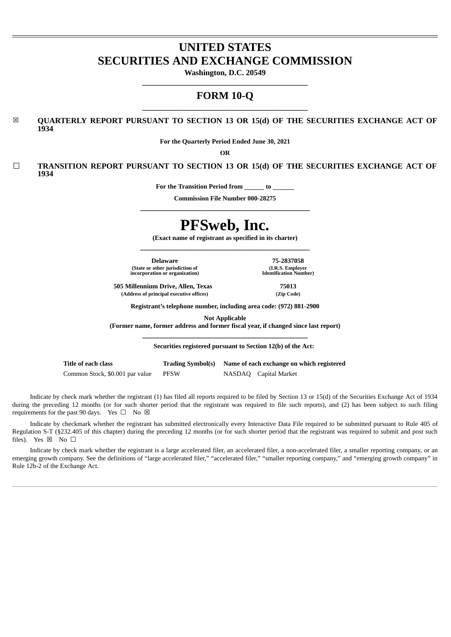# **UNITED STATES SECURITIES AND EXCHANGE COMMISSION**

**Washington, D.C. 20549 \_\_\_\_\_\_\_\_\_\_\_\_\_\_\_\_\_\_\_\_\_\_\_\_\_\_\_\_\_\_\_\_\_\_\_\_\_\_\_\_\_\_**

# **FORM 10-Q \_\_\_\_\_\_\_\_\_\_\_\_\_\_\_\_\_\_\_\_\_\_\_\_\_\_\_\_\_\_\_\_\_\_\_\_\_\_\_\_\_\_**

# ☒ **QUARTERLY REPORT PURSUANT TO SECTION 13 OR 15(d) OF THE SECURITIES EXCHANGE ACT OF 1934**

**For the Quarterly Period Ended June 30, 2021**

**OR**

☐ **TRANSITION REPORT PURSUANT TO SECTION 13 OR 15(d) OF THE SECURITIES EXCHANGE ACT OF 1934**

**For the Transition Period from to**

**Commission File Number 000-28275 \_\_\_\_\_\_\_\_\_\_\_\_\_\_\_\_\_\_\_\_\_\_\_\_\_\_\_\_\_\_\_\_\_\_\_\_\_\_\_\_\_\_\_**

# **PFSweb, Inc.**

**(Exact name of registrant as specified in its charter) \_\_\_\_\_\_\_\_\_\_\_\_\_\_\_\_\_\_\_\_\_\_\_\_\_\_\_\_\_\_\_\_\_\_\_\_\_\_\_\_\_\_\_**

**(State or other jurisdiction of incorporation or organization)**

**Delaware 75-2837058 (I.R.S. Employer Identification Number)**

**505 Millennium Drive, Allen, Texas 75013 (Address of principal executive offices) (Zip Code)**

**Registrant's telephone number, including area code: (972) 881-2900**

**Not Applicable**

**(Former name, former address and former fiscal year, if changed since last report) \_\_\_\_\_\_\_\_\_\_\_\_\_\_\_\_\_\_\_\_\_\_\_\_\_\_\_\_\_\_\_\_\_\_\_\_\_\_\_\_\_\_**

**Securities registered pursuant to Section 12(b) of the Act:**

| Title of each class             |             | Trading Symbol(s) Name of each exchange on which registered |
|---------------------------------|-------------|-------------------------------------------------------------|
| Common Stock, \$0.001 par value | <b>PFSW</b> | NASDAQ Capital Market                                       |

Indicate by check mark whether the registrant (1) has filed all reports required to be filed by Section 13 or 15(d) of the Securities Exchange Act of 1934 during the preceding 12 months (or for such shorter period that the registrant was required to file such reports), and (2) has been subject to such filing requirements for the past 90 days. Yes  $\Box$  No  $\boxtimes$ 

Indicate by checkmark whether the registrant has submitted electronically every Interactive Data File required to be submitted pursuant to Rule 405 of Regulation S-T (§232.405 of this chapter) during the preceding 12 months (or for such shorter period that the registrant was required to submit and post such files). Yes  $\boxtimes$  No  $\square$ 

Indicate by check mark whether the registrant is a large accelerated filer, an accelerated filer, a non-accelerated filer, a smaller reporting company, or an emerging growth company. See the definitions of "large accelerated filer," "accelerated filer," "smaller reporting company," and "emerging growth company" in Rule 12b-2 of the Exchange Act.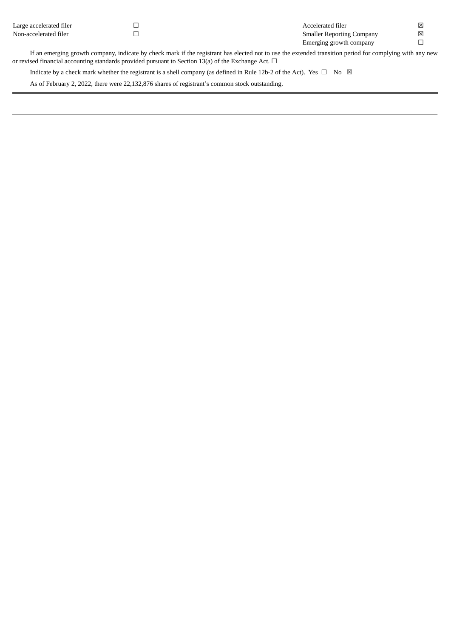If an emerging growth company, indicate by check mark if the registrant has elected not to use the extended transition period for complying with any new or revised financial accounting standards provided pursuant to Section 13(a) of the Exchange Act.  $\Box$ 

Indicate by a check mark whether the registrant is a shell company (as defined in Rule 12b-2 of the Act). Yes  $\Box$  No  $\boxtimes$ 

As of February 2, 2022, there were 22,132,876 shares of registrant's common stock outstanding.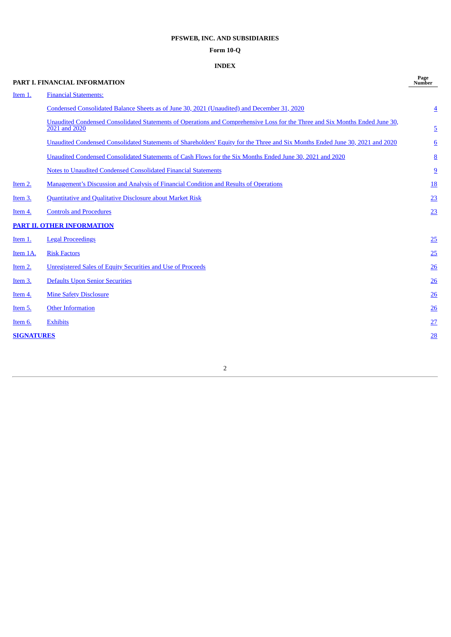# **Form 10-Q**

# **INDEX**

|                   | PART I. FINANCIAL INFORMATION                                                                                                                 | Page<br>Number  |
|-------------------|-----------------------------------------------------------------------------------------------------------------------------------------------|-----------------|
| Item 1.           | <b>Financial Statements:</b>                                                                                                                  |                 |
|                   | Condensed Consolidated Balance Sheets as of June 30, 2021 (Unaudited) and December 31, 2020                                                   | $\overline{4}$  |
|                   | Unaudited Condensed Consolidated Statements of Operations and Comprehensive Loss for the Three and Six Months Ended June 30,<br>2021 and 2020 | $\overline{5}$  |
|                   | Unaudited Condensed Consolidated Statements of Shareholders' Equity for the Three and Six Months Ended June 30, 2021 and 2020                 | $6\phantom{1}6$ |
|                   | Unaudited Condensed Consolidated Statements of Cash Flows for the Six Months Ended June 30, 2021 and 2020                                     | $\underline{8}$ |
|                   | Notes to Unaudited Condensed Consolidated Financial Statements                                                                                | 9               |
| Item 2.           | <b>Management's Discussion and Analysis of Financial Condition and Results of Operations</b>                                                  | <u>18</u>       |
| Item 3.           | <b>Quantitative and Qualitative Disclosure about Market Risk</b>                                                                              | 23              |
| Item 4.           | <b>Controls and Procedures</b>                                                                                                                | 23              |
|                   | <b>PART II. OTHER INFORMATION</b>                                                                                                             |                 |
| Item 1.           | <b>Legal Proceedings</b>                                                                                                                      | 25              |
| Item 1A.          | <b>Risk Factors</b>                                                                                                                           | 25              |
| Item 2.           | <b>Unregistered Sales of Equity Securities and Use of Proceeds</b>                                                                            | 26              |
| Item 3.           | <b>Defaults Upon Senior Securities</b>                                                                                                        | $\overline{26}$ |
| Item 4.           | <b>Mine Safety Disclosure</b>                                                                                                                 | 26              |
| Item 5.           | <b>Other Information</b>                                                                                                                      | 26              |
| Item 6.           | <b>Exhibits</b>                                                                                                                               | 27              |
| <b>SIGNATURES</b> |                                                                                                                                               | 28              |
|                   |                                                                                                                                               |                 |

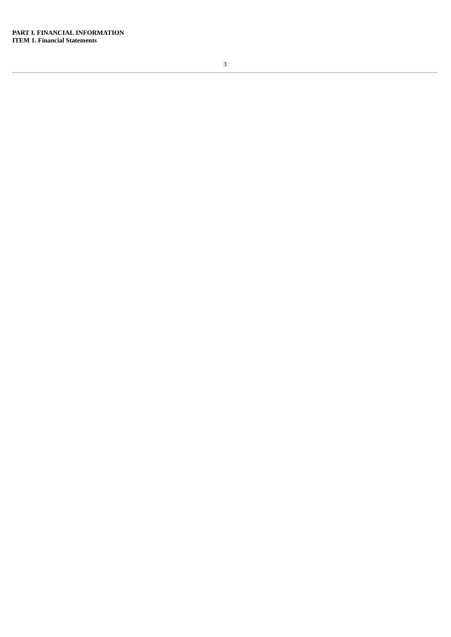<span id="page-3-1"></span><span id="page-3-0"></span>**PART I. FINANCIAL INFORMATION ITEM 1. Financial Statements**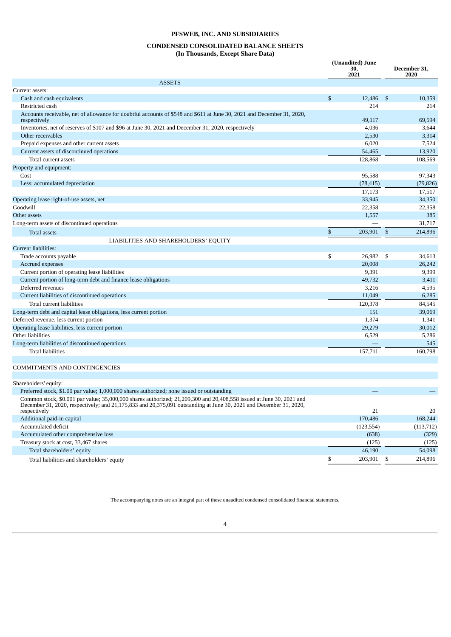# **CONDENSED CONSOLIDATED BALANCE SHEETS**

**(In Thousands, Except Share Data)**

|                                                                                                                                        |                | (Unaudited) June<br>30,<br>2021 |                | December 31,<br>2020 |
|----------------------------------------------------------------------------------------------------------------------------------------|----------------|---------------------------------|----------------|----------------------|
| <b>ASSETS</b>                                                                                                                          |                |                                 |                |                      |
| Current assets:                                                                                                                        |                |                                 |                |                      |
| Cash and cash equivalents                                                                                                              | $\mathbb{S}$   | 12,486                          | - \$           | 10,359               |
| Restricted cash                                                                                                                        |                | 214                             |                | 214                  |
| Accounts receivable, net of allowance for doubtful accounts of \$548 and \$611 at June 30, 2021 and December 31, 2020,<br>respectively |                | 49,117                          |                | 69,594               |
| Inventories, net of reserves of \$107 and \$96 at June 30, 2021 and December 31, 2020, respectively                                    |                | 4,036                           |                | 3,644                |
| Other receivables                                                                                                                      |                | 2,530                           |                | 3,314                |
| Prepaid expenses and other current assets                                                                                              |                | 6,020                           |                | 7,524                |
| Current assets of discontinued operations                                                                                              |                | 54,465                          |                | 13,920               |
| Total current assets                                                                                                                   |                | 128.868                         |                | 108.569              |
| Property and equipment:                                                                                                                |                |                                 |                |                      |
| Cost                                                                                                                                   |                | 95,588                          |                | 97,343               |
| Less: accumulated depreciation                                                                                                         |                | (78, 415)                       |                | (79, 826)            |
|                                                                                                                                        |                | 17,173                          |                | 17,517               |
| Operating lease right-of-use assets, net                                                                                               |                | 33,945                          |                | 34,350               |
| Goodwill                                                                                                                               |                | 22,358                          |                | 22,358               |
| Other assets                                                                                                                           |                | 1,557                           |                | 385                  |
| Long-term assets of discontinued operations                                                                                            |                |                                 |                | 31,717               |
| <b>Total assets</b>                                                                                                                    | $\mathfrak{S}$ | 203,901                         | $\mathfrak{S}$ | 214,896              |
| LIABILITIES AND SHAREHOLDERS' EQUITY                                                                                                   |                |                                 |                |                      |
| Current liabilities:                                                                                                                   |                |                                 |                |                      |
| Trade accounts payable                                                                                                                 | \$             | 26,982                          | - \$           | 34.613               |
| Accrued expenses                                                                                                                       |                | 20,008                          |                | 26,242               |
| Current portion of operating lease liabilities                                                                                         |                | 9,391                           |                | 9,399                |
| Current portion of long-term debt and finance lease obligations                                                                        |                | 49,732                          |                | 3,411                |
| Deferred revenues                                                                                                                      |                | 3,216                           |                | 4,595                |
| Current liabilities of discontinued operations                                                                                         |                | 11,049                          |                | 6,285                |
| Total current liabilities                                                                                                              |                | 120,378                         |                | 84,545               |
| Long-term debt and capital lease obligations, less current portion                                                                     |                | 151                             |                | 39,069               |
| Deferred revenue, less current portion                                                                                                 |                | 1,374                           |                | 1,341                |
| Operating lease liabilities, less current portion                                                                                      |                | 29,279                          |                | 30,012               |
| Other liabilities                                                                                                                      |                | 6,529                           |                | 5,286                |
| Long-term liabilities of discontinued operations                                                                                       |                |                                 |                | 545                  |
| <b>Total liabilities</b>                                                                                                               |                | 157,711                         |                | 160,798              |
|                                                                                                                                        |                |                                 |                |                      |
| COMMITMENTS AND CONTINGENCIES                                                                                                          |                |                                 |                |                      |
| Shareholders' equity:                                                                                                                  |                |                                 |                |                      |
| Preferred stock, \$1.00 par value; 1,000,000 shares authorized; none issued or outstanding                                             |                |                                 |                |                      |

| Common stock, \$0.001 par value; 35,000,000 shares authorized; 21,209,300 and 20,408,558 issued at June 30, 2021 and<br>December 31, 2020, respectively; and 21,175,833 and 20,375,091 outstanding at June 30, 2021 and December 31, 2020,<br>respectively | 21         | 20         |
|------------------------------------------------------------------------------------------------------------------------------------------------------------------------------------------------------------------------------------------------------------|------------|------------|
| Additional paid-in capital                                                                                                                                                                                                                                 | 170,486    | 168,244    |
| Accumulated deficit                                                                                                                                                                                                                                        | (123, 554) | (113, 712) |
| Accumulated other comprehensive loss                                                                                                                                                                                                                       | (638)      | (329)      |
| Treasury stock at cost, 33,467 shares                                                                                                                                                                                                                      | (125)      | (125)      |
| Total shareholders' equity                                                                                                                                                                                                                                 | 46.190     | 54,098     |
| Total liabilities and shareholders' equity                                                                                                                                                                                                                 | 203,901 \$ | 214.896    |

<span id="page-4-0"></span>The accompanying notes are an integral part of these unaudited condensed consolidated financial statements.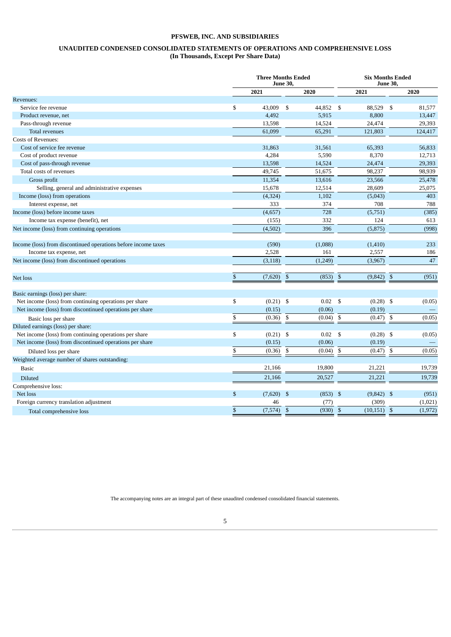# **UNAUDITED CONDENSED CONSOLIDATED STATEMENTS OF OPERATIONS AND COMPREHENSIVE LOSS (In Thousands, Except Per Share Data)**

|                                                                | <b>Three Months Ended</b> | June 30,       |             | <b>Six Months Ended</b><br><b>June 30,</b> |                    |         |
|----------------------------------------------------------------|---------------------------|----------------|-------------|--------------------------------------------|--------------------|---------|
|                                                                | 2021                      |                | 2020        | 2021                                       |                    | 2020    |
| Revenues:                                                      |                           |                |             |                                            |                    |         |
| Service fee revenue                                            | \$<br>43.009              | \$             | 44.852 \$   | 88,529                                     | -S                 | 81,577  |
| Product revenue, net                                           | 4,492                     |                | 5,915       | 8,800                                      |                    | 13,447  |
| Pass-through revenue                                           | 13,598                    |                | 14,524      | 24,474                                     |                    | 29,393  |
| <b>Total revenues</b>                                          | 61,099                    |                | 65,291      | 121,803                                    |                    | 124,417 |
| <b>Costs of Revenues:</b>                                      |                           |                |             |                                            |                    |         |
| Cost of service fee revenue                                    | 31,863                    |                | 31,561      | 65,393                                     |                    | 56,833  |
| Cost of product revenue                                        | 4,284                     |                | 5,590       | 8,370                                      |                    | 12,713  |
| Cost of pass-through revenue                                   | 13,598                    |                | 14,524      | 24,474                                     |                    | 29,393  |
| Total costs of revenues                                        | 49,745                    |                | 51,675      | 98,237                                     |                    | 98,939  |
| Gross profit                                                   | 11,354                    |                | 13,616      | 23,566                                     |                    | 25,478  |
| Selling, general and administrative expenses                   | 15,678                    |                | 12,514      | 28,609                                     |                    | 25,075  |
| Income (loss) from operations                                  | (4, 324)                  |                | 1,102       | (5,043)                                    |                    | 403     |
| Interest expense, net                                          | 333                       |                | 374         | 708                                        |                    | 788     |
| Income (loss) before income taxes                              | (4,657)                   |                | 728         | (5,751)                                    |                    | (385)   |
| Income tax expense (benefit), net                              | (155)                     |                | 332         | 124                                        |                    | 613     |
| Net income (loss) from continuing operations                   | (4,502)                   |                | 396         | (5, 875)                                   |                    | (998)   |
|                                                                |                           |                |             |                                            |                    |         |
| Income (loss) from discontinued operations before income taxes | (590)                     |                | (1,088)     | (1, 410)                                   |                    | 233     |
| Income tax expense, net                                        | 2,528                     |                | 161         | 2,557                                      |                    | 186     |
| Net income (loss) from discontinued operations                 | (3, 118)                  |                | (1,249)     | (3,967)                                    |                    | 47      |
|                                                                |                           |                |             |                                            |                    |         |
| Net loss                                                       | \$<br>(7,620)             | $\mathfrak{S}$ | $(853)$ \$  | (9, 842)                                   | $\mathbf{\hat{S}}$ | (951)   |
|                                                                |                           |                |             |                                            |                    |         |
| Basic earnings (loss) per share:                               |                           |                |             |                                            |                    |         |
| Net income (loss) from continuing operations per share         | \$<br>$(0.21)$ \$         |                | 0.02        | \$<br>$(0.28)$ \$                          |                    | (0.05)  |
| Net income (loss) from discontinued operations per share       | (0.15)                    |                | (0.06)      | (0.19)                                     |                    |         |
| Basic loss per share                                           | \$<br>(0.36)              | \$             | $(0.04)$ \$ | $(0.47)$ \$                                |                    | (0.05)  |
| Diluted earnings (loss) per share:                             |                           |                |             |                                            |                    |         |
| Net income (loss) from continuing operations per share         | \$<br>$(0.21)$ \$         |                | 0.02        | \$<br>$(0.28)$ \$                          |                    | (0.05)  |
| Net income (loss) from discontinued operations per share       | (0.15)                    |                | (0.06)      | (0.19)                                     |                    |         |
| Diluted loss per share                                         | \$<br>(0.36)              | \$             | $(0.04)$ \$ | $(0.47)$ \$                                |                    | (0.05)  |
| Weighted average number of shares outstanding:                 |                           |                |             |                                            |                    |         |
| <b>Basic</b>                                                   | 21,166                    |                | 19,800      | 21,221                                     |                    | 19,739  |
| <b>Diluted</b>                                                 | 21,166                    |                | 20,527      | 21,221                                     |                    | 19,739  |
| Comprehensive loss:                                            |                           |                |             |                                            |                    |         |
| Net loss                                                       | \$<br>(7,620)             | -\$            | $(853)$ \$  | $(9,842)$ \$                               |                    | (951)   |
| Foreign currency translation adjustment                        | 46                        |                | (77)        | (309)                                      |                    | (1,021) |
|                                                                | \$                        | $\mathbb{S}$   | $(930)$ \$  | $(10, 151)$ \$                             |                    |         |
| Total comprehensive loss                                       | (7,574)                   |                |             |                                            |                    | (1,972) |

<span id="page-5-0"></span>The accompanying notes are an integral part of these unaudited condensed consolidated financial statements.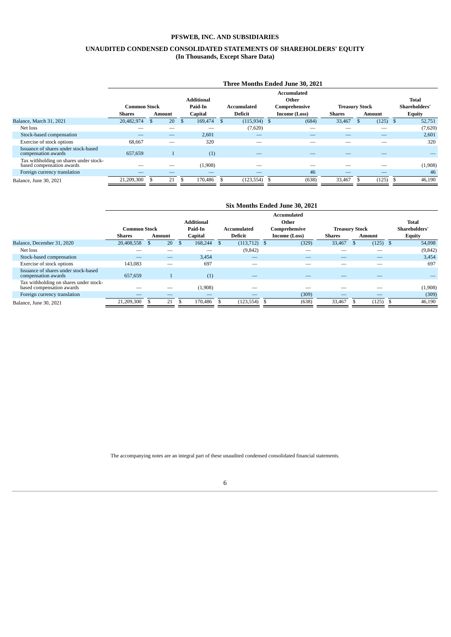# **UNAUDITED CONDENSED CONSOLIDATED STATEMENTS OF SHAREHOLDERS' EQUITY (In Thousands, Except Share Data)**

|                                                                     |                     |        |                            |         |  |                    |      | Three Months Ended June 30, 2021 |               |                       |  |                      |  |  |
|---------------------------------------------------------------------|---------------------|--------|----------------------------|---------|--|--------------------|------|----------------------------------|---------------|-----------------------|--|----------------------|--|--|
|                                                                     |                     |        |                            |         |  |                    |      |                                  |               |                       |  |                      |  |  |
|                                                                     |                     |        | <b>Additional</b><br>Other |         |  |                    |      |                                  |               |                       |  |                      |  |  |
|                                                                     | <b>Common Stock</b> |        |                            | Paid-In |  | <b>Accumulated</b> |      | Comprehensive                    |               | <b>Treasury Stock</b> |  | <b>Shareholders'</b> |  |  |
|                                                                     | Shares              | Amount |                            | Capital |  | <b>Deficit</b>     |      | Income (Loss)                    | <b>Shares</b> | <b>Amount</b>         |  | <b>Equity</b>        |  |  |
| Balance, March 31, 2021                                             | 20,482,974          | 20     |                            | 169,474 |  | (115, 934)         | - 56 | (684)                            | 33,467        | $(125)$ \$            |  | 52,751               |  |  |
| Net loss                                                            |                     |        |                            |         |  | (7,620)            |      |                                  |               |                       |  | (7,620)              |  |  |
| Stock-based compensation                                            |                     |        |                            | 2,601   |  | $-$                |      |                                  |               |                       |  | 2,601                |  |  |
| Exercise of stock options                                           | 68.667              |        |                            | 320     |  |                    |      |                                  |               |                       |  | 320                  |  |  |
| Issuance of shares under stock-based<br>compensation awards         | 657,659             |        |                            | (1)     |  |                    |      |                                  |               |                       |  |                      |  |  |
| Tax withholding on shares under stock-<br>based compensation awards |                     |        |                            | (1,908) |  |                    |      |                                  |               |                       |  | (1,908)              |  |  |
| Foreign currency translation                                        |                     |        |                            |         |  |                    |      | 46                               |               |                       |  | 46                   |  |  |
| Balance, June 30, 2021                                              | 21,209,300          | 21     |                            | 170,486 |  | (123, 554)         |      | (638)                            | 33,467        | (125)                 |  | 46,190               |  |  |

|                                                                     | Six Months Ended June 30, 2021                                                                                                       |   |        |      |            |  |                          |  |                          |               |  |               |     |                        |  |
|---------------------------------------------------------------------|--------------------------------------------------------------------------------------------------------------------------------------|---|--------|------|------------|--|--------------------------|--|--------------------------|---------------|--|---------------|-----|------------------------|--|
|                                                                     | <b>Accumulated</b><br><b>Additional</b><br>Other<br>Paid-In<br><b>Treasury Stock</b><br>Common Stock<br>Accumulated<br>Comprehensive |   |        |      |            |  |                          |  |                          |               |  |               |     | Total<br>Shareholders' |  |
|                                                                     | Shares                                                                                                                               |   | Amount |      | Capital    |  | <b>Deficit</b>           |  | Income (Loss)            | <b>Shares</b> |  | <b>Amount</b> |     | Equity                 |  |
| Balance, December 31, 2020                                          | 20,408,558                                                                                                                           | S | 20     | - \$ | 168,244 \$ |  | $(113,712)$ \$           |  | (329)                    | 33,467        |  | (125)         | -\$ | 54,098                 |  |
| Net loss                                                            | __                                                                                                                                   |   | __     |      | —          |  | (9, 842)                 |  | $\overline{\phantom{a}}$ | —             |  |               |     | (9, 842)               |  |
| Stock-based compensation                                            | —                                                                                                                                    |   | —      |      | 3,454      |  |                          |  |                          |               |  | $-$           |     | 3,454                  |  |
| Exercise of stock options                                           | 143,083                                                                                                                              |   |        |      | 697        |  | $\overline{\phantom{a}}$ |  |                          |               |  |               |     | 697                    |  |
| Issuance of shares under stock-based<br>compensation awards         | 657,659                                                                                                                              |   |        |      | (1)        |  |                          |  |                          |               |  |               |     |                        |  |
| Tax withholding on shares under stock-<br>based compensation awards |                                                                                                                                      |   |        |      | (1,908)    |  |                          |  |                          |               |  |               |     | (1,908)                |  |
| Foreign currency translation                                        |                                                                                                                                      |   |        |      |            |  |                          |  | (309)                    |               |  |               |     | (309)                  |  |
| Balance, June 30, 2021                                              | 21,209,300                                                                                                                           |   | 21     |      | 170,486    |  | $(123, 554)$ \$          |  | (638)                    | 33,467        |  | (125)         |     | 46,190                 |  |

The accompanying notes are an integral part of these unaudited condensed consolidated financial statements.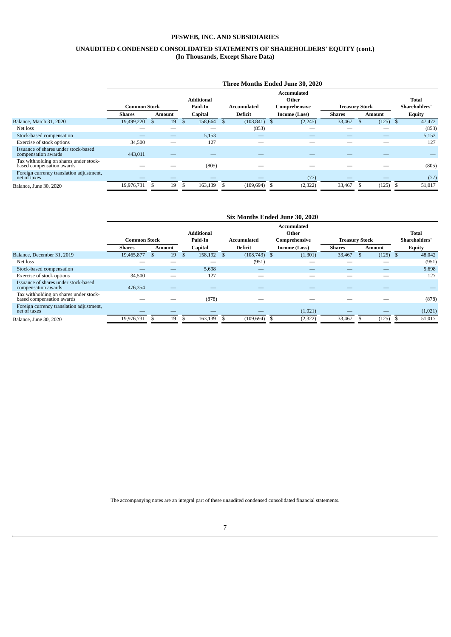# **UNAUDITED CONDENSED CONSOLIDATED STATEMENTS OF SHAREHOLDERS' EQUITY (cont.) (In Thousands, Except Share Data)**

|                                                                     |                                      |        |     |                                         |              |                               | Three Months Ended June 30, 2020                       |               |                                        |      |                                                       |
|---------------------------------------------------------------------|--------------------------------------|--------|-----|-----------------------------------------|--------------|-------------------------------|--------------------------------------------------------|---------------|----------------------------------------|------|-------------------------------------------------------|
|                                                                     | <b>Common Stock</b><br><b>Shares</b> | Amount |     | <b>Additional</b><br>Paid-In<br>Capital |              | Accumulated<br><b>Deficit</b> | Accumulated<br>Other<br>Comprehensive<br>Income (Loss) | <b>Shares</b> | <b>Treasury Stock</b><br><b>Amount</b> |      | <b>Total</b><br><b>Shareholders'</b><br><b>Equity</b> |
| Balance, March 31, 2020                                             | 19,499,220                           | 19     | \$. | 158,664                                 | $\mathbf{s}$ | $(108, 841)$ \$               | (2, 245)                                               | 33,467        | (125)                                  | - \$ | 47,472                                                |
| Net loss                                                            |                                      |        |     |                                         |              | (853)                         |                                                        |               |                                        |      | (853)                                                 |
| Stock-based compensation                                            |                                      | $-$    |     | 5,153                                   |              | $\qquad \qquad -$             |                                                        |               | $\overline{\phantom{m}}$               |      | 5,153                                                 |
| Exercise of stock options                                           | 34,500                               |        |     | 127                                     |              |                               |                                                        |               |                                        |      | 127                                                   |
| Issuance of shares under stock-based<br>compensation awards         | 443,011                              |        |     |                                         |              |                               |                                                        |               |                                        |      |                                                       |
| Tax withholding on shares under stock-<br>based compensation awards |                                      |        |     | (805)                                   |              |                               |                                                        |               |                                        |      | (805)                                                 |
| Foreign currency translation adjustment,<br>net of taxes            |                                      |        |     |                                         |              |                               | (77)                                                   |               |                                        |      | (77)                                                  |
| Balance, June 30, 2020                                              | 19,976,731                           | 19     |     | 163,139                                 |              | $(109, 694)$ \$               | (2, 322)                                               | 33,467        | (125)                                  |      | 51,017                                                |

|                                                                     |                     |        |              |                              |                 |                                              | Six Months Ended June 30, 2020 |                       |        |                                      |               |
|---------------------------------------------------------------------|---------------------|--------|--------------|------------------------------|-----------------|----------------------------------------------|--------------------------------|-----------------------|--------|--------------------------------------|---------------|
|                                                                     | <b>Common Stock</b> |        |              | <b>Additional</b><br>Paid-In | Accumulated     | <b>Accumulated</b><br>Other<br>Comprehensive |                                | <b>Treasury Stock</b> |        | <b>Total</b><br><b>Shareholders'</b> |               |
|                                                                     | Shares              | Amount |              | Capital                      | <b>Deficit</b>  |                                              | <b>Income (Loss)</b>           | <b>Shares</b>         | Amount |                                      | <b>Equity</b> |
| Balance, December 31, 2019                                          | 19,465,877          | 19     | $\mathbf{s}$ | 158,192                      | $(108,743)$ \$  |                                              | (1, 301)                       | 33,467                | (125)  | - \$                                 | 48,042        |
| Net loss                                                            |                     |        |              |                              | (951)           |                                              |                                |                       |        |                                      | (951)         |
| Stock-based compensation                                            |                     | --     |              | 5,698                        |                 |                                              |                                |                       |        |                                      | 5,698         |
| Exercise of stock options                                           | 34,500              |        |              | 127                          |                 |                                              |                                |                       |        |                                      | 127           |
| Issuance of shares under stock-based<br>compensation awards         | 476,354             | --     |              |                              |                 |                                              |                                |                       |        |                                      |               |
| Tax withholding on shares under stock-<br>based compensation awards |                     |        |              | (878)                        |                 |                                              |                                |                       |        |                                      | (878)         |
| Foreign currency translation adjustment,<br>net of taxes            |                     |        |              | __                           |                 |                                              | (1,021)                        |                       |        |                                      | (1,021)       |
| Balance, June 30, 2020                                              | 19,976,731          | 19     |              | 163,139                      | $(109, 694)$ \$ |                                              | (2, 322)                       | 33,467                | (125)  |                                      | 51,017        |

<span id="page-7-0"></span>The accompanying notes are an integral part of these unaudited condensed consolidated financial statements.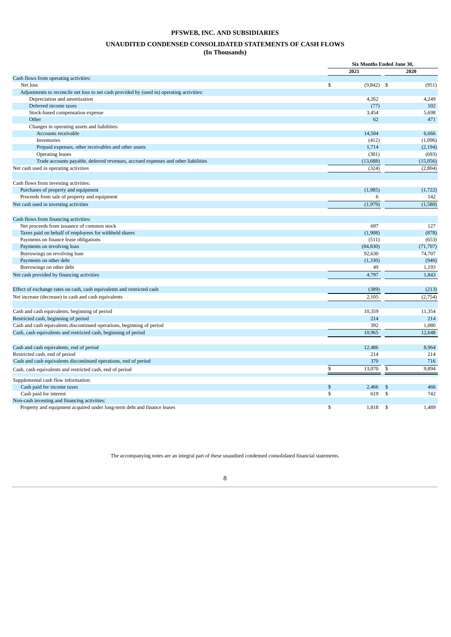# **UNAUDITED CONDENSED CONSOLIDATED STATEMENTS OF CASH FLOWS**

# **(In Thousands)**

|                                                                                           |      | Six Months Ended June 30, |    |           |  |  |
|-------------------------------------------------------------------------------------------|------|---------------------------|----|-----------|--|--|
|                                                                                           | 2021 |                           |    | 2020      |  |  |
| Cash flows from operating activities:                                                     |      |                           |    |           |  |  |
| Net loss                                                                                  | \$   | $(9,842)$ \$              |    | (951)     |  |  |
| Adjustments to reconcile net loss to net cash provided by (used in) operating activities: |      |                           |    |           |  |  |
| Depreciation and amortization                                                             |      | 4,262                     |    | 4,249     |  |  |
| Deferred income taxes                                                                     |      | (77)                      |    | 102       |  |  |
| Stock-based compensation expense                                                          |      | 3,454                     |    | 5,698     |  |  |
| Other                                                                                     |      | 62                        |    | 471       |  |  |
| Changes in operating assets and liabilities:                                              |      |                           |    |           |  |  |
| Accounts receivable                                                                       |      | 14,504                    |    | 6,666     |  |  |
| Inventories                                                                               |      | (412)                     |    | (1,096)   |  |  |
| Prepaid expenses, other receivables and other assets                                      |      | 1,714                     |    | (2, 194)  |  |  |
| <b>Operating leases</b>                                                                   |      | (301)                     |    | (693)     |  |  |
| Trade accounts payable, deferred revenues, accrued expenses and other liabilities         |      | (13,688)                  |    | (15,056)  |  |  |
| Net cash used in operating activities                                                     |      | (324)                     |    | (2,804)   |  |  |
|                                                                                           |      |                           |    |           |  |  |
| Cash flows from investing activities:                                                     |      |                           |    |           |  |  |
| Purchases of property and equipment                                                       |      | (1,985)                   |    | (1, 722)  |  |  |
| Proceeds from sale of property and equipment                                              |      | 6                         |    | 142       |  |  |
| Net cash used in investing activities                                                     |      | (1,979)                   |    | (1,580)   |  |  |
| Cash flows from financing activities:                                                     |      |                           |    |           |  |  |
| Net proceeds from issuance of common stock                                                |      | 697                       |    | 127       |  |  |
| Taxes paid on behalf of employees for withheld shares                                     |      | (1,908)                   |    | (878)     |  |  |
| Payments on finance lease obligations                                                     |      | (511)                     |    | (653)     |  |  |
| Payments on revolving loan                                                                |      | (84, 830)                 |    | (71, 707) |  |  |
| Borrowings on revolving loan                                                              |      | 92,630                    |    | 74,707    |  |  |
| Payments on other debt                                                                    |      | (1, 330)                  |    | (946)     |  |  |
| Borrowings on other debt                                                                  |      | 49                        |    | 1,193     |  |  |
|                                                                                           |      | 4,797                     |    | 1,843     |  |  |
| Net cash provided by financing activities                                                 |      |                           |    |           |  |  |
| Effect of exchange rates on cash, cash equivalents and restricted cash                    |      | (389)                     |    | (213)     |  |  |
| Net increase (decrease) in cash and cash equivalents                                      |      | 2,105                     |    | (2,754)   |  |  |
|                                                                                           |      |                           |    |           |  |  |
| Cash and cash equivalents, beginning of period                                            |      | 10,359                    |    | 11,354    |  |  |
| Restricted cash, beginning of period                                                      |      | 214                       |    | 214       |  |  |
| Cash and cash equivalents discontinued operations, beginning of period                    |      | 392                       |    | 1,080     |  |  |
| Cash, cash equivalents and restricted cash, beginning of period                           |      | 10,965                    |    | 12,648    |  |  |
|                                                                                           |      |                           |    |           |  |  |
| Cash and cash equivalents, end of period                                                  |      | 12,486                    |    | 8,964     |  |  |
| Restricted cash, end of period                                                            |      | 214                       |    | 214       |  |  |
| Cash and cash equivalents discontinued operations, end of period                          |      | 370                       |    | 716       |  |  |
| Cash, cash equivalents and restricted cash, end of period                                 | \$   | 13,070                    | \$ | 9,894     |  |  |
| Supplemental cash flow information:                                                       |      |                           |    |           |  |  |
| Cash paid for income taxes                                                                | \$   | 2,466                     | \$ | 466       |  |  |
| Cash paid for interest                                                                    | \$   | 619                       | \$ | 742       |  |  |
| Non-cash investing and financing activities:                                              |      |                           |    |           |  |  |
| Property and equipment acquired under long-term debt and finance leases                   | \$   | 1,818                     | \$ | 1,489     |  |  |

<span id="page-8-0"></span>The accompanying notes are an integral part of these unaudited condensed consolidated financial statements.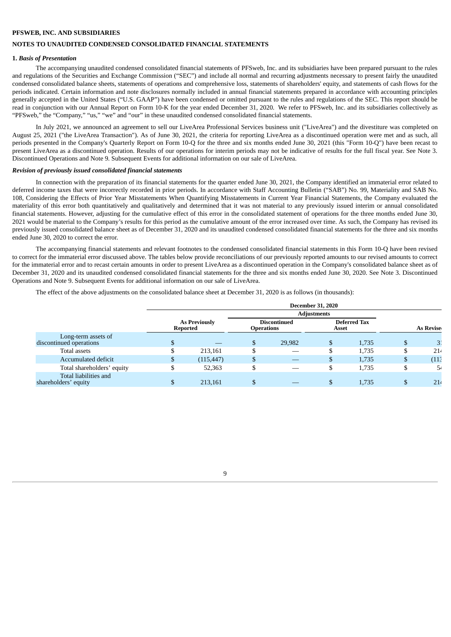## **NOTES TO UNAUDITED CONDENSED CONSOLIDATED FINANCIAL STATEMENTS**

#### **1.** *Basis of Presentation*

The accompanying unaudited condensed consolidated financial statements of PFSweb, Inc. and its subsidiaries have been prepared pursuant to the rules and regulations of the Securities and Exchange Commission ("SEC") and include all normal and recurring adjustments necessary to present fairly the unaudited condensed consolidated balance sheets, statements of operations and comprehensive loss, statements of shareholders' equity, and statements of cash flows for the periods indicated. Certain information and note disclosures normally included in annual financial statements prepared in accordance with accounting principles generally accepted in the United States ("U.S. GAAP") have been condensed or omitted pursuant to the rules and regulations of the SEC. This report should be read in conjunction with our Annual Report on Form 10-K for the year ended December 31, 2020. We refer to PFSweb, Inc. and its subsidiaries collectively as "PFSweb," the "Company," "us," "we" and "our" in these unaudited condensed consolidated financial statements.

In July 2021, we announced an agreement to sell our LiveArea Professional Services business unit ("LiveArea") and the divestiture was completed on August 25, 2021 ("the LiveArea Transaction"). As of June 30, 2021, the criteria for reporting LiveArea as a discontinued operation were met and as such, all periods presented in the Company's Quarterly Report on Form 10-Q for the three and six months ended June 30, 2021 (this "Form 10-Q") have been recast to present LiveArea as a discontinued operation. Results of our operations for interim periods may not be indicative of results for the full fiscal year. See Note 3. Discontinued Operations and Note 9. Subsequent Events for additional information on our sale of LiveArea.

#### *Revision of previously issued consolidated financial statements*

In connection with the preparation of its financial statements for the quarter ended June 30, 2021, the Company identified an immaterial error related to deferred income taxes that were incorrectly recorded in prior periods. In accordance with Staff Accounting Bulletin ("SAB") No. 99, Materiality and SAB No. 108, Considering the Effects of Prior Year Misstatements When Quantifying Misstatements in Current Year Financial Statements, the Company evaluated the materiality of this error both quantitatively and qualitatively and determined that it was not material to any previously issued interim or annual consolidated financial statements. However, adjusting for the cumulative effect of this error in the consolidated statement of operations for the three months ended June 30, 2021 would be material to the Company's results for this period as the cumulative amount of the error increased over time. As such, the Company has revised its previously issued consolidated balance sheet as of December 31, 2020 and its unaudited condensed consolidated financial statements for the three and six months ended June 30, 2020 to correct the error.

The accompanying financial statements and relevant footnotes to the condensed consolidated financial statements in this Form 10-Q have been revised to correct for the immaterial error discussed above. The tables below provide reconciliations of our previously reported amounts to our revised amounts to correct for the immaterial error and to recast certain amounts in order to present LiveArea as a discontinued operation in the Company's consolidated balance sheet as of December 31, 2020 and its unaudited condensed consolidated financial statements for the three and six months ended June 30, 2020. See Note 3. Discontinued Operations and Note 9. Subsequent Events for additional information on our sale of LiveArea.

The effect of the above adjustments on the consolidated balance sheet at December 31, 2020 is as follows (in thousands):

|                                                |          |                      |                   |                     | <b>December 31, 2020</b> |                     |               |      |  |  |  |  |
|------------------------------------------------|----------|----------------------|-------------------|---------------------|--------------------------|---------------------|---------------|------|--|--|--|--|
|                                                |          | <b>Adjustments</b>   |                   |                     |                          |                     |               |      |  |  |  |  |
|                                                | Reported | <b>As Previously</b> | <b>Operations</b> | <b>Discontinued</b> | Asset                    | <b>Deferred Tax</b> | As Revise     |      |  |  |  |  |
| Long-term assets of<br>discontinued operations |          |                      | ЭD.               | 29,982              | \$                       | 1.735               | <sup>\$</sup> | 31   |  |  |  |  |
| Total assets                                   |          | 213,161              |                   |                     |                          | 1,735               | J             | 214  |  |  |  |  |
| Accumulated deficit                            |          | (115, 447)           |                   |                     | \$                       | 1.735               | \$            | (113 |  |  |  |  |
| Total shareholders' equity                     |          | 52,363               | D                 |                     | \$                       | 1,735               | D             | 54   |  |  |  |  |
| Total liabilities and<br>shareholders' equity  |          | 213,161              |                   |                     | D                        | 1,735               | \$            | 214  |  |  |  |  |

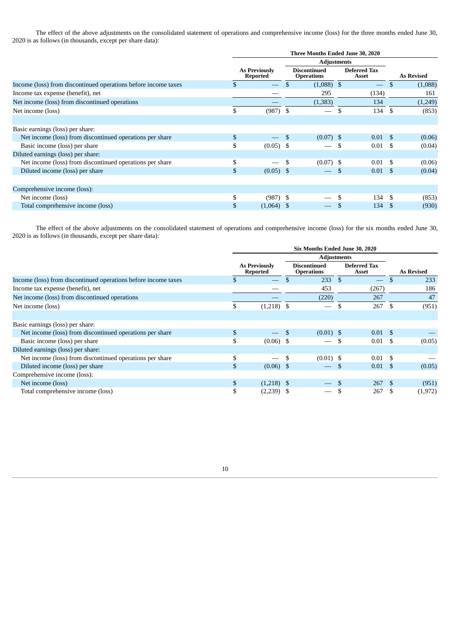The effect of the above adjustments on the consolidated statement of operations and comprehensive income (loss) for the three months ended June 30, 2020 is as follows (in thousands, except per share data):

|                                                                | Three Months Ended June 30, 2020 |                                         |    |                                          |    |                              |      |                   |  |  |
|----------------------------------------------------------------|----------------------------------|-----------------------------------------|----|------------------------------------------|----|------------------------------|------|-------------------|--|--|
|                                                                |                                  |                                         |    | <b>Adjustments</b>                       |    |                              |      |                   |  |  |
|                                                                |                                  | <b>As Previously</b><br><b>Reported</b> |    | <b>Discontinued</b><br><b>Operations</b> |    | <b>Deferred Tax</b><br>Asset |      | <b>As Revised</b> |  |  |
| Income (loss) from discontinued operations before income taxes |                                  |                                         |    | $(1,088)$ \$                             |    |                              |      | (1,088)           |  |  |
| Income tax expense (benefit), net                              |                                  |                                         |    | 295                                      |    | (134)                        |      | 161               |  |  |
| Net income (loss) from discontinued operations                 |                                  |                                         |    | (1,383)                                  |    | 134                          |      | (1,249)           |  |  |
| Net income (loss)                                              | \$                               | $(987)$ \$                              |    |                                          | \$ | 134                          | -S   | (853)             |  |  |
|                                                                |                                  |                                         |    |                                          |    |                              |      |                   |  |  |
| Basic earnings (loss) per share:                               |                                  |                                         |    |                                          |    |                              |      |                   |  |  |
| Net income (loss) from discontinued operations per share       | \$                               |                                         | \$ | $(0.07)$ \$                              |    | 0.01                         | - \$ | (0.06)            |  |  |
| Basic income (loss) per share                                  | \$                               | $(0.05)$ \$                             |    |                                          | S  | 0.01                         | - S  | (0.04)            |  |  |
| Diluted earnings (loss) per share:                             |                                  |                                         |    |                                          |    |                              |      |                   |  |  |
| Net income (loss) from discontinued operations per share       | \$                               |                                         | \$ | $(0.07)$ \$                              |    | 0.01                         | -\$  | (0.06)            |  |  |
| Diluted income (loss) per share                                | \$                               | $(0.05)$ \$                             |    |                                          | £. | 0.01                         | - S  | (0.04)            |  |  |
|                                                                |                                  |                                         |    |                                          |    |                              |      |                   |  |  |
| Comprehensive income (loss):                                   |                                  |                                         |    |                                          |    |                              |      |                   |  |  |
| Net income (loss)                                              | \$                               | (987) \$                                |    |                                          |    | 134                          | - \$ | (853)             |  |  |
| Total comprehensive income (loss)                              | \$                               | $(1,064)$ \$                            |    |                                          |    | 134                          |      | (930)             |  |  |

The effect of the above adjustments on the consolidated statement of operations and comprehensive income (loss) for the six months ended June 30, 2020 is as follows (in thousands, except per share data):

|                                                                | Six Months Ended June 30, 2020 |                                  |      |                                          |                              |                   |     |                   |  |  |  |  |
|----------------------------------------------------------------|--------------------------------|----------------------------------|------|------------------------------------------|------------------------------|-------------------|-----|-------------------|--|--|--|--|
|                                                                |                                |                                  |      |                                          |                              |                   |     |                   |  |  |  |  |
|                                                                |                                | <b>As Previously</b><br>Reported |      | <b>Discontinued</b><br><b>Operations</b> | <b>Deferred Tax</b><br>Asset |                   |     | <b>As Revised</b> |  |  |  |  |
| Income (loss) from discontinued operations before income taxes |                                |                                  |      | 233                                      | $\mathbf{\$}$                | $\qquad \qquad -$ |     | 233               |  |  |  |  |
| Income tax expense (benefit), net                              |                                |                                  |      | 453                                      |                              | (267)             |     | 186               |  |  |  |  |
| Net income (loss) from discontinued operations                 |                                |                                  |      | (220)                                    |                              | 267               |     | 47                |  |  |  |  |
| Net income (loss)                                              |                                | $(1,218)$ \$                     |      |                                          | \$                           | 267               | -\$ | (951)             |  |  |  |  |
|                                                                |                                |                                  |      |                                          |                              |                   |     |                   |  |  |  |  |
| Basic earnings (loss) per share:                               |                                |                                  |      |                                          |                              |                   |     |                   |  |  |  |  |
| Net income (loss) from discontinued operations per share       | \$                             |                                  | - \$ | $(0.01)$ \$                              |                              | $0.01 \quad$ \$   |     |                   |  |  |  |  |
| Basic income (loss) per share                                  | \$                             | $(0.06)$ \$                      |      | —                                        | S                            | $0.01 \quad$ \$   |     | (0.05)            |  |  |  |  |
| Diluted earnings (loss) per share:                             |                                |                                  |      |                                          |                              |                   |     |                   |  |  |  |  |
| Net income (loss) from discontinued operations per share       |                                |                                  | \$   | $(0.01)$ \$                              |                              | 0.01              | -\$ |                   |  |  |  |  |
| Diluted income (loss) per share                                | \$                             | $(0.06)$ \$                      |      |                                          | <b>S</b>                     | $0.01 \quad$ \$   |     | (0.05)            |  |  |  |  |
| Comprehensive income (loss):                                   |                                |                                  |      |                                          |                              |                   |     |                   |  |  |  |  |
| Net income (loss)                                              | \$                             | $(1,218)$ \$                     |      |                                          |                              | 267               | -\$ | (951)             |  |  |  |  |
| Total comprehensive income (loss)                              | \$                             | $(2,239)$ \$                     |      |                                          | \$                           | 267               |     | (1, 972)          |  |  |  |  |

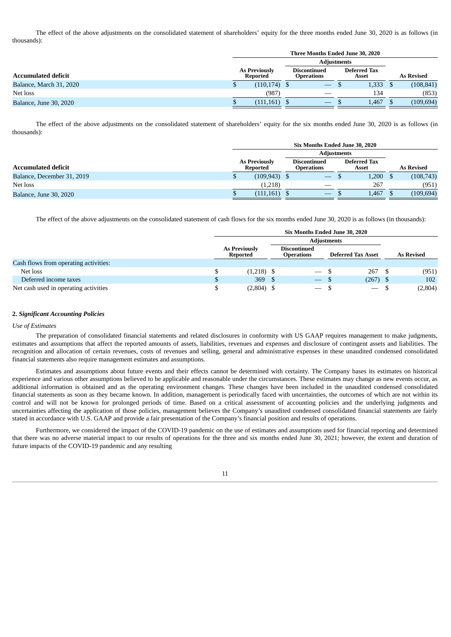The effect of the above adjustments on the consolidated statement of shareholders' equity for the three months ended June 30, 2020 is as follows (in thousands):

|                               |  |                 |                    | Three Months Ended June 30, 2020 |  |                                          |  |                              |  |                   |
|-------------------------------|--|-----------------|--------------------|----------------------------------|--|------------------------------------------|--|------------------------------|--|-------------------|
|                               |  |                 | <b>Adiustments</b> |                                  |  |                                          |  |                              |  |                   |
| <b>Accumulated deficit</b>    |  | Reported        |                    | <b>As Previously</b>             |  | <b>Discontinued</b><br><b>Operations</b> |  | <b>Deferred Tax</b><br>Asset |  | <b>As Revised</b> |
| Balance, March 31, 2020       |  | $(110, 174)$ \$ |                    | $\hspace{0.05cm}$                |  | 1,333                                    |  | (108, 841)                   |  |                   |
| Net loss                      |  | (987)           |                    |                                  |  | 134                                      |  | (853)                        |  |                   |
| <b>Balance, June 30, 2020</b> |  | (111, 161)      |                    | $\qquad \qquad -$                |  | 1,467                                    |  | (109, 694)                   |  |                   |

The effect of the above adjustments on the consolidated statement of shareholders' equity for the six months ended June 30, 2020 is as follows (in thousands):

|                            | Six Months Ended June 30, 2020 |                                  |                                          |                          |    |                              |                   |            |  |  |
|----------------------------|--------------------------------|----------------------------------|------------------------------------------|--------------------------|----|------------------------------|-------------------|------------|--|--|
|                            |                                |                                  |                                          | <b>Adiustments</b>       |    |                              |                   |            |  |  |
| <b>Accumulated deficit</b> |                                | <b>As Previously</b><br>Reported | <b>Discontinued</b><br><b>Operations</b> |                          |    | <b>Deferred Tax</b><br>Asset | <b>As Revised</b> |            |  |  |
| Balance, December 31, 2019 |                                | (109, 943)                       |                                          | $\overline{\phantom{0}}$ | لت | 1,200                        |                   | (108, 743) |  |  |
| Net loss                   |                                | (1,218)                          |                                          |                          |    | 267                          |                   | (951)      |  |  |
| Balance, June 30, 2020     |                                | (111, 161)                       |                                          | $\hspace{0.05cm}$        |    | 1,467                        |                   | (109, 694) |  |  |

The effect of the above adjustments on the consolidated statement of cash flows for the six months ended June 30, 2020 is as follows (in thousands):

|                                       | Six Months Ended June 30, 2020                                                                            |              |  |                          |  |                   |  |                   |  |  |  |  |  |
|---------------------------------------|-----------------------------------------------------------------------------------------------------------|--------------|--|--------------------------|--|-------------------|--|-------------------|--|--|--|--|--|
|                                       |                                                                                                           |              |  |                          |  |                   |  |                   |  |  |  |  |  |
|                                       | <b>As Previously</b><br><b>Discontinued</b><br><b>Deferred Tax Asset</b><br>Reported<br><b>Operations</b> |              |  |                          |  |                   |  | <b>As Revised</b> |  |  |  |  |  |
| Cash flows from operating activities: |                                                                                                           |              |  |                          |  |                   |  |                   |  |  |  |  |  |
| Net loss                              |                                                                                                           | $(1,218)$ \$ |  | $\overline{\phantom{0}}$ |  | 267S              |  | (951)             |  |  |  |  |  |
| Deferred income taxes                 |                                                                                                           | 369S         |  | $-$ \$                   |  | $(267)$ \$        |  | 102               |  |  |  |  |  |
| Net cash used in operating activities |                                                                                                           | $(2,804)$ \$ |  | $\overline{\phantom{a}}$ |  | $\hspace{0.05cm}$ |  | (2,804)           |  |  |  |  |  |

# **2.** *Significant Accounting Policies*

#### *Use of Estimates*

The preparation of consolidated financial statements and related disclosures in conformity with US GAAP requires management to make judgments, estimates and assumptions that affect the reported amounts of assets, liabilities, revenues and expenses and disclosure of contingent assets and liabilities. The recognition and allocation of certain revenues, costs of revenues and selling, general and administrative expenses in these unaudited condensed consolidated financial statements also require management estimates and assumptions.

Estimates and assumptions about future events and their effects cannot be determined with certainty. The Company bases its estimates on historical experience and various other assumptions believed to be applicable and reasonable under the circumstances. These estimates may change as new events occur, as additional information is obtained and as the operating environment changes. These changes have been included in the unaudited condensed consolidated financial statements as soon as they became known. In addition, management is periodically faced with uncertainties, the outcomes of which are not within its control and will not be known for prolonged periods of time. Based on a critical assessment of accounting policies and the underlying judgments and uncertainties affecting the application of those policies, management believes the Company's unaudited condensed consolidated financial statements are fairly stated in accordance with U.S. GAAP and provide a fair presentation of the Company's financial position and results of operations.

Furthermore, we considered the impact of the COVID-19 pandemic on the use of estimates and assumptions used for financial reporting and determined that there was no adverse material impact to our results of operations for the three and six months ended June 30, 2021; however, the extent and duration of future impacts of the COVID-19 pandemic and any resulting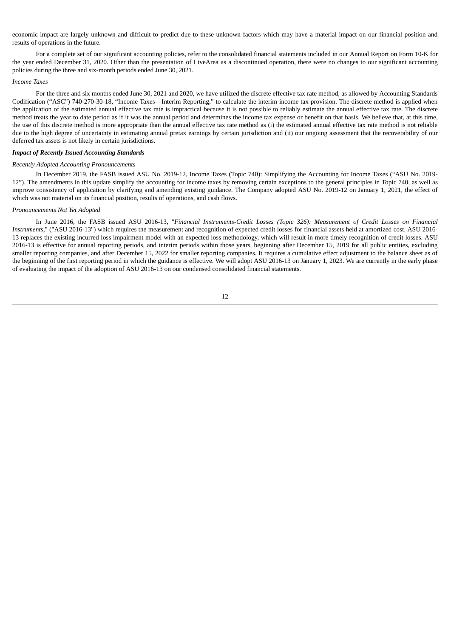economic impact are largely unknown and difficult to predict due to these unknown factors which may have a material impact on our financial position and results of operations in the future.

For a complete set of our significant accounting policies, refer to the consolidated financial statements included in our Annual Report on Form 10-K for the year ended December 31, 2020. Other than the presentation of LiveArea as a discontinued operation, there were no changes to our significant accounting policies during the three and six-month periods ended June 30, 2021.

#### *Income Taxes*

For the three and six months ended June 30, 2021 and 2020, we have utilized the discrete effective tax rate method, as allowed by Accounting Standards Codification ("ASC") 740-270-30-18, "Income Taxes—Interim Reporting," to calculate the interim income tax provision. The discrete method is applied when the application of the estimated annual effective tax rate is impractical because it is not possible to reliably estimate the annual effective tax rate. The discrete method treats the year to date period as if it was the annual period and determines the income tax expense or benefit on that basis. We believe that, at this time, the use of this discrete method is more appropriate than the annual effective tax rate method as (i) the estimated annual effective tax rate method is not reliable due to the high degree of uncertainty in estimating annual pretax earnings by certain jurisdiction and (ii) our ongoing assessment that the recoverability of our deferred tax assets is not likely in certain jurisdictions.

## *Impact of Recently Issued Accounting Standards*

#### *Recently Adopted Accounting Pronouncements*

In December 2019, the FASB issued ASU No. 2019-12, Income Taxes (Topic 740): Simplifying the Accounting for Income Taxes ("ASU No. 2019- 12"). The amendments in this update simplify the accounting for income taxes by removing certain exceptions to the general principles in Topic 740, as well as improve consistency of application by clarifying and amending existing guidance. The Company adopted ASU No. 2019-12 on January 1, 2021, the effect of which was not material on its financial position, results of operations, and cash flows.

#### *Pronouncements Not Yet Adopted*

In June 2016, the FASB issued ASU 2016-13, "*Financial Instruments-Credit Losses (Topic 326): Measurement of Credit Losses on Financial Instruments*," ("ASU 2016-13") which requires the measurement and recognition of expected credit losses for financial assets held at amortized cost. ASU 2016- 13 replaces the existing incurred loss impairment model with an expected loss methodology, which will result in more timely recognition of credit losses. ASU 2016-13 is effective for annual reporting periods, and interim periods within those years, beginning after December 15, 2019 for all public entities, excluding smaller reporting companies, and after December 15, 2022 for smaller reporting companies. It requires a cumulative effect adjustment to the balance sheet as of the beginning of the first reporting period in which the guidance is effective. We will adopt ASU 2016-13 on January 1, 2023. We are currently in the early phase of evaluating the impact of the adoption of ASU 2016-13 on our condensed consolidated financial statements.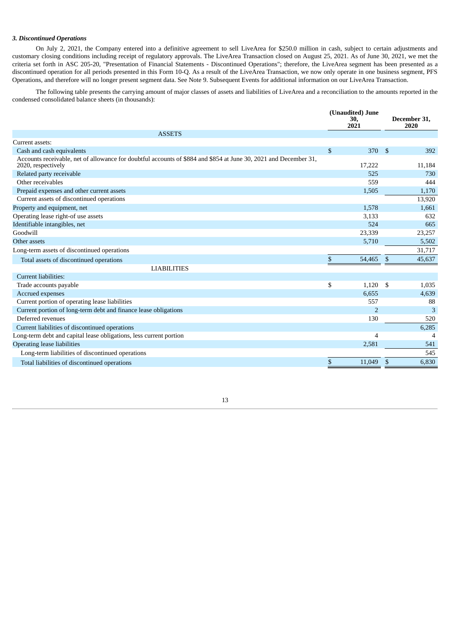# *3. Discontinued Operations*

On July 2, 2021, the Company entered into a definitive agreement to sell LiveArea for \$250.0 million in cash, subject to certain adjustments and customary closing conditions including receipt of regulatory approvals. The LiveArea Transaction closed on August 25, 2021. As of June 30, 2021, we met the criteria set forth in ASC 205-20, "Presentation of Financial Statements - Discontinued Operations"; therefore, the LiveArea segment has been presented as a discontinued operation for all periods presented in this Form 10-Q. As a result of the LiveArea Transaction, we now only operate in one business segment, PFS Operations, and therefore will no longer present segment data. See Note 9. Subsequent Events for additional information on our LiveArea Transaction.

The following table presents the carrying amount of major classes of assets and liabilities of LiveArea and a reconciliation to the amounts reported in the condensed consolidated balance sheets (in thousands):

|                                                                                                                                        | (Unaudited) June<br>30,<br>2021 |              | December 31.<br>2020 |
|----------------------------------------------------------------------------------------------------------------------------------------|---------------------------------|--------------|----------------------|
| <b>ASSETS</b>                                                                                                                          |                                 |              |                      |
| Current assets:                                                                                                                        |                                 |              |                      |
| Cash and cash equivalents                                                                                                              | \$<br>370                       | $\mathbf{s}$ | 392                  |
| Accounts receivable, net of allowance for doubtful accounts of \$884 and \$854 at June 30, 2021 and December 31,<br>2020, respectively | 17,222                          |              | 11,184               |
| Related party receivable                                                                                                               | 525                             |              | 730                  |
| Other receivables                                                                                                                      | 559                             |              | 444                  |
| Prepaid expenses and other current assets                                                                                              | 1,505                           |              | 1,170                |
| Current assets of discontinued operations                                                                                              |                                 |              | 13,920               |
| Property and equipment, net                                                                                                            | 1,578                           |              | 1,661                |
| Operating lease right-of use assets                                                                                                    | 3,133                           |              | 632                  |
| Identifiable intangibles, net                                                                                                          | 524                             |              | 665                  |
| Goodwill                                                                                                                               | 23,339                          |              | 23,257               |
| Other assets                                                                                                                           | 5,710                           |              | 5,502                |
| Long-term assets of discontinued operations                                                                                            |                                 |              | 31,717               |
| Total assets of discontinued operations                                                                                                | \$<br>54,465                    | \$           | 45,637               |
| <b>LIABILITIES</b>                                                                                                                     |                                 |              |                      |
| <b>Current liabilities:</b>                                                                                                            |                                 |              |                      |
| Trade accounts payable                                                                                                                 | \$<br>1,120                     | - \$         | 1,035                |
| Accrued expenses                                                                                                                       | 6,655                           |              | 4,639                |
| Current portion of operating lease liabilities                                                                                         | 557                             |              | 88                   |
| Current portion of long-term debt and finance lease obligations                                                                        | $\overline{2}$                  |              | 3                    |
| Deferred revenues                                                                                                                      | 130                             |              | 520                  |
| Current liabilities of discontinued operations                                                                                         |                                 |              | 6,285                |
| Long-term debt and capital lease obligations, less current portion                                                                     | 4                               |              | 4                    |
| <b>Operating lease liabilities</b>                                                                                                     | 2,581                           |              | 541                  |
| Long-term liabilities of discontinued operations                                                                                       |                                 |              | 545                  |
| Total liabilities of discontinued operations                                                                                           | \$<br>11,049                    | \$           | 6,830                |
|                                                                                                                                        |                                 |              |                      |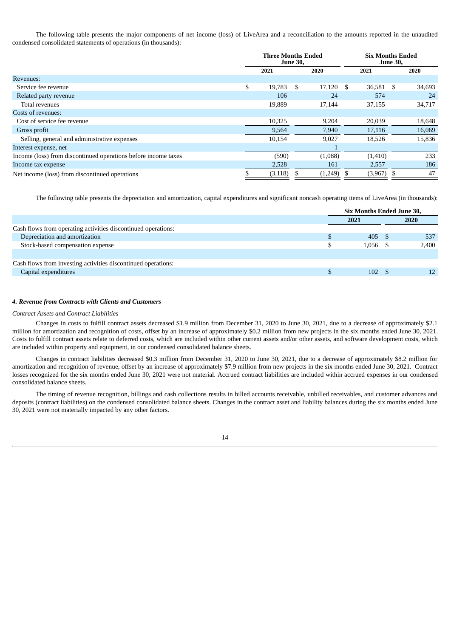The following table presents the major components of net income (loss) of LiveArea and a reconciliation to the amounts reported in the unaudited condensed consolidated statements of operations (in thousands):

|                                                                | <b>Three Months Ended</b> | <b>June 30,</b> |              |      | <b>Six Months Ended</b><br><b>June 30,</b> |   |        |
|----------------------------------------------------------------|---------------------------|-----------------|--------------|------|--------------------------------------------|---|--------|
|                                                                | 2021                      |                 | 2020         |      | 2021                                       |   | 2020   |
| Revenues:                                                      |                           |                 |              |      |                                            |   |        |
| Service fee revenue                                            | \$<br>19,783              | S               | 17,120       | - \$ | 36,581                                     | S | 34,693 |
| Related party revenue                                          | 106                       |                 | 24           |      | 574                                        |   | 24     |
| Total revenues                                                 | 19,889                    |                 | 17,144       |      | 37,155                                     |   | 34,717 |
| Costs of revenues:                                             |                           |                 |              |      |                                            |   |        |
| Cost of service fee revenue                                    | 10,325                    |                 | 9,204        |      | 20,039                                     |   | 18,648 |
| Gross profit                                                   | 9,564                     |                 | 7,940        |      | 17,116                                     |   | 16,069 |
| Selling, general and administrative expenses                   | 10,154                    |                 | 9,027        |      | 18,526                                     |   | 15,836 |
| Interest expense, net                                          |                           |                 |              |      |                                            |   |        |
| Income (loss) from discontinued operations before income taxes | (590)                     |                 | (1,088)      |      | (1, 410)                                   |   | 233    |
| Income tax expense                                             | 2,528                     |                 | 161          |      | 2,557                                      |   | 186    |
| Net income (loss) from discontinued operations                 | (3, 118)                  |                 | $(1,249)$ \$ |      | (3,967)                                    | S | 47     |

The following table presents the depreciation and amortization, capital expenditures and significant noncash operating items of LiveArea (in thousands):

|                                                               | Six Months Ended June 30, |  |       |  |  |  |  |  |
|---------------------------------------------------------------|---------------------------|--|-------|--|--|--|--|--|
|                                                               | 2021                      |  | 2020  |  |  |  |  |  |
| Cash flows from operating activities discontinued operations: |                           |  |       |  |  |  |  |  |
| Depreciation and amortization                                 | $405 \quad$ \$            |  | 537   |  |  |  |  |  |
| Stock-based compensation expense                              | $1.056$ \$                |  | 2.400 |  |  |  |  |  |
|                                                               |                           |  |       |  |  |  |  |  |
| Cash flows from investing activities discontinued operations: |                           |  |       |  |  |  |  |  |
| Capital expenditures                                          | 102S                      |  |       |  |  |  |  |  |
|                                                               |                           |  |       |  |  |  |  |  |

# *4. Revenue from Contracts with Clients and Customers*

#### *Contract Assets and Contract Liabilities*

Changes in costs to fulfill contract assets decreased \$1.9 million from December 31, 2020 to June 30, 2021, due to a decrease of approximately \$2.1 million for amortization and recognition of costs, offset by an increase of approximately \$0.2 million from new projects in the six months ended June 30, 2021. Costs to fulfill contract assets relate to deferred costs, which are included within other current assets and/or other assets, and software development costs, which are included within property and equipment, in our condensed consolidated balance sheets.

Changes in contract liabilities decreased \$0.3 million from December 31, 2020 to June 30, 2021, due to a decrease of approximately \$8.2 million for amortization and recognition of revenue, offset by an increase of approximately \$7.9 million from new projects in the six months ended June 30, 2021. Contract losses recognized for the six months ended June 30, 2021 were not material. Accrued contract liabilities are included within accrued expenses in our condensed consolidated balance sheets.

The timing of revenue recognition, billings and cash collections results in billed accounts receivable, unbilled receivables, and customer advances and deposits (contract liabilities) on the condensed consolidated balance sheets. Changes in the contract asset and liability balances during the six months ended June 30, 2021 were not materially impacted by any other factors.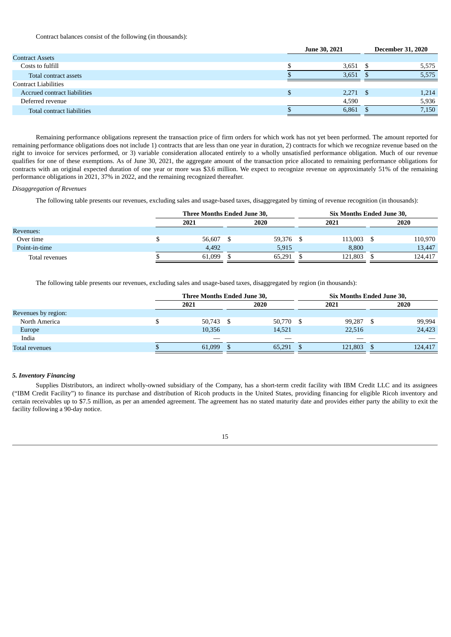Contract balances consist of the following (in thousands):

|       |               | <b>December 31, 2020</b> |
|-------|---------------|--------------------------|
|       |               |                          |
| 3,651 |               | 5,575                    |
| 3,651 |               | 5,575                    |
|       |               |                          |
|       |               | 1,214                    |
| 4,590 |               | 5,936                    |
| 6,861 |               | 7,150                    |
|       | June 30, 2021 | $2,271$ \$               |

Remaining performance obligations represent the transaction price of firm orders for which work has not yet been performed. The amount reported for remaining performance obligations does not include 1) contracts that are less than one year in duration, 2) contracts for which we recognize revenue based on the right to invoice for services performed, or 3) variable consideration allocated entirely to a wholly unsatisfied performance obligation. Much of our revenue qualifies for one of these exemptions. As of June 30, 2021, the aggregate amount of the transaction price allocated to remaining performance obligations for contracts with an original expected duration of one year or more was \$3.6 million. We expect to recognize revenue on approximately 51% of the remaining performance obligations in 2021, 37% in 2022, and the remaining recognized thereafter.

#### *Disaggregation of Revenues*

The following table presents our revenues, excluding sales and usage-based taxes, disaggregated by timing of revenue recognition (in thousands):

|                | Three Months Ended June 30, |      |           |  |         | Six Months Ended June 30, |  |  |  |  |
|----------------|-----------------------------|------|-----------|--|---------|---------------------------|--|--|--|--|
|                | 2021                        | 2020 |           |  | 2021    | 2020                      |  |  |  |  |
| Revenues:      |                             |      |           |  |         |                           |  |  |  |  |
| Over time      | 56,607                      |      | 59,376 \$ |  | 113,003 | 110,970                   |  |  |  |  |
| Point-in-time  | 4.492                       |      | 5,915     |  | 8,800   | 13,447                    |  |  |  |  |
| Total revenues | 61.099                      |      | 65.291    |  | 121,803 | 124,417                   |  |  |  |  |
|                |                             |      |           |  |         |                           |  |  |  |  |

The following table presents our revenues, excluding sales and usage-based taxes, disaggregated by region (in thousands):

|                     |      | Three Months Ended June 30, |      |           |  | <b>Six Months Ended June 30,</b> |         |
|---------------------|------|-----------------------------|------|-----------|--|----------------------------------|---------|
|                     | 2021 |                             | 2020 |           |  | 2021                             | 2020    |
| Revenues by region: |      |                             |      |           |  |                                  |         |
| North America       |      | 50,743 \$                   |      | 50,770 \$ |  | 99,287                           | 99,994  |
| Europe              |      | 10,356                      |      | 14,521    |  | 22,516                           | 24,423  |
| India               |      |                             |      |           |  | __                               |         |
| Total revenues      |      | 61,099                      |      | 65,291    |  | 121,803                          | 124,417 |

# *5. Inventory Financing*

Supplies Distributors, an indirect wholly-owned subsidiary of the Company, has a short-term credit facility with IBM Credit LLC and its assignees ("IBM Credit Facility") to finance its purchase and distribution of Ricoh products in the United States, providing financing for eligible Ricoh inventory and certain receivables up to \$7.5 million, as per an amended agreement. The agreement has no stated maturity date and provides either party the ability to exit the facility following a 90-day notice.

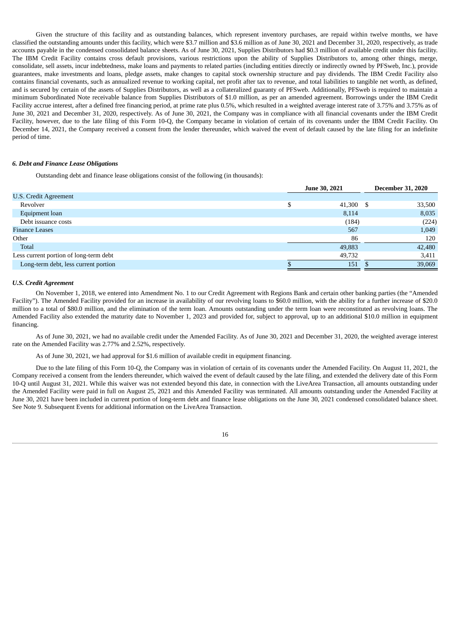Given the structure of this facility and as outstanding balances, which represent inventory purchases, are repaid within twelve months, we have classified the outstanding amounts under this facility, which were \$3.7 million and \$3.6 million as of June 30, 2021 and December 31, 2020, respectively, as trade accounts payable in the condensed consolidated balance sheets. As of June 30, 2021, Supplies Distributors had \$0.3 million of available credit under this facility. The IBM Credit Facility contains cross default provisions, various restrictions upon the ability of Supplies Distributors to, among other things, merge, consolidate, sell assets, incur indebtedness, make loans and payments to related parties (including entities directly or indirectly owned by PFSweb, Inc.), provide guarantees, make investments and loans, pledge assets, make changes to capital stock ownership structure and pay dividends. The IBM Credit Facility also contains financial covenants, such as annualized revenue to working capital, net profit after tax to revenue, and total liabilities to tangible net worth, as defined, and is secured by certain of the assets of Supplies Distributors, as well as a collateralized guaranty of PFSweb. Additionally, PFSweb is required to maintain a minimum Subordinated Note receivable balance from Supplies Distributors of \$1.0 million, as per an amended agreement. Borrowings under the IBM Credit Facility accrue interest, after a defined free financing period, at prime rate plus 0.5%, which resulted in a weighted average interest rate of 3.75% and 3.75% as of June 30, 2021 and December 31, 2020, respectively. As of June 30, 2021, the Company was in compliance with all financial covenants under the IBM Credit Facility, however, due to the late filing of this Form 10-Q, the Company became in violation of certain of its covenants under the IBM Credit Facility. On December 14, 2021, the Company received a consent from the lender thereunder, which waived the event of default caused by the late filing for an indefinite period of time.

#### *6. Debt and Finance Lease Obligations*

Outstanding debt and finance lease obligations consist of the following (in thousands):

|                                        | <b>June 30, 2021</b> |     | <b>December 31, 2020</b> |
|----------------------------------------|----------------------|-----|--------------------------|
| U.S. Credit Agreement                  |                      |     |                          |
| Revolver                               | 41,300               | - S | 33,500                   |
| Equipment loan                         | 8,114                |     | 8,035                    |
| Debt issuance costs                    | (184)                |     | (224)                    |
| <b>Finance Leases</b>                  | 567                  |     | 1,049                    |
| Other                                  | 86                   |     | 120                      |
| Total                                  | 49,883               |     | 42,480                   |
| Less current portion of long-term debt | 49,732               |     | 3,411                    |
| Long-term debt, less current portion   | 151                  |     | 39,069                   |
|                                        |                      |     |                          |

#### *U.S. Credit Agreement*

On November 1, 2018, we entered into Amendment No. 1 to our Credit Agreement with Regions Bank and certain other banking parties (the "Amended Facility"). The Amended Facility provided for an increase in availability of our revolving loans to \$60.0 million, with the ability for a further increase of \$20.0 million to a total of \$80.0 million, and the elimination of the term loan. Amounts outstanding under the term loan were reconstituted as revolving loans. The Amended Facility also extended the maturity date to November 1, 2023 and provided for, subject to approval, up to an additional \$10.0 million in equipment financing.

As of June 30, 2021, we had no available credit under the Amended Facility. As of June 30, 2021 and December 31, 2020, the weighted average interest rate on the Amended Facility was 2.77% and 2.52%, respectively.

As of June 30, 2021, we had approval for \$1.6 million of available credit in equipment financing.

Due to the late filing of this Form 10-Q, the Company was in violation of certain of its covenants under the Amended Facility. On August 11, 2021, the Company received a consent from the lenders thereunder, which waived the event of default caused by the late filing, and extended the delivery date of this Form 10-Q until August 31, 2021. While this waiver was not extended beyond this date, in connection with the LiveArea Transaction, all amounts outstanding under the Amended Facility were paid in full on August 25, 2021 and this Amended Facility was terminated. All amounts outstanding under the Amended Facility at June 30, 2021 have been included in current portion of long-term debt and finance lease obligations on the June 30, 2021 condensed consolidated balance sheet. See Note 9. Subsequent Events for additional information on the LiveArea Transaction.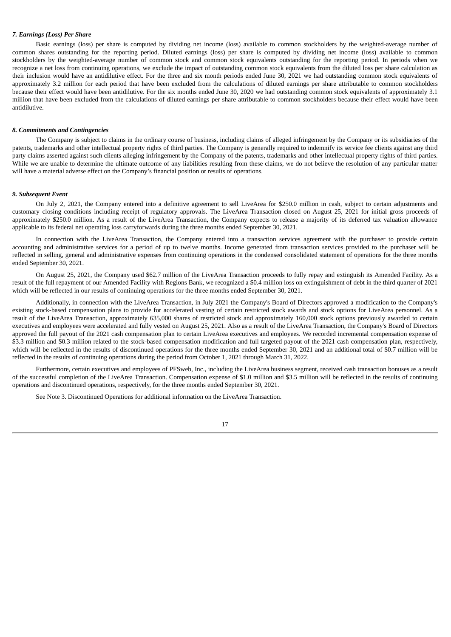#### *7. Earnings (Loss) Per Share*

Basic earnings (loss) per share is computed by dividing net income (loss) available to common stockholders by the weighted-average number of common shares outstanding for the reporting period. Diluted earnings (loss) per share is computed by dividing net income (loss) available to common stockholders by the weighted-average number of common stock and common stock equivalents outstanding for the reporting period. In periods when we recognize a net loss from continuing operations, we exclude the impact of outstanding common stock equivalents from the diluted loss per share calculation as their inclusion would have an antidilutive effect. For the three and six month periods ended June 30, 2021 we had outstanding common stock equivalents of approximately 3.2 million for each period that have been excluded from the calculations of diluted earnings per share attributable to common stockholders because their effect would have been antidilutive. For the six months ended June 30, 2020 we had outstanding common stock equivalents of approximately 3.1 million that have been excluded from the calculations of diluted earnings per share attributable to common stockholders because their effect would have been antidilutive.

#### *8. Commitments and Contingencies*

The Company is subject to claims in the ordinary course of business, including claims of alleged infringement by the Company or its subsidiaries of the patents, trademarks and other intellectual property rights of third parties. The Company is generally required to indemnify its service fee clients against any third party claims asserted against such clients alleging infringement by the Company of the patents, trademarks and other intellectual property rights of third parties. While we are unable to determine the ultimate outcome of any liabilities resulting from these claims, we do not believe the resolution of any particular matter will have a material adverse effect on the Company's financial position or results of operations.

#### *9. Subsequent Event*

On July 2, 2021, the Company entered into a definitive agreement to sell LiveArea for \$250.0 million in cash, subject to certain adjustments and customary closing conditions including receipt of regulatory approvals. The LiveArea Transaction closed on August 25, 2021 for initial gross proceeds of approximately \$250.0 million. As a result of the LiveArea Transaction, the Company expects to release a majority of its deferred tax valuation allowance applicable to its federal net operating loss carryforwards during the three months ended September 30, 2021.

In connection with the LiveArea Transaction, the Company entered into a transaction services agreement with the purchaser to provide certain accounting and administrative services for a period of up to twelve months. Income generated from transaction services provided to the purchaser will be reflected in selling, general and administrative expenses from continuing operations in the condensed consolidated statement of operations for the three months ended September 30, 2021.

On August 25, 2021, the Company used \$62.7 million of the LiveArea Transaction proceeds to fully repay and extinguish its Amended Facility. As a result of the full repayment of our Amended Facility with Regions Bank, we recognized a \$0.4 million loss on extinguishment of debt in the third quarter of 2021 which will be reflected in our results of continuing operations for the three months ended September 30, 2021.

Additionally, in connection with the LiveArea Transaction, in July 2021 the Company's Board of Directors approved a modification to the Company's existing stock-based compensation plans to provide for accelerated vesting of certain restricted stock awards and stock options for LiveArea personnel. As a result of the LiveArea Transaction, approximately 635,000 shares of restricted stock and approximately 160,000 stock options previously awarded to certain executives and employees were accelerated and fully vested on August 25, 2021. Also as a result of the LiveArea Transaction, the Company's Board of Directors approved the full payout of the 2021 cash compensation plan to certain LiveArea executives and employees. We recorded incremental compensation expense of \$3.3 million and \$0.3 million related to the stock-based compensation modification and full targeted payout of the 2021 cash compensation plan, respectively, which will be reflected in the results of discontinued operations for the three months ended September 30, 2021 and an additional total of \$0.7 million will be reflected in the results of continuing operations during the period from October 1, 2021 through March 31, 2022.

Furthermore, certain executives and employees of PFSweb, Inc., including the LiveArea business segment, received cash transaction bonuses as a result of the successful completion of the LiveArea Transaction. Compensation expense of \$1.0 million and \$3.5 million will be reflected in the results of continuing operations and discontinued operations, respectively, for the three months ended September 30, 2021.

<span id="page-17-0"></span>See Note 3. Discontinued Operations for additional information on the LiveArea Transaction.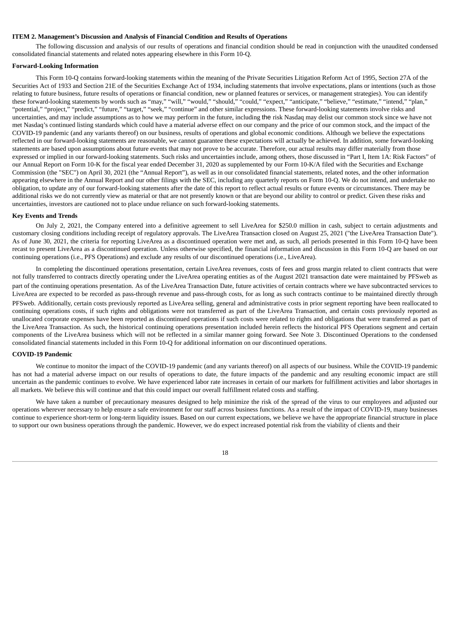#### **ITEM 2. Management's Discussion and Analysis of Financial Condition and Results of Operations**

The following discussion and analysis of our results of operations and financial condition should be read in conjunction with the unaudited condensed consolidated financial statements and related notes appearing elsewhere in this Form 10-Q.

#### **Forward-Looking Information**

This Form 10-Q contains forward-looking statements within the meaning of the Private Securities Litigation Reform Act of 1995, Section 27A of the Securities Act of 1933 and Section 21E of the Securities Exchange Act of 1934, including statements that involve expectations, plans or intentions (such as those relating to future business, future results of operations or financial condition, new or planned features or services, or management strategies). You can identify these forward-looking statements by words such as "may," "will," "would," "should," "could," "expect," "anticipate," "believe," "estimate," "intend," "plan," "potential," "project," "predict," "future," "target," "seek," "continue" and other similar expressions. These forward-looking statements involve risks and uncertainties, and may include assumptions as to how we may perform in the future, including the risk Nasdaq may delist our common stock since we have not met Nasdaq's continued listing standards which could have a material adverse effect on our company and the price of our common stock, and the impact of the COVID-19 pandemic (and any variants thereof) on our business, results of operations and global economic conditions. Although we believe the expectations reflected in our forward-looking statements are reasonable, we cannot guarantee these expectations will actually be achieved. In addition, some forward-looking statements are based upon assumptions about future events that may not prove to be accurate. Therefore, our actual results may differ materially from those expressed or implied in our forward-looking statements. Such risks and uncertainties include, among others, those discussed in "Part I, Item 1A: Risk Factors" of our Annual Report on Form 10-K for the fiscal year ended December 31, 2020 as supplemented by our Form 10-K/A filed with the Securities and Exchange Commission (the "SEC") on April 30, 2021 (the "Annual Report"), as well as in our consolidated financial statements, related notes, and the other information appearing elsewhere in the Annual Report and our other filings with the SEC, including any quarterly reports on Form 10-Q. We do not intend, and undertake no obligation, to update any of our forward-looking statements after the date of this report to reflect actual results or future events or circumstances. There may be additional risks we do not currently view as material or that are not presently known or that are beyond our ability to control or predict. Given these risks and uncertainties, investors are cautioned not to place undue reliance on such forward-looking statements.

#### **Key Events and Trends**

On July 2, 2021, the Company entered into a definitive agreement to sell LiveArea for \$250.0 million in cash, subject to certain adjustments and customary closing conditions including receipt of regulatory approvals. The LiveArea Transaction closed on August 25, 2021 ("the LiveArea Transaction Date"). As of June 30, 2021, the criteria for reporting LiveArea as a discontinued operation were met and, as such, all periods presented in this Form 10-Q have been recast to present LiveArea as a discontinued operation. Unless otherwise specified, the financial information and discussion in this Form 10-Q are based on our continuing operations (i.e., PFS Operations) and exclude any results of our discontinued operations (i.e., LiveArea).

In completing the discontinued operations presentation, certain LiveArea revenues, costs of fees and gross margin related to client contracts that were not fully transferred to contracts directly operating under the LiveArea operating entities as of the August 2021 transaction date were maintained by PFSweb as part of the continuing operations presentation. As of the LiveArea Transaction Date, future activities of certain contracts where we have subcontracted services to LiveArea are expected to be recorded as pass-through revenue and pass-through costs, for as long as such contracts continue to be maintained directly through PFSweb. Additionally, certain costs previously reported as LiveArea selling, general and administrative costs in prior segment reporting have been reallocated to continuing operations costs, if such rights and obligations were not transferred as part of the LiveArea Transaction, and certain costs previously reported as unallocated corporate expenses have been reported as discontinued operations if such costs were related to rights and obligations that were transferred as part of the LiveArea Transaction. As such, the historical continuing operations presentation included herein reflects the historical PFS Operations segment and certain components of the LiveArea business which will not be reflected in a similar manner going forward. See Note 3. Discontinued Operations to the condensed consolidated financial statements included in this Form 10-Q for additional information on our discontinued operations.

#### **COVID-19 Pandemic**

We continue to monitor the impact of the COVID-19 pandemic (and any variants thereof) on all aspects of our business. While the COVID-19 pandemic has not had a material adverse impact on our results of operations to date, the future impacts of the pandemic and any resulting economic impact are still uncertain as the pandemic continues to evolve. We have experienced labor rate increases in certain of our markets for fulfillment activities and labor shortages in all markets. We believe this will continue and that this could impact our overall fulfillment related costs and staffing.

We have taken a number of precautionary measures designed to help minimize the risk of the spread of the virus to our employees and adjusted our operations wherever necessary to help ensure a safe environment for our staff across business functions. As a result of the impact of COVID-19, many businesses continue to experience short-term or long-term liquidity issues. Based on our current expectations, we believe we have the appropriate financial structure in place to support our own business operations through the pandemic. However, we do expect increased potential risk from the viability of clients and their

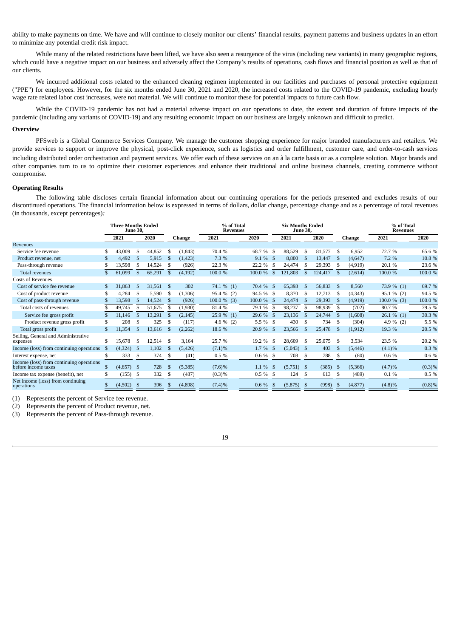ability to make payments on time. We have and will continue to closely monitor our clients' financial results, payment patterns and business updates in an effort to minimize any potential credit risk impact.

While many of the related restrictions have been lifted, we have also seen a resurgence of the virus (including new variants) in many geographic regions, which could have a negative impact on our business and adversely affect the Company's results of operations, cash flows and financial position as well as that of our clients.

We incurred additional costs related to the enhanced cleaning regimen implemented in our facilities and purchases of personal protective equipment ("PPE") for employees. However, for the six months ended June 30, 2021 and 2020, the increased costs related to the COVID-19 pandemic, excluding hourly wage rate related labor cost increases, were not material. We will continue to monitor these for potential impacts to future cash flow.

While the COVID-19 pandemic has not had a material adverse impact on our operations to date, the extent and duration of future impacts of the pandemic (including any variants of COVID-19) and any resulting economic impact on our business are largely unknown and difficult to predict.

#### **Overview**

PFSweb is a Global Commerce Services Company. We manage the customer shopping experience for major branded manufacturers and retailers. We provide services to support or improve the physical, post-click experience, such as logistics and order fulfillment, customer care, and order-to-cash services including distributed order orchestration and payment services. We offer each of these services on an à la carte basis or as a complete solution. Major brands and other companies turn to us to optimize their customer experiences and enhance their traditional and online business channels, creating commerce without compromise.

#### **Operating Results**

The following table discloses certain financial information about our continuing operations for the periods presented and excludes results of our discontinued operations. The financial information below is expressed in terms of dollars, dollar change, percentage change and as a percentage of total revenues (in thousands, except percentages)*:*

|                                                                 |                | <b>Three Months Ended</b><br><b>June 30.</b> |      |        |        |          | % of Total<br><b>Revenues</b> |              |              | <b>Six Months Ended</b> | June 30. |         |              |          | % of Total<br><b>Revenues</b> |  |         |  |
|-----------------------------------------------------------------|----------------|----------------------------------------------|------|--------|--------|----------|-------------------------------|--------------|--------------|-------------------------|----------|---------|--------------|----------|-------------------------------|--|---------|--|
|                                                                 |                | 2021                                         |      | 2020   | Change |          | 2021                          | 2020         |              | 2021                    |          | 2020    |              | Change   | 2021                          |  | 2020    |  |
| Revenues                                                        |                |                                              |      |        |        |          |                               |              |              |                         |          |         |              |          |                               |  |         |  |
| Service fee revenue                                             |                | 43,009                                       | £.   | 44,852 | -\$    | (1,843)  | 70.4 %                        | 68.7 % \$    |              | 88,529                  | \$       | 81,577  | -\$          | 6,952    | 72.7%                         |  | 65.6 %  |  |
| Product revenue, net                                            | S              | 4,492                                        | -S   | 5,915  | - \$   | (1, 423) | 7.3 %                         | $9.1\%$ \$   |              | 8,800                   | -\$      | 13,447  | - \$         | (4,647)  | 7.2 %                         |  | 10.8 %  |  |
| Pass-through revenue                                            |                | 13,598                                       |      | 14,524 | - 55   | (926)    | 22.3 %                        | 22.2 % \$    |              | 24,474                  |          | 29,393  | -5           | (4,919)  | 20.1 %                        |  | 23.6 %  |  |
| Total revenues                                                  |                | 61,099                                       | \$   | 65,291 | \$     | (4, 192) | 100.0 %                       | 100.0 %      | $\mathbf{s}$ | 121,803                 | \$       | 124,417 | \$           | (2,614)  | 100.0%                        |  | 100.0 % |  |
| <b>Costs of Revenues</b>                                        |                |                                              |      |        |        |          |                               |              |              |                         |          |         |              |          |                               |  |         |  |
| Cost of service fee revenue                                     | $\mathfrak{L}$ | 31,863                                       | Æ    | 31,561 | - \$   | 302      | $74.1\%$ (1)                  | 70.4 % \$    |              | 65,393                  | -\$      | 56,833  | - \$         | 8,560    | 73.9 % (1)                    |  | 69.7%   |  |
| Cost of product revenue                                         |                | 4,284                                        | æ    | 5,590  | - \$   | (1,306)  | $95.4\%$ (2)                  | 94.5 % \$    |              | 8,370                   | -S       | 12,713  | -S           | (4,343)  | $95.1\%$ (2)                  |  | 94.5 %  |  |
| Cost of pass-through revenue                                    |                | 13,598                                       | Ъ.   | 14,524 | - \$   | (926)    | $100.0 \%$ (3)                | 100.0 % \$   |              | 24,474                  | - 5      | 29,393  | -S           | (4,919)  | $100.0 \%$ (3)                |  | 100.0 % |  |
| Total costs of revenues                                         |                | 49,745                                       |      | 51,675 | £.     | (1,930)  | 81.4 %                        | 79.1 %       |              | 98,237                  | £.       | 98,939  | \$.          | (702)    | 80.7%                         |  | 79.5 %  |  |
| Service fee gross profit                                        |                | 11,146                                       | £.   | 13,291 | -\$    | (2, 145) | $25.9\%$ (1)                  | 29.6 % \$    |              | 23,136                  | £.       | 24,744  | \$           | (1,608)  | $26.1\%$ (1)                  |  | 30.3 %  |  |
| Product revenue gross profit                                    |                | 208                                          |      | 325    | - 5    | (117)    | 4.6 $% (2)$                   | $5.5 \%$ \$  |              | 430                     | \$       | 734     | .S           | (304)    | 4.9 $% (2)$                   |  | 5.5 %   |  |
| Total gross profit                                              | \$             | 11,354                                       | \$   | 13,616 | \$     | (2,262)  | 18.6 %                        | $20.9 \%$ \$ |              | 23,566                  | Ŝ.       | 25,478  | \$           | (1, 912) | 19.3 %                        |  | 20.5 %  |  |
| Selling, General and Administrative<br>expenses                 |                | 15,678                                       | -S   | 12,514 | - \$   | 3,164    | 25.7%                         | 19.2 % \$    |              | 28,609                  | -S       | 25,075  | -S           | 3,534    | 23.5 %                        |  | 20.2 %  |  |
| Income (loss) from continuing operations                        | S.             | (4, 324)                                     | \$   | 1,102  | \$     | (5,426)  | $(7.1)\%$                     | $1.7 \%$ \$  |              | (5,043)                 | -S       | 403     | $\mathbf{s}$ | (5, 446) | $(4.1)\%$                     |  | 0.3%    |  |
| Interest expense, net                                           |                | 333                                          | £.   | 374    | - \$   | (41)     | $0.5 \%$                      | $0.6 \%$ \$  |              | 708                     | S        | 788     | - \$         | (80)     | $0.6\%$                       |  | 0.6 %   |  |
| Income (loss) from continuing operations<br>before income taxes |                | $(4,657)$ \$                                 |      | 728    | - \$   | (5,385)  | (7.6)%                        | $1.1 \%$ \$  |              | (5,751)                 | -S       | (385)   | -\$          | (5,366)  | (4.7)%                        |  | (0.3)%  |  |
| Income tax expense (benefit), net                               |                | (155)                                        | - \$ | 332    | -S     | (487)    | $(0.3)\%$                     | $0.5 \%$ \$  |              | 124                     | -S       | 613     | -S           | (489)    | 0.1%                          |  | 0.5%    |  |
| Net income (loss) from continuing<br>operations                 |                | (4,502)                                      | -5   | 396    | æ      | (4,898)  | (7.4)%                        | $0.6\%$      | - S          | (5, 875)                | -S       | (998)   | -5           | (4,877)  | $(4.8)\%$                     |  | (0.8)%  |  |

(1) Represents the percent of Service fee revenue.

(2) Represents the percent of Product revenue, net.

(3) Represents the percent of Pass-through revenue.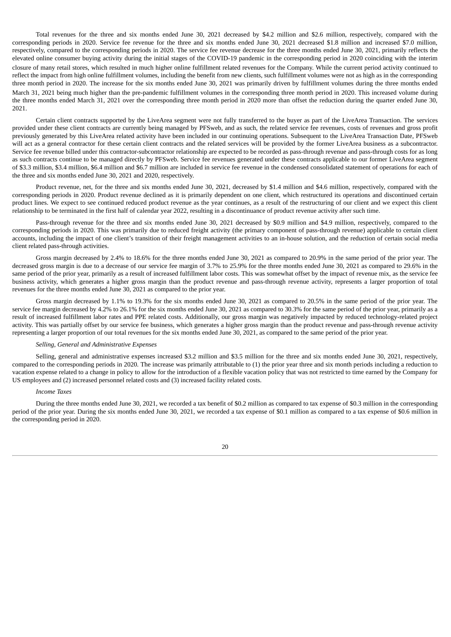Total revenues for the three and six months ended June 30, 2021 decreased by \$4.2 million and \$2.6 million, respectively, compared with the corresponding periods in 2020. Service fee revenue for the three and six months ended June 30, 2021 decreased \$1.8 million and increased \$7.0 million, respectively, compared to the corresponding periods in 2020. The service fee revenue decrease for the three months ended June 30, 2021, primarily reflects the elevated online consumer buying activity during the initial stages of the COVID-19 pandemic in the corresponding period in 2020 coinciding with the interim closure of many retail stores, which resulted in much higher online fulfillment related revenues for the Company. While the current period activity continued to reflect the impact from high online fulfillment volumes, including the benefit from new clients, such fulfillment volumes were not as high as in the corresponding three month period in 2020. The increase for the six months ended June 30, 2021 was primarily driven by fulfillment volumes during the three months ended March 31, 2021 being much higher than the pre-pandemic fulfillment volumes in the corresponding three month period in 2020. This increased volume during the three months ended March 31, 2021 over the corresponding three month period in 2020 more than offset the reduction during the quarter ended June 30, 2021.

Certain client contracts supported by the LiveArea segment were not fully transferred to the buyer as part of the LiveArea Transaction. The services provided under these client contracts are currently being managed by PFSweb, and as such, the related service fee revenues, costs of revenues and gross profit previously generated by this LiveArea related activity have been included in our continuing operations. Subsequent to the LiveArea Transaction Date, PFSweb will act as a general contractor for these certain client contracts and the related services will be provided by the former LiveArea business as a subcontractor. Service fee revenue billed under this contractor-subcontractor relationship are expected to be recorded as pass-through revenue and pass-through costs for as long as such contracts continue to be managed directly by PFSweb. Service fee revenues generated under these contracts applicable to our former LiveArea segment of \$3.3 million, \$3.4 million, \$6.4 million and \$6.7 million are included in service fee revenue in the condensed consolidated statement of operations for each of the three and six months ended June 30, 2021 and 2020, respectively.

Product revenue, net, for the three and six months ended June 30, 2021, decreased by \$1.4 million and \$4.6 million, respectively, compared with the corresponding periods in 2020. Product revenue declined as it is primarily dependent on one client, which restructured its operations and discontinued certain product lines. We expect to see continued reduced product revenue as the year continues, as a result of the restructuring of our client and we expect this client relationship to be terminated in the first half of calendar year 2022, resulting in a discontinuance of product revenue activity after such time.

Pass-through revenue for the three and six months ended June 30, 2021 decreased by \$0.9 million and \$4.9 million, respectively, compared to the corresponding periods in 2020. This was primarily due to reduced freight activity (the primary component of pass-through revenue) applicable to certain client accounts, including the impact of one client's transition of their freight management activities to an in-house solution, and the reduction of certain social media client related pass-through activities.

Gross margin decreased by 2.4% to 18.6% for the three months ended June 30, 2021 as compared to 20.9% in the same period of the prior year. The decreased gross margin is due to a decrease of our service fee margin of 3.7% to 25.9% for the three months ended June 30, 2021 as compared to 29.6% in the same period of the prior year, primarily as a result of increased fulfillment labor costs. This was somewhat offset by the impact of revenue mix, as the service fee business activity, which generates a higher gross margin than the product revenue and pass-through revenue activity, represents a larger proportion of total revenues for the three months ended June 30, 2021 as compared to the prior year.

Gross margin decreased by 1.1% to 19.3% for the six months ended June 30, 2021 as compared to 20.5% in the same period of the prior year. The service fee margin decreased by 4.2% to 26.1% for the six months ended June 30, 2021 as compared to 30.3% for the same period of the prior year, primarily as a result of increased fulfillment labor rates and PPE related costs. Additionally, our gross margin was negatively impacted by reduced technology-related project activity. This was partially offset by our service fee business, which generates a higher gross margin than the product revenue and pass-through revenue activity representing a larger proportion of our total revenues for the six months ended June 30, 2021, as compared to the same period of the prior year.

## *Selling, General and Administrative Expenses*

Selling, general and administrative expenses increased \$3.2 million and \$3.5 million for the three and six months ended June 30, 2021, respectively, compared to the corresponding periods in 2020. The increase was primarily attributable to (1) the prior year three and six month periods including a reduction to vacation expense related to a change in policy to allow for the introduction of a flexible vacation policy that was not restricted to time earned by the Company for US employees and (2) increased personnel related costs and (3) increased facility related costs.

#### *Income Taxes*

During the three months ended June 30, 2021, we recorded a tax benefit of \$0.2 million as compared to tax expense of \$0.3 million in the corresponding period of the prior year. During the six months ended June 30, 2021, we recorded a tax expense of \$0.1 million as compared to a tax expense of \$0.6 million in the corresponding period in 2020.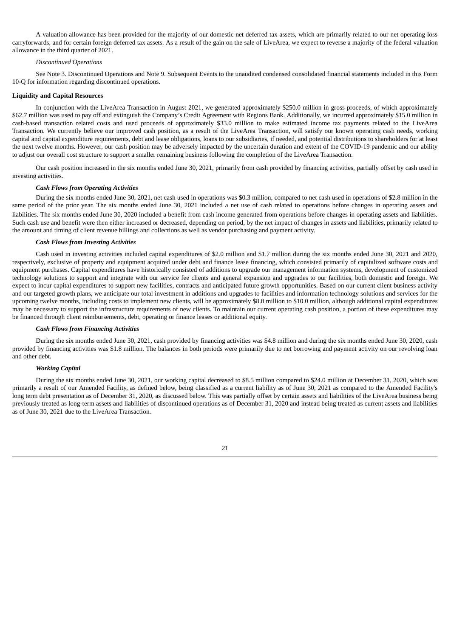A valuation allowance has been provided for the majority of our domestic net deferred tax assets, which are primarily related to our net operating loss carryforwards, and for certain foreign deferred tax assets. As a result of the gain on the sale of LiveArea, we expect to reverse a majority of the federal valuation allowance in the third quarter of 2021.

# *Discontinued Operations*

See Note 3. Discontinued Operations and Note 9. Subsequent Events to the unaudited condensed consolidated financial statements included in this Form 10-Q for information regarding discontinued operations.

## **Liquidity and Capital Resources**

In conjunction with the LiveArea Transaction in August 2021, we generated approximately \$250.0 million in gross proceeds, of which approximately \$62.7 million was used to pay off and extinguish the Company's Credit Agreement with Regions Bank. Additionally, we incurred approximately \$15.0 million in cash-based transaction related costs and used proceeds of approximately \$33.0 million to make estimated income tax payments related to the LiveArea Transaction. We currently believe our improved cash position, as a result of the LiveArea Transaction, will satisfy our known operating cash needs, working capital and capital expenditure requirements, debt and lease obligations, loans to our subsidiaries, if needed, and potential distributions to shareholders for at least the next twelve months. However, our cash position may be adversely impacted by the uncertain duration and extent of the COVID-19 pandemic and our ability to adjust our overall cost structure to support a smaller remaining business following the completion of the LiveArea Transaction.

Our cash position increased in the six months ended June 30, 2021, primarily from cash provided by financing activities, partially offset by cash used in investing activities.

#### *Cash Flows from Operating Activities*

During the six months ended June 30, 2021, net cash used in operations was \$0.3 million, compared to net cash used in operations of \$2.8 million in the same period of the prior year. The six months ended June 30, 2021 included a net use of cash related to operations before changes in operating assets and liabilities. The six months ended June 30, 2020 included a benefit from cash income generated from operations before changes in operating assets and liabilities. Such cash use and benefit were then either increased or decreased, depending on period, by the net impact of changes in assets and liabilities, primarily related to the amount and timing of client revenue billings and collections as well as vendor purchasing and payment activity.

#### *Cash Flows from Investing Activities*

Cash used in investing activities included capital expenditures of \$2.0 million and \$1.7 million during the six months ended June 30, 2021 and 2020, respectively, exclusive of property and equipment acquired under debt and finance lease financing, which consisted primarily of capitalized software costs and equipment purchases. Capital expenditures have historically consisted of additions to upgrade our management information systems, development of customized technology solutions to support and integrate with our service fee clients and general expansion and upgrades to our facilities, both domestic and foreign. We expect to incur capital expenditures to support new facilities, contracts and anticipated future growth opportunities. Based on our current client business activity and our targeted growth plans, we anticipate our total investment in additions and upgrades to facilities and information technology solutions and services for the upcoming twelve months, including costs to implement new clients, will be approximately \$8.0 million to \$10.0 million, although additional capital expenditures may be necessary to support the infrastructure requirements of new clients. To maintain our current operating cash position, a portion of these expenditures may be financed through client reimbursements, debt, operating or finance leases or additional equity.

#### *Cash Flows from Financing Activities*

During the six months ended June 30, 2021, cash provided by financing activities was \$4.8 million and during the six months ended June 30, 2020, cash provided by financing activities was \$1.8 million. The balances in both periods were primarily due to net borrowing and payment activity on our revolving loan and other debt.

#### *Working Capital*

During the six months ended June 30, 2021, our working capital decreased to \$8.5 million compared to \$24.0 million at December 31, 2020, which was primarily a result of our Amended Facility, as defined below, being classified as a current liability as of June 30, 2021 as compared to the Amended Facility's long term debt presentation as of December 31, 2020, as discussed below. This was partially offset by certain assets and liabilities of the LiveArea business being previously treated as long-term assets and liabilities of discontinued operations as of December 31, 2020 and instead being treated as current assets and liabilities as of June 30, 2021 due to the LiveArea Transaction.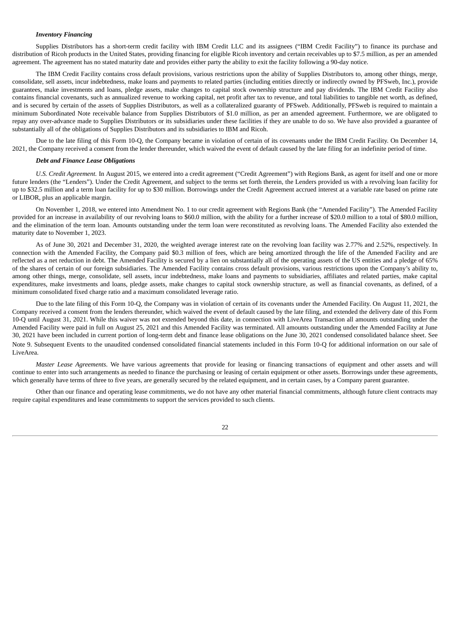#### *Inventory Financing*

Supplies Distributors has a short-term credit facility with IBM Credit LLC and its assignees ("IBM Credit Facility") to finance its purchase and distribution of Ricoh products in the United States, providing financing for eligible Ricoh inventory and certain receivables up to \$7.5 million, as per an amended agreement. The agreement has no stated maturity date and provides either party the ability to exit the facility following a 90-day notice.

The IBM Credit Facility contains cross default provisions, various restrictions upon the ability of Supplies Distributors to, among other things, merge, consolidate, sell assets, incur indebtedness, make loans and payments to related parties (including entities directly or indirectly owned by PFSweb, Inc.), provide guarantees, make investments and loans, pledge assets, make changes to capital stock ownership structure and pay dividends. The IBM Credit Facility also contains financial covenants, such as annualized revenue to working capital, net profit after tax to revenue, and total liabilities to tangible net worth, as defined, and is secured by certain of the assets of Supplies Distributors, as well as a collateralized guaranty of PFSweb. Additionally, PFSweb is required to maintain a minimum Subordinated Note receivable balance from Supplies Distributors of \$1.0 million, as per an amended agreement. Furthermore, we are obligated to repay any over-advance made to Supplies Distributors or its subsidiaries under these facilities if they are unable to do so. We have also provided a guarantee of substantially all of the obligations of Supplies Distributors and its subsidiaries to IBM and Ricoh.

Due to the late filing of this Form 10-Q, the Company became in violation of certain of its covenants under the IBM Credit Facility. On December 14, 2021, the Company received a consent from the lender thereunder, which waived the event of default caused by the late filing for an indefinite period of time.

#### *Debt and Finance Lease Obligations*

*U.S. Credit Agreement.* In August 2015, we entered into a credit agreement ("Credit Agreement") with Regions Bank, as agent for itself and one or more future lenders (the "Lenders"). Under the Credit Agreement, and subject to the terms set forth therein, the Lenders provided us with a revolving loan facility for up to \$32.5 million and a term loan facility for up to \$30 million. Borrowings under the Credit Agreement accrued interest at a variable rate based on prime rate or LIBOR, plus an applicable margin.

On November 1, 2018, we entered into Amendment No. 1 to our credit agreement with Regions Bank (the "Amended Facility"). The Amended Facility provided for an increase in availability of our revolving loans to \$60.0 million, with the ability for a further increase of \$20.0 million to a total of \$80.0 million, and the elimination of the term loan. Amounts outstanding under the term loan were reconstituted as revolving loans. The Amended Facility also extended the maturity date to November 1, 2023.

As of June 30, 2021 and December 31, 2020, the weighted average interest rate on the revolving loan facility was 2.77% and 2.52%, respectively. In connection with the Amended Facility, the Company paid \$0.3 million of fees, which are being amortized through the life of the Amended Facility and are reflected as a net reduction in debt. The Amended Facility is secured by a lien on substantially all of the operating assets of the US entities and a pledge of 65% of the shares of certain of our foreign subsidiaries. The Amended Facility contains cross default provisions, various restrictions upon the Company's ability to, among other things, merge, consolidate, sell assets, incur indebtedness, make loans and payments to subsidiaries, affiliates and related parties, make capital expenditures, make investments and loans, pledge assets, make changes to capital stock ownership structure, as well as financial covenants, as defined, of a minimum consolidated fixed charge ratio and a maximum consolidated leverage ratio.

Due to the late filing of this Form 10-Q, the Company was in violation of certain of its covenants under the Amended Facility. On August 11, 2021, the Company received a consent from the lenders thereunder, which waived the event of default caused by the late filing, and extended the delivery date of this Form 10-Q until August 31, 2021. While this waiver was not extended beyond this date, in connection with LiveArea Transaction all amounts outstanding under the Amended Facility were paid in full on August 25, 2021 and this Amended Facility was terminated. All amounts outstanding under the Amended Facility at June 30, 2021 have been included in current portion of long-term debt and finance lease obligations on the June 30, 2021 condensed consolidated balance sheet. See Note 9. Subsequent Events to the unaudited condensed consolidated financial statements included in this Form 10-O for additional information on our sale of LiveArea.

*Master Lease Agreements.* We have various agreements that provide for leasing or financing transactions of equipment and other assets and will continue to enter into such arrangements as needed to finance the purchasing or leasing of certain equipment or other assets. Borrowings under these agreements, which generally have terms of three to five years, are generally secured by the related equipment, and in certain cases, by a Company parent guarantee.

Other than our finance and operating lease commitments, we do not have any other material financial commitments, although future client contracts may require capital expenditures and lease commitments to support the services provided to such clients.

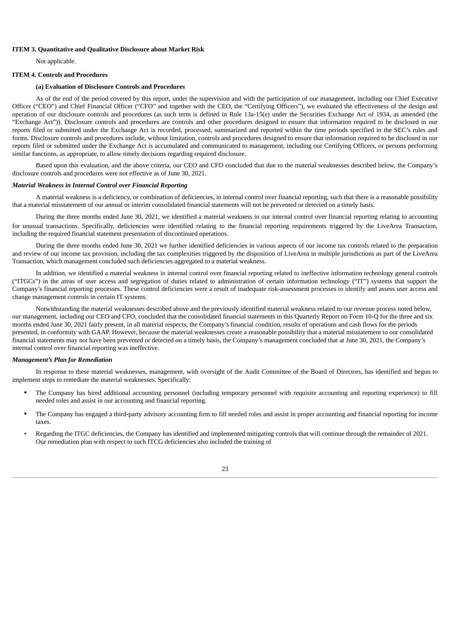# <span id="page-23-0"></span>**ITEM 3. Quantitative and Qualitative Disclosure about Market Risk**

Not applicable.

#### <span id="page-23-1"></span>**ITEM 4. Controls and Procedures**

## **(a) Evaluation of Disclosure Controls and Procedures**

As of the end of the period covered by this report, under the supervision and with the participation of our management, including our Chief Executive Officer ("CEO") and Chief Financial Officer ("CFO" and together with the CEO, the "Certifying Officers"), we evaluated the effectiveness of the design and operation of our disclosure controls and procedures (as such term is defined in Rule 13a-15(e) under the Securities Exchange Act of 1934, as amended (the "Exchange Act")). Disclosure controls and procedures are controls and other procedures designed to ensure that information required to be disclosed in our reports filed or submitted under the Exchange Act is recorded, processed, summarized and reported within the time periods specified in the SEC's rules and forms. Disclosure controls and procedures include, without limitation, controls and procedures designed to ensure that information required to be disclosed in our reports filed or submitted under the Exchange Act is accumulated and communicated to management, including our Certifying Officers, or persons performing similar functions, as appropriate, to allow timely decisions regarding required disclosure.

Based upon this evaluation, and the above criteria, our CEO and CFO concluded that due to the material weaknesses described below, the Company's disclosure controls and procedures were not effective as of June 30, 2021.

## *Material Weakness in Internal Control over Financial Reporting*

A material weakness is a deficiency, or combination of deficiencies, in internal control over financial reporting, such that there is a reasonable possibility that a material misstatement of our annual or interim consolidated financial statements will not be prevented or detected on a timely basis.

During the three months ended June 30, 2021, we identified a material weakness in our internal control over financial reporting relating to accounting for unusual transactions. Specifically, deficiencies were identified relating to the financial reporting requirements triggered by the LiveArea Transaction, including the required financial statement presentation of discontinued operations.

During the three months ended June 30, 2021 we further identified deficiencies in various aspects of our income tax controls related to the preparation and review of our income tax provision, including the tax complexities triggered by the disposition of LiveArea in multiple jurisdictions as part of the LiveArea Transaction, which management concluded such deficiencies aggregated to a material weakness.

In addition, we identified a material weakness in internal control over financial reporting related to ineffective information technology general controls ("ITGCs") in the areas of user access and segregation of duties related to administration of certain information technology ("IT") systems that support the Company's financial reporting processes. These control deficiencies were a result of inadequate risk-assessment processes to identify and assess user access and change management controls in certain IT systems.

Notwithstanding the material weaknesses described above and the previously identified material weakness related to our revenue process noted below, our management, including our CEO and CFO, concluded that the consolidated financial statements in this Quarterly Report on Form 10-Q for the three and six months ended June 30, 2021 fairly present, in all material respects, the Company's financial condition, results of operations and cash flows for the periods presented, in conformity with GAAP. However, because the material weaknesses create a reasonable possibility that a material misstatement to our consolidated financial statements may not have been prevented or detected on a timely basis, the Company's management concluded that at June 30, 2021, the Company's internal control over financial reporting was ineffective.

# *Management's Plan for Remediation*

In response to these material weaknesses, management, with oversight of the Audit Committee of the Board of Directors, has identified and begun to implement steps to remediate the material weaknesses. Specifically:

- The Company has hired additional accounting personnel (including temporary personnel with requisite accounting and reporting experience) to fill needed roles and assist in our accounting and financial reporting.
- The Company has engaged a third-party advisory accounting firm to fill needed roles and assist in proper accounting and financial reporting for income taxes.
- Regarding the ITGC deficiencies, the Company has identified and implemented mitigating controls that will continue through the remainder of 2021. Our remediation plan with respect to such ITCG deficiencies also included the training of

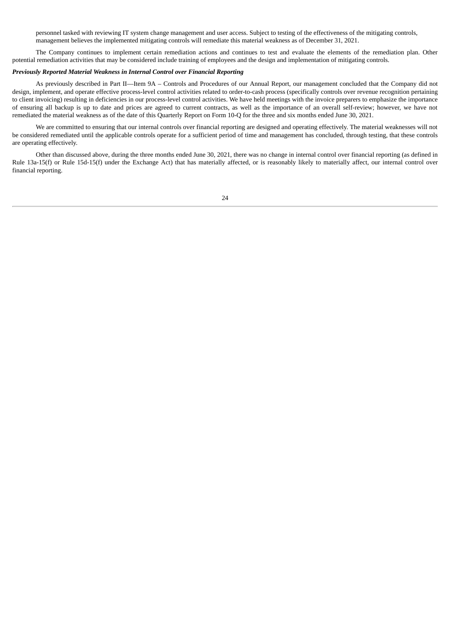personnel tasked with reviewing IT system change management and user access. Subject to testing of the effectiveness of the mitigating controls, management believes the implemented mitigating controls will remediate this material weakness as of December 31, 2021.

The Company continues to implement certain remediation actions and continues to test and evaluate the elements of the remediation plan. Other potential remediation activities that may be considered include training of employees and the design and implementation of mitigating controls.

# *Previously Reported Material Weakness in Internal Control over Financial Reporting*

As previously described in Part II—Item 9A – Controls and Procedures of our Annual Report, our management concluded that the Company did not design, implement, and operate effective process-level control activities related to order-to-cash process (specifically controls over revenue recognition pertaining to client invoicing) resulting in deficiencies in our process-level control activities. We have held meetings with the invoice preparers to emphasize the importance of ensuring all backup is up to date and prices are agreed to current contracts, as well as the importance of an overall self-review; however, we have not remediated the material weakness as of the date of this Quarterly Report on Form 10-Q for the three and six months ended June 30, 2021.

We are committed to ensuring that our internal controls over financial reporting are designed and operating effectively. The material weaknesses will not be considered remediated until the applicable controls operate for a sufficient period of time and management has concluded, through testing, that these controls are operating effectively.

<span id="page-24-0"></span>Other than discussed above, during the three months ended June 30, 2021, there was no change in internal control over financial reporting (as defined in Rule 13a-15(f) or Rule 15d-15(f) under the Exchange Act) that has materially affected, or is reasonably likely to materially affect, our internal control over financial reporting.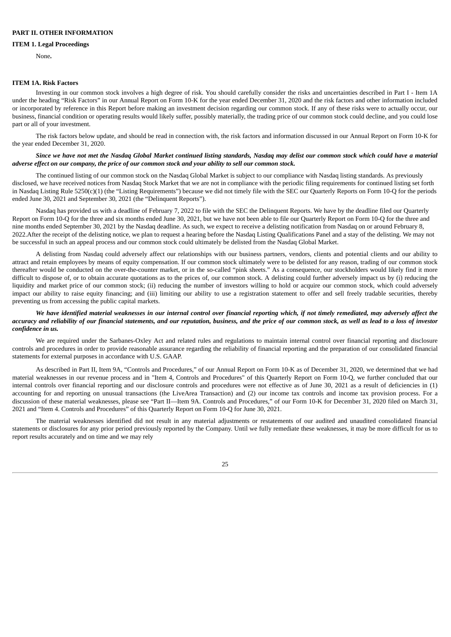#### <span id="page-25-0"></span>**ITEM 1. Legal Proceedings**

None**.**

#### <span id="page-25-1"></span>**ITEM 1A. Risk Factors**

Investing in our common stock involves a high degree of risk. You should carefully consider the risks and uncertainties described in Part I - Item 1A under the heading "Risk Factors" in our Annual Report on Form 10-K for the year ended December 31, 2020 and the risk factors and other information included or incorporated by reference in this Report before making an investment decision regarding our common stock. If any of these risks were to actually occur, our business, financial condition or operating results would likely suffer, possibly materially, the trading price of our common stock could decline, and you could lose part or all of your investment.

The risk factors below update, and should be read in connection with, the risk factors and information discussed in our Annual Report on Form 10-K for the year ended December 31, 2020.

## Since we have not met the Nasdaa Global Market continued listina standards. Nasdaa may delist our common stock which could have a material adverse effect on our company, the price of our common stock and your ability to sell our common stock.

The continued listing of our common stock on the Nasdaq Global Market is subject to our compliance with Nasdaq listing standards. As previously disclosed, we have received notices from Nasdaq Stock Market that we are not in compliance with the periodic filing requirements for continued listing set forth in Nasdaq Listing Rule 5250(c)(1) (the "Listing Requirements") because we did not timely file with the SEC our Quarterly Reports on Form 10-Q for the periods ended June 30, 2021 and September 30, 2021 (the "Delinquent Reports").

Nasdaq has provided us with a deadline of February 7, 2022 to file with the SEC the Delinquent Reports. We have by the deadline filed our Quarterly Report on Form 10-Q for the three and six months ended June 30, 2021, but we have not been able to file our Quarterly Report on Form 10-Q for the three and nine months ended September 30, 2021 by the Nasdaq deadline. As such, we expect to receive a delisting notification from Nasdaq on or around February 8, 2022.After the receipt of the delisting notice, we plan to request a hearing before the Nasdaq Listing Qualifications Panel and a stay of the delisting. We may not be successful in such an appeal process and our common stock could ultimately be delisted from the Nasdaq Global Market.

A delisting from Nasdaq could adversely affect our relationships with our business partners, vendors, clients and potential clients and our ability to attract and retain employees by means of equity compensation. If our common stock ultimately were to be delisted for any reason, trading of our common stock thereafter would be conducted on the over-the-counter market, or in the so-called "pink sheets." As a consequence, our stockholders would likely find it more difficult to dispose of, or to obtain accurate quotations as to the prices of, our common stock. A delisting could further adversely impact us by (i) reducing the liquidity and market price of our common stock; (ii) reducing the number of investors willing to hold or acquire our common stock, which could adversely impact our ability to raise equity financing; and (iii) limiting our ability to use a registration statement to offer and sell freely tradable securities, thereby preventing us from accessing the public capital markets.

## We have identified material weaknesses in our internal control over financial reporting which, if not timely remediated, may adversely affect the accuracy and reliability of our financial statements, and our reputation, business, and the price of our common stock, as well as lead to a loss of investor *confidence in us.*

We are required under the Sarbanes-Oxley Act and related rules and regulations to maintain internal control over financial reporting and disclosure controls and procedures in order to provide reasonable assurance regarding the reliability of financial reporting and the preparation of our consolidated financial statements for external purposes in accordance with U.S. GAAP.

As described in Part II, Item 9A, "Controls and Procedures," of our Annual Report on Form 10-K as of December 31, 2020, we determined that we had material weaknesses in our revenue process and in "Item 4, Controls and Procedures" of this Quarterly Report on Form 10-Q, we further concluded that our internal controls over financial reporting and our disclosure controls and procedures were not effective as of June 30, 2021 as a result of deficiencies in (1) accounting for and reporting on unusual transactions (the LiveArea Transaction) and (2) our income tax controls and income tax provision process. For a discussion of these material weaknesses, please see "Part II—Item 9A. Controls and Procedures," of our Form 10-K for December 31, 2020 filed on March 31, 2021 and "Item 4. Controls and Procedures" of this Quarterly Report on Form 10-Q for June 30, 2021.

The material weaknesses identified did not result in any material adjustments or restatements of our audited and unaudited consolidated financial statements or disclosures for any prior period previously reported by the Company. Until we fully remediate these weaknesses, it may be more difficult for us to report results accurately and on time and we may rely

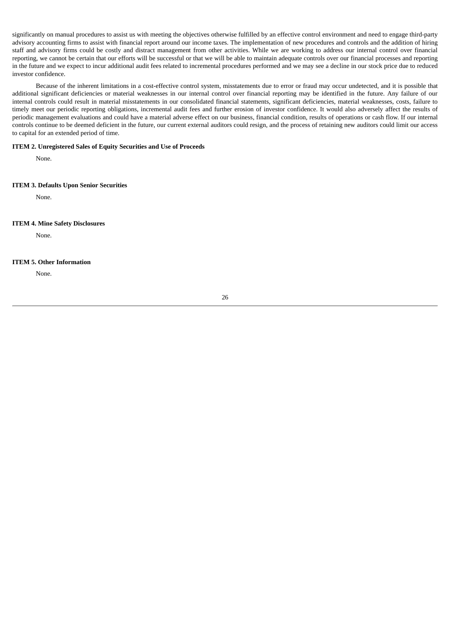significantly on manual procedures to assist us with meeting the objectives otherwise fulfilled by an effective control environment and need to engage third-party advisory accounting firms to assist with financial report around our income taxes. The implementation of new procedures and controls and the addition of hiring staff and advisory firms could be costly and distract management from other activities. While we are working to address our internal control over financial reporting, we cannot be certain that our efforts will be successful or that we will be able to maintain adequate controls over our financial processes and reporting in the future and we expect to incur additional audit fees related to incremental procedures performed and we may see a decline in our stock price due to reduced investor confidence.

Because of the inherent limitations in a cost-effective control system, misstatements due to error or fraud may occur undetected, and it is possible that additional significant deficiencies or material weaknesses in our internal control over financial reporting may be identified in the future. Any failure of our internal controls could result in material misstatements in our consolidated financial statements, significant deficiencies, material weaknesses, costs, failure to timely meet our periodic reporting obligations, incremental audit fees and further erosion of investor confidence. It would also adversely affect the results of periodic management evaluations and could have a material adverse effect on our business, financial condition, results of operations or cash flow. If our internal controls continue to be deemed deficient in the future, our current external auditors could resign, and the process of retaining new auditors could limit our access to capital for an extended period of time.

## <span id="page-26-0"></span>**ITEM 2. Unregistered Sales of Equity Securities and Use of Proceeds**

None.

# <span id="page-26-1"></span>**ITEM 3. Defaults Upon Senior Securities**

None.

#### <span id="page-26-2"></span>**ITEM 4. Mine Safety Disclosures**

None.

#### <span id="page-26-3"></span>**ITEM 5. Other Information**

<span id="page-26-4"></span>None.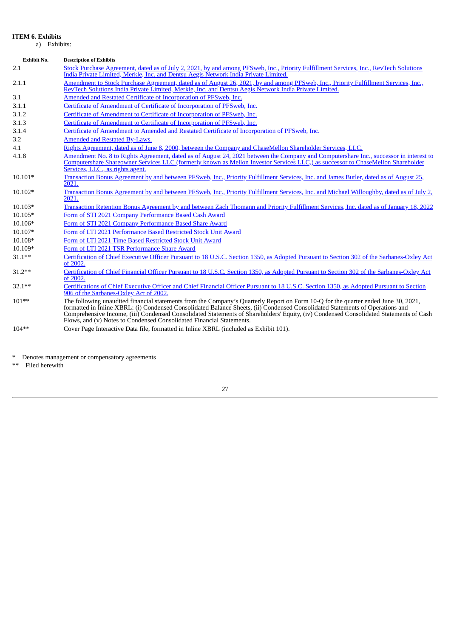# **ITEM 6. Exhibits**

a) Exhibits:

| <b>Exhibit No.</b> | <b>Description of Exhibits</b>                                                                                                                                                                                                                                                                                                                                                                                                                                                       |  |  |
|--------------------|--------------------------------------------------------------------------------------------------------------------------------------------------------------------------------------------------------------------------------------------------------------------------------------------------------------------------------------------------------------------------------------------------------------------------------------------------------------------------------------|--|--|
| 2.1                | Stock Purchase Agreement, dated as of July 2, 2021, by and among PFSweb, Inc., Priority Fulfillment Services, Inc., RevTech Solutions<br>India Private Limited, Merkle, Inc. and Dentsu Aegis Network India Private Limited.                                                                                                                                                                                                                                                         |  |  |
| 2.1.1              | Amendment to Stock Purchase Agreement, dated as of August 26, 2021, by and among PFSweb, Inc., Priority Fulfillment Services, Inc.,<br>RevTech Solutions India Private Limited, Merkle, Inc. and Dentsu Aegis Network India Private Limited.                                                                                                                                                                                                                                         |  |  |
| 3.1                | Amended and Restated Certificate of Incorporation of PFSweb, Inc.                                                                                                                                                                                                                                                                                                                                                                                                                    |  |  |
| 3.1.1              | Certificate of Amendment of Certificate of Incorporation of PFSweb, Inc.                                                                                                                                                                                                                                                                                                                                                                                                             |  |  |
| 3.1.2              | Certificate of Amendment to Certificate of Incorporation of PFSweb, Inc.                                                                                                                                                                                                                                                                                                                                                                                                             |  |  |
| 3.1.3              | Certificate of Amendment to Certificate of Incorporation of PFSweb, Inc.                                                                                                                                                                                                                                                                                                                                                                                                             |  |  |
| 3.1.4              | Certificate of Amendment to Amended and Restated Certificate of Incorporation of PFSweb, Inc.                                                                                                                                                                                                                                                                                                                                                                                        |  |  |
| 3.2                | <b>Amended and Restated By-Laws.</b>                                                                                                                                                                                                                                                                                                                                                                                                                                                 |  |  |
| 4.1                | Rights Agreement, dated as of June 8, 2000, between the Company and ChaseMellon Shareholder Services, LLC.                                                                                                                                                                                                                                                                                                                                                                           |  |  |
| 4.1.8              | Amendment No. 8 to Rights Agreement, dated as of August 24, 2021 between the Company and Computershare Inc., successor in interest to<br>Computershare Shareowner Services LLC (formerly known as Mellon Investor Services LLC.) as successor to ChaseMellon Shareholder<br>Services, LLC., as rights agent.                                                                                                                                                                         |  |  |
| $10.101*$          | Transaction Bonus Agreement by and between PFSweb, Inc., Priority Fulfillment Services, Inc. and James Butler, dated as of August 25,<br>2021.                                                                                                                                                                                                                                                                                                                                       |  |  |
| $10.102*$          | Transaction Bonus Agreement by and between PFSweb, Inc., Priority Fulfillment Services, Inc. and Michael Willoughby, dated as of July 2,<br>2021.                                                                                                                                                                                                                                                                                                                                    |  |  |
| $10.103*$          | Transaction Retention Bonus Agreement by and between Zach Thomann and Priority Fulfillment Services, Inc. dated as of January 18, 2022                                                                                                                                                                                                                                                                                                                                               |  |  |
| $10.105*$          | Form of STI 2021 Company Performance Based Cash Award                                                                                                                                                                                                                                                                                                                                                                                                                                |  |  |
| $10.106*$          | Form of STI 2021 Company Performance Based Share Award                                                                                                                                                                                                                                                                                                                                                                                                                               |  |  |
| 10.107*            | Form of LTI 2021 Performance Based Restricted Stock Unit Award                                                                                                                                                                                                                                                                                                                                                                                                                       |  |  |
| $10.108*$          | Form of LTI 2021 Time Based Restricted Stock Unit Award                                                                                                                                                                                                                                                                                                                                                                                                                              |  |  |
| 10.109*            | Form of LTI 2021 TSR Performance Share Award                                                                                                                                                                                                                                                                                                                                                                                                                                         |  |  |
| $31.1***$          | Certification of Chief Executive Officer Pursuant to 18 U.S.C. Section 1350, as Adopted Pursuant to Section 302 of the Sarbanes-Oxley Act<br>of 2002.                                                                                                                                                                                                                                                                                                                                |  |  |
| $31.2**$           | Certification of Chief Financial Officer Pursuant to 18 U.S.C. Section 1350, as Adopted Pursuant to Section 302 of the Sarbanes-Oxley Act<br>of 2002.                                                                                                                                                                                                                                                                                                                                |  |  |
| $32.1***$          | Certifications of Chief Executive Officer and Chief Financial Officer Pursuant to 18 U.S.C. Section 1350, as Adopted Pursuant to Section<br>906 of the Sarbanes-Oxley Act of 2002.                                                                                                                                                                                                                                                                                                   |  |  |
| $101**$            | The following unaudited financial statements from the Company's Quarterly Report on Form 10-Q for the quarter ended June 30, 2021,<br>formatted in Inline XBRL: (i) Condensed Consolidated Balance Sheets, (ii) Condensed Consolidated Statements of Operations and<br>Comprehensive Income, (iii) Condensed Consolidated Statements of Shareholders' Equity, (iv) Condensed Consolidated Statements of Cash<br>Flows, and (y) Notes to Condensed Consolidated Financial Statements. |  |  |
| $104**$            | Cover Page Interactive Data file, formatted in Inline XBRL (included as Exhibit 101).                                                                                                                                                                                                                                                                                                                                                                                                |  |  |

\* Denotes management or compensatory agreements

<span id="page-27-0"></span>\*\* Filed herewith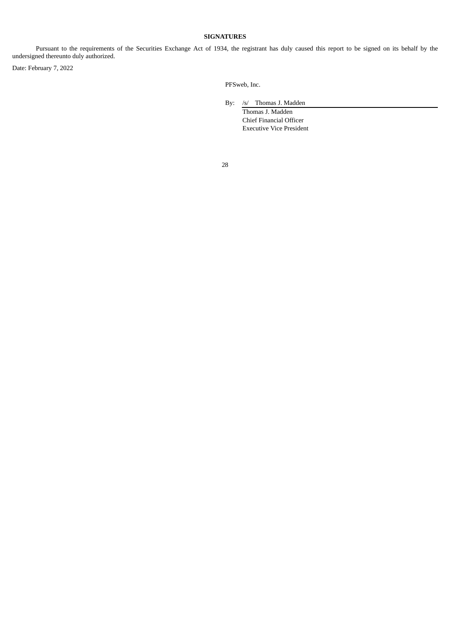# **SIGNATURES**

Pursuant to the requirements of the Securities Exchange Act of 1934, the registrant has duly caused this report to be signed on its behalf by the undersigned thereunto duly authorized.

Date: February 7, 2022

PFSweb, Inc.

By: /s/ Thomas J. Madden

Thomas J. Madden Chief Financial Officer Executive Vice President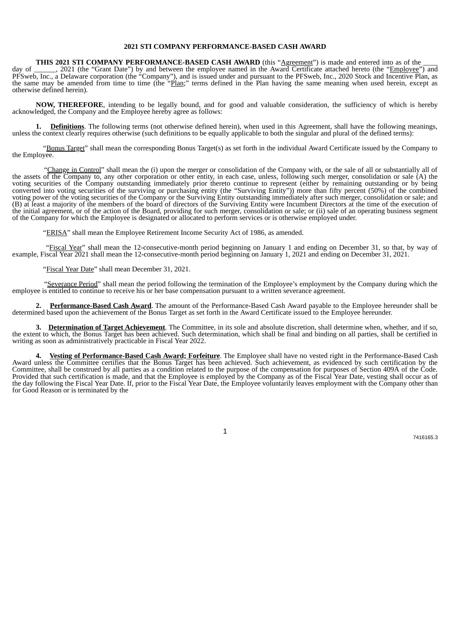# **2021 STI COMPANY PERFORMANCE-BASED CASH AWARD**

<span id="page-29-0"></span>**THIS 2021 STI COMPANY PERFORMANCE-BASED CASH AWARD (this "Agreement") is made and entered into as of the \_\_\_\_** day of \_\_\_\_\_\_, 2021 (the "Grant Date") by and between the employee named in the Award Certificate attached hereto (the "Employee") and PFSweb, Inc., a Delaware corporation (the "Company"), and is issued under and pursuant to the PFSweb, Inc., 2020 Stock and Incentive Plan, as the same may be amended from time to time (the "Plan;" terms defined in the Plan having the same meaning when used herein, except as otherwise defined herein).

**NOW, THEREFORE**, intending to be legally bound, and for good and valuable consideration, the sufficiency of which is hereby acknowledged, the Company and the Employee hereby agree as follows:

**1. Definitions**. The following terms (not otherwise defined herein), when used in this Agreement, shall have the following meanings, unless the context clearly requires otherwise (such definitions to be equally applicable to both the singular and plural of the defined terms):

"Bonus Target" shall mean the corresponding Bonus Target(s) as set forth in the individual Award Certificate issued by the Company to the Employee.

"Change in Control" shall mean the (i) upon the merger or consolidation of the Company with, or the sale of all or substantially all of the assets of the Company to, any other corporation or other entity, in each case, unless, following such merger, consolidation or sale (A) the voting securities of the Company outstanding immediately prior thereto continue to represent (either by remaining outstanding or by being converted into voting securities of the surviving or purchasing entity (the "Surviving Entity")) more than fifty percent (50%) of the combined voting power of the voting securities of the Company or the Surviving Entity outstanding immediately after such merger, consolidation or sale; and (B) at least a majority of the members of the board of directors of the Surviving Entity were Incumbent Directors at the time of the execution of the initial agreement, or of the action of the Board, providing for such merger, consolidation or sale; or (ii) sale of an operating business segment of the Company for which the Employee is designated or allocated to perform services or is otherwise employed under.

"ERISA" shall mean the Employee Retirement Income Security Act of 1986, as amended.

"Fiscal Year" shall mean the 12-consecutive-month period beginning on January 1 and ending on December 31, so that, by way of example, Fiscal Year 2021 shall mean the 12-consecutive-month period beginning on January 1, 2021 and ending on December 31, 2021.

"Fiscal Year Date" shall mean December 31, 2021.

"Severance Period" shall mean the period following the termination of the Employee's employment by the Company during which the employee is entitled to continue to receive his or her base compensation pursuant to a written severance agreement.

**2. Performance-Based Cash Award**. The amount of the Performance-Based Cash Award payable to the Employee hereunder shall be determined based upon the achievement of the Bonus Target as set forth in the Award Certificate issued to the Employee hereunder.

**3. Determination of Target Achievement**. The Committee, in its sole and absolute discretion, shall determine when, whether, and if so, the extent to which, the Bonus Target has been achieved. Such determination, which shall be final and binding on all parties, shall be certified in writing as soon as administratively practicable in Fiscal Year 2022.

**4. Vesting of Performance-Based Cash Award; Forfeiture**. The Employee shall have no vested right in the Performance-Based Cash Award unless the Committee certifies that the Bonus Target has been achieved. Such achievement, as evidenced by such certification by the Committee, shall be construed by all parties as a condition related to the purpose of the compensation for purposes of Section 409A of the Code. Provided that such certification is made, and that the Employee is employed by the Company as of the Fiscal Year Date, vesting shall occur as of the day following the Fiscal Year Date. If, prior to the Fiscal Year Date, the Employee voluntarily leaves employment with the Company other than for Good Reason or is terminated by the

1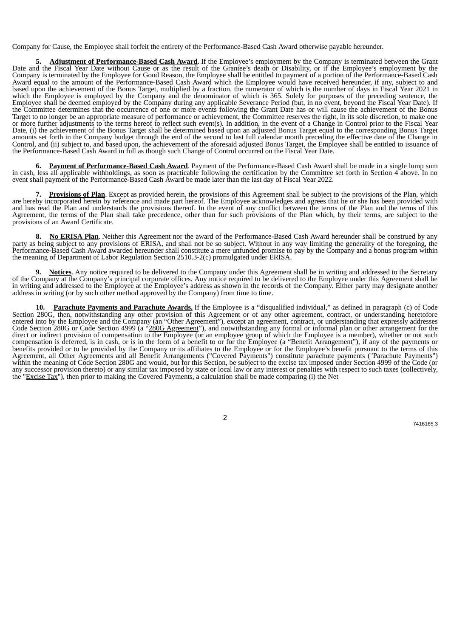Company for Cause, the Employee shall forfeit the entirety of the Performance-Based Cash Award otherwise payable hereunder.

**5. Adjustment of Performance-Based Cash Award**. If the Employee's employment by the Company is terminated between the Grant Date and the Fiscal Year Date without Cause or as the result of the Grantee's death or Disability, or if the Employee's employment by the Company is terminated by the Employee for Good Reason, the Employee shall be entitled to payment of a portion of the Performance-Based Cash Award equal to the amount of the Performance-Based Cash Award which the Employee would have received hereunder, if any, subject to and based upon the achievement of the Bonus Target, multiplied by a fraction, the numerator of which is the number of days in Fiscal Year 2021 in which the Employee is employed by the Company and the denominator of which is 365. Solely for purposes of the preceding sentence, the Employee shall be deemed employed by the Company during any applicable Severance Period (but, in no event, beyond the Fiscal Year Date). If the Committee determines that the occurrence of one or more events following the Grant Date has or will cause the achievement of the Bonus Target to no longer be an appropriate measure of performance or achievement, the Committee reserves the right, in its sole discretion, to make one or more further adjustments to the terms hereof to reflect such event(s). In addition, in the event of a Change in Control prior to the Fiscal Year Date, (i) the achievement of the Bonus Target shall be determined based upon an adjusted Bonus Target equal to the corresponding Bonus Target amounts set forth in the Company budget through the end of the second to last full calendar month preceding the effective date of the Change in Control, and (ii) subject to, and based upon, the achievement of the aforesaid adjusted Bonus Target, the Employee shall be entitled to issuance of the Performance-Based Cash Award in full as though such Change of Control occurred on the Fiscal Year Date.

**6. Payment of Performance-Based Cash Award**. Payment of the Performance-Based Cash Award shall be made in a single lump sum in cash, less all applicable withholdings, as soon as practicable following the certification by the Committee set forth in Section 4 above. In no event shall payment of the Performance-Based Cash Award be made later than the last day of Fiscal Year 2022.

**7. Provisions of Plan**. Except as provided herein, the provisions of this Agreement shall be subject to the provisions of the Plan, which are hereby incorporated herein by reference and made part hereof. The Employee acknowledges and agrees that he or she has been provided with and has read the Plan and understands the provisions thereof. In the event of any conflict between the terms of the Plan and the terms of this Agreement, the terms of the Plan shall take precedence, other than for such provisions of the Plan which, by their terms, are subject to the provisions of an Award Certificate.

**8. No ERISA Plan**. Neither this Agreement nor the award of the Performance-Based Cash Award hereunder shall be construed by any party as being subject to any provisions of ERISA, and shall not be so subject. Without in any way limiting the generality of the foregoing, the Performance-Based Cash Award awarded hereunder shall constitute a mere unfunded promise to pay by the Company and a bonus program within the meaning of Department of Labor Regulation Section 2510.3-2(c) promulgated under ERISA.

**9. Notices**. Any notice required to be delivered to the Company under this Agreement shall be in writing and addressed to the Secretary of the Company at the Company's principal corporate offices. Any notice required to be delivered to the Employee under this Agreement shall be in writing and addressed to the Employee at the Employee's address as shown in the records of the Company. Either party may designate another address in writing (or by such other method approved by the Company) from time to time.

**10. Parachute Payments and Parachute Awards.** If the Employee is a "disqualified individual," as defined in paragraph (c) of Code Section 280G, then, notwithstanding any other provision of this Agreement or of any other agreement, contract, or understanding heretofore entered into by the Employee and the Company (an "Other Agreement"), except an agreement, contract, or understanding that expressly addresses Code Section 280G or Code Section 4999 (a "280G Agreement"), and notwithstanding any formal or informal plan or other arrangement for the direct or indirect provision of compensation to the Employee (or an employee group of which the Employee is a member), whether or not such compensation is deferred, is in cash, or is in the form of a benefit to or for the Employee (a "<u>Benefit Arrangement</u>"), if any of the payments or benefits provided or to be provided by the Company or its affiliates to the Employee or for the Employee's benefit pursuant to the terms of this Agreement, all Other Agreements and all Benefit Arrangements ("Covered Payments") constitute parachute payments ("Parachute Payments") within the meaning of Code Section 280G and would, but for this Section, be subject to the excise tax imposed under Section 4999 of the Code (or any successor provision thereto) or any similar tax imposed by state or local law or any interest or penalties with respect to such taxes (collectively, the "Excise Tax"), then prior to making the Covered Payments, a calculation shall be made comparing (i) the Net

2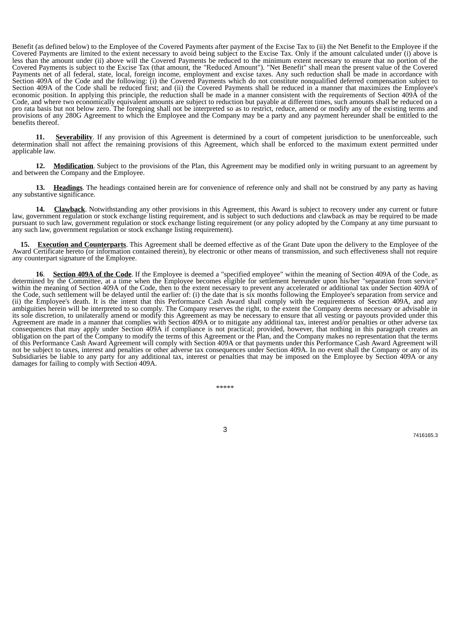Benefit (as defined below) to the Employee of the Covered Payments after payment of the Excise Tax to (ii) the Net Benefit to the Employee if the Covered Payments are limited to the extent necessary to avoid being subject to the Excise Tax. Only if the amount calculated under (i) above is less than the amount under (ii) above will the Covered Payments be reduced to the minimum extent necessary to ensure that no portion of the Covered Payments is subject to the Excise Tax (that amount, the "Reduced Amount"). "Net Benefit" shall mean the present value of the Covered Payments net of all federal, state, local, foreign income, employment and excise taxes. Any such reduction shall be made in accordance with Section 409A of the Code and the following: (i) the Covered Payments which do not constitute nonqualified deferred compensation subject to Section 409A of the Code shall be reduced first; and (ii) the Covered Payments shall be reduced in a manner that maximizes the Employee's economic position. In applying this principle, the reduction shall be made in a manner consistent with the requirements of Section 409A of the Code, and where two economically equivalent amounts are subject to reduction but payable at different times, such amounts shall be reduced on a pro rata basis but not below zero. The foregoing shall not be interpreted so as to restrict, reduce, amend or modify any of the existing terms and provisions of any 280G Agreement to which the Employee and the Company may be a party and any payment hereunder shall be entitled to the benefits thereof.

**11. Severability**. If any provision of this Agreement is determined by a court of competent jurisdiction to be unenforceable, such determination shall not affect the remaining provisions of this Agreement, which shall be enforced to the maximum extent permitted under applicable law.

**12. Modification**. Subject to the provisions of the Plan, this Agreement may be modified only in writing pursuant to an agreement by and between the Company and the Employee.

**13. Headings**. The headings contained herein are for convenience of reference only and shall not be construed by any party as having any substantive significance.

**14. Clawback**. Notwithstanding any other provisions in this Agreement, this Award is subject to recovery under any current or future law, government regulation or stock exchange listing requirement, and is subject to such deductions and clawback as may be required to be made pursuant to such law, government regulation or stock exchange listing requirement (or any policy adopted by the Company at any time pursuant to any such law, government regulation or stock exchange listing requirement).

**15. Execution and Counterparts**. This Agreement shall be deemed effective as of the Grant Date upon the delivery to the Employee of the Award Certificate hereto (or information contained therein), by electronic or other means of transmission, and such effectiveness shall not require any counterpart signature of the Employee.

**16**. **Section 409A of the Code**. If the Employee is deemed a "specified employee" within the meaning of Section 409A of the Code, as determined by the Committee, at a time when the Employee becomes eligible for settlement hereunder upon his/her "separation from service" within the meaning of Section 409A of the Code, then to the extent necessary to prevent any accelerated or additional tax under Section 409A of the Code, such settlement will be delayed until the earlier of: (i) the date that is six months following the Employee's separation from service and (ii) the Employee's death. It is the intent that this Performance Cash Award shall comply with the requirements of Section 409A, and any ambiguities herein will be interpreted to so comply. The Company reserves the right, to the extent the Company deems necessary or advisable in its sole discretion, to unilaterally amend or modify this Agreement as may be necessary to ensure that all vesting or payouts provided under this Agreement are made in a manner that complies with Section 409A or to mitigate any additional tax, interest and/or penalties or other adverse tax consequences that may apply under Section 409A if compliance is not practical; provided, however, that nothing in this paragraph creates an obligation on the part of the Company to modify the terms of this Agreement or the Plan, and the Company makes no representation that the terms of this Performance Cash Award Agreement will comply with Section 409A or that payments under this Performance Cash Award Agreement will not be subject to taxes, interest and penalties or other adverse tax consequences under Section 409A. In no event shall the Company or any of its Subsidiaries be liable to any party for any additional tax, interest or penalties that may be imposed on the Employee by Section 409A or any damages for failing to comply with Section 409A.

\*\*\*\*\*

7416165.3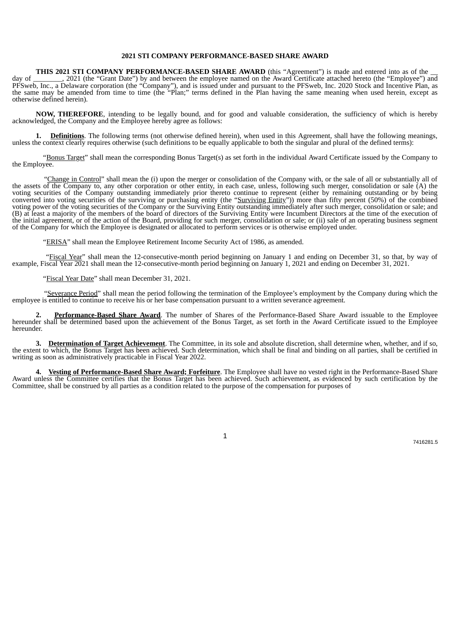# **2021 STI COMPANY PERFORMANCE-BASED SHARE AWARD**

<span id="page-32-0"></span>**THIS 2021 STI COMPANY PERFORMANCE-BASED SHARE AWARD** (this "Agreement") is made and entered into as of the \_\_ day of \_\_\_\_\_\_\_\_, 2021 (the "Grant Date") by and between the employee named on the Award Certificate attached hereto (the "Employee") and PFSweb, Inc., a Delaware corporation (the "Company"), and is issued under and pursuant to the PFSweb, Inc. 2020 Stock and Incentive Plan, as the same may be amended from time to time (the "Plan;" terms defined in the Plan having the same meaning when used herein, except as otherwise defined herein).

**NOW, THEREFORE**, intending to be legally bound, and for good and valuable consideration, the sufficiency of which is hereby acknowledged, the Company and the Employee hereby agree as follows:

**1. Definitions**. The following terms (not otherwise defined herein), when used in this Agreement, shall have the following meanings, unless the context clearly requires otherwise (such definitions to be equally applicable to both the singular and plural of the defined terms):

"Bonus Target" shall mean the corresponding Bonus Target(s) as set forth in the individual Award Certificate issued by the Company to the Employee.

"Change in Control" shall mean the (i) upon the merger or consolidation of the Company with, or the sale of all or substantially all of the assets of the Company to, any other corporation or other entity, in each case, unless, following such merger, consolidation or sale (A) the voting securities of the Company outstanding immediately prior thereto continue to represent (either by remaining outstanding or by being converted into voting securities of the surviving or purchasing entity (the "Surviving Entity")) more than fifty percent (50%) of the combined voting power of the voting securities of the Company or the Surviving Entity outstanding immediately after such merger, consolidation or sale; and (B) at least a majority of the members of the board of directors of the Surviving Entity were Incumbent Directors at the time of the execution of the initial agreement, or of the action of the Board, providing for such merger, consolidation or sale; or (ii) sale of an operating business segment of the Company for which the Employee is designated or allocated to perform services or is otherwise employed under.

"ERISA" shall mean the Employee Retirement Income Security Act of 1986, as amended.

"Fiscal Year" shall mean the 12-consecutive-month period beginning on January 1 and ending on December 31, so that, by way of example, Fiscal Year 2021 shall mean the 12-consecutive-month period beginning on January 1, 2021 and ending on December 31, 2021.

"Fiscal Year Date" shall mean December 31, 2021.

"Severance Period" shall mean the period following the termination of the Employee's employment by the Company during which the employee is entitled to continue to receive his or her base compensation pursuant to a written severance agreement.

**2. Performance-Based Share Award**. The number of Shares of the Performance-Based Share Award issuable to the Employee hereunder shall be determined based upon the achievement of the Bonus Target, as set forth in the Award Certificate issued to the Employee hereunder.

**3. Determination of Target Achievement**. The Committee, in its sole and absolute discretion, shall determine when, whether, and if so, the extent to which, the Bonus Target has been achieved. Such determination, which shall be final and binding on all parties, shall be certified in writing as soon as administratively practicable in Fiscal Year 2022.

**4. Vesting of Performance-Based Share Award; Forfeiture**. The Employee shall have no vested right in the Performance-Based Share Award unless the Committee certifies that the Bonus Target has been achieved. Such achievement, as evidenced by such certification by the Committee, shall be construed by all parties as a condition related to the purpose of the compensation for purposes of

1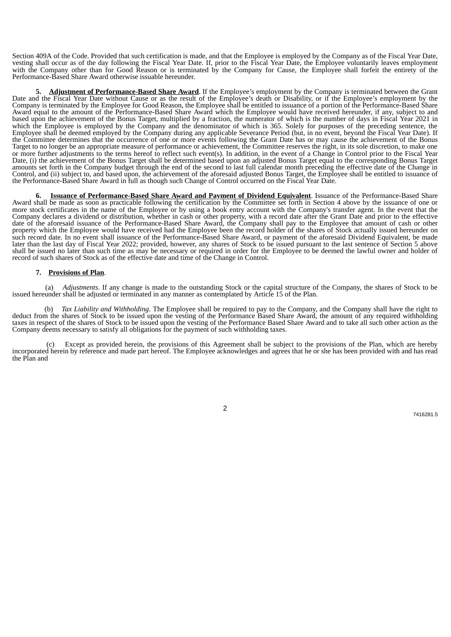Section 409A of the Code. Provided that such certification is made, and that the Employee is employed by the Company as of the Fiscal Year Date, vesting shall occur as of the day following the Fiscal Year Date. If, prior to the Fiscal Year Date, the Employee voluntarily leaves employment with the Company other than for Good Reason or is terminated by the Company for Cause, the Employee shall forfeit the entirety of the Performance-Based Share Award otherwise issuable hereunder.

**5. Adjustment of Performance-Based Share Award**. If the Employee's employment by the Company is terminated between the Grant Date and the Fiscal Year Date without Cause or as the result of the Employee's death or Disability, or if the Employee's employment by the Company is terminated by the Employee for Good Reason, the Employee shall be entitled to issuance of a portion of the Performance-Based Share Award equal to the amount of the Performance-Based Share Award which the Employee would have received hereunder, if any, subject to and based upon the achievement of the Bonus Target, multiplied by a fraction, the numerator of which is the number of days in Fiscal Year 2021 in which the Employee is employed by the Company and the denominator of which is 365. Solely for purposes of the preceding sentence, the Employee shall be deemed employed by the Company during any applicable Severance Period (but, in no event, beyond the Fiscal Year Date). If the Committee determines that the occurrence of one or more events following the Grant Date has or may cause the achievement of the Bonus Target to no longer be an appropriate measure of performance or achievement, the Committee reserves the right, in its sole discretion, to make one or more further adjustments to the terms hereof to reflect such event(s). In addition, in the event of a Change in Control prior to the Fiscal Year Date, (i) the achievement of the Bonus Target shall be determined based upon an adjusted Bonus Target equal to the corresponding Bonus Target amounts set forth in the Company budget through the end of the second to last full calendar month preceding the effective date of the Change in Control, and (ii) subject to, and based upon, the achievement of the aforesaid adjusted Bonus Target, the Employee shall be entitled to issuance of the Performance-Based Share Award in full as though such Change of Control occurred on the Fiscal Year Date.

**6. Issuance of Performance-Based Share Award and Payment of Dividend Equivalent**. Issuance of the Performance-Based Share Award shall be made as soon as practicable following the certification by the Committee set forth in Section 4 above by the issuance of one or more stock certificates in the name of the Employee or by using a book entry account with the Company's transfer agent. In the event that the Company declares a dividend or distribution, whether in cash or other property, with a record date after the Grant Date and prior to the effective date of the aforesaid issuance of the Performance-Based Share Award, the Company shall pay to the Employee that amount of cash or other property which the Employee would have received had the Employee been the record holder of the shares of Stock actually issued hereunder on such record date. In no event shall issuance of the Performance-Based Share Award, or payment of the aforesaid Dividend Equivalent, be made later than the last day of Fiscal Year 2022; provided, however, any shares of Stock to be issued pursuant to the last sentence of Section 5 above shall be issued no later than such time as may be necessary or required in order for the Employee to be deemed the lawful owner and holder of record of such shares of Stock as of the effective date and time of the Change in Control.

#### **7. Provisions of Plan**.

(a) *Adjustments*. If any change is made to the outstanding Stock or the capital structure of the Company, the shares of Stock to be issued hereunder shall be adjusted or terminated in any manner as contemplated by Article 15 of the Plan.

(b) *Tax Liability and Withholding*. The Employee shall be required to pay to the Company, and the Company shall have the right to deduct from the shares of Stock to be issued upon the vesting of the Performance Based Share Award, the amount of any required withholding taxes in respect of the shares of Stock to be issued upon the vesting of the Performance Based Share Award and to take all such other action as the Company deems necessary to satisfy all obligations for the payment of such withholding taxes.

Except as provided herein, the provisions of this Agreement shall be subject to the provisions of the Plan, which are hereby incorporated herein by reference and made part hereof. The Employee acknowledges and agrees that he or she has been provided with and has read the Plan and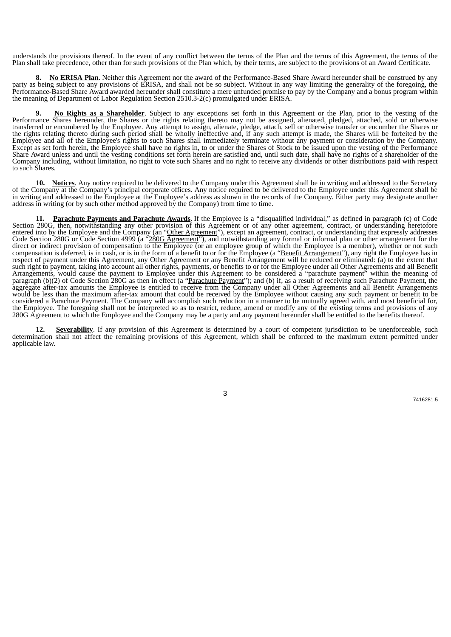understands the provisions thereof. In the event of any conflict between the terms of the Plan and the terms of this Agreement, the terms of the Plan shall take precedence, other than for such provisions of the Plan which, by their terms, are subject to the provisions of an Award Certificate.

**8. No ERISA Plan**. Neither this Agreement nor the award of the Performance-Based Share Award hereunder shall be construed by any party as being subject to any provisions of ERISA, and shall not be so subject. Without in any way limiting the generality of the foregoing, the Performance-Based Share Award awarded hereunder shall constitute a mere unfunded promise to pay by the Company and a bonus program within the meaning of Department of Labor Regulation Section 2510.3-2(c) promulgated under ERISA.

**9. No Rights as a Shareholder**. Subject to any exceptions set forth in this Agreement or the Plan, prior to the vesting of the Performance Shares hereunder, the Shares or the rights relating thereto may not be assigned, alienated, pledged, attached, sold or otherwise transferred or encumbered by the Employee. Any attempt to assign, alienate, pledge, attach, sell or otherwise transfer or encumber the Shares or the rights relating thereto during such period shall be wholly ineffective and, if any such attempt is made, the Shares will be forfeited by the Employee and all of the Employee's rights to such Shares shall immediately terminate without any payment or consideration by the Company. Except as set forth herein, the Employee shall have no rights in, to or under the Shares of Stock to be issued upon the vesting of the Performance Share Award unless and until the vesting conditions set forth herein are satisfied and, until such date, shall have no rights of a shareholder of the Company including, without limitation, no right to vote such Shares and no right to receive any dividends or other distributions paid with respect to such Shares.

**10. Notices**. Any notice required to be delivered to the Company under this Agreement shall be in writing and addressed to the Secretary of the Company at the Company's principal corporate offices. Any notice required to be delivered to the Employee under this Agreement shall be in writing and addressed to the Employee at the Employee's address as shown in the records of the Company. Either party may designate another address in writing (or by such other method approved by the Company) from time to time.

**11. Parachute Payments and Parachute Awards**. If the Employee is a "disqualified individual," as defined in paragraph (c) of Code Section 280G, then, notwithstanding any other provision of this Agreement or of any other agreement, contract, or understanding heretofore entered into by the Employee and the Company (an "<u>Other Agreement</u>"), except an agreement, contract, or understanding that expressly addresses Code Section 280G or Code Section 4999 (a "280G Agreement"), and notwithstanding any formal or informal plan or other arrangement for the direct or indirect provision of compensation to the Employee (or an employee group of which the Employee is a member), whether or not such compensation is deferred, is in cash, or is in the form of a benefit to or for the Employee (a "<u>Benefit Arrangement</u>"), any right the Employee has in respect of payment under this Agreement, any Other Agreement or any Benefit Arrangement will be reduced or eliminated: (a) to the extent that such right to payment, taking into account all other rights, payments, or benefits to or for the Employee under all Other Agreements and all Benefit Arrangements, would cause the payment to Employee under this Agreement to be considered a "parachute payment" within the meaning of paragraph (b)(2) of Code Section 280G as then in effect (a "<u>Parachute Payment</u>"); and (b) if, as a result of receiving such Parachute Payment, the aggregate after-tax amounts the Employee is entitled to receive from the Company under all Other Agreements and all Benefit Arrangements would be less than the maximum after-tax amount that could be received by the Employee without causing any such payment or benefit to be considered a Parachute Payment. The Company will accomplish such reduction in a manner to be mutually agreed with, and most beneficial for, the Employee. The foregoing shall not be interpreted so as to restrict, reduce, amend or modify any of the existing terms and provisions of any 280G Agreement to which the Employee and the Company may be a party and any payment hereunder shall be entitled to the benefits thereof.

**12. Severability**. If any provision of this Agreement is determined by a court of competent jurisdiction to be unenforceable, such determination shall not affect the remaining provisions of this Agreement, which shall be enforced to the maximum extent permitted under applicable law.

3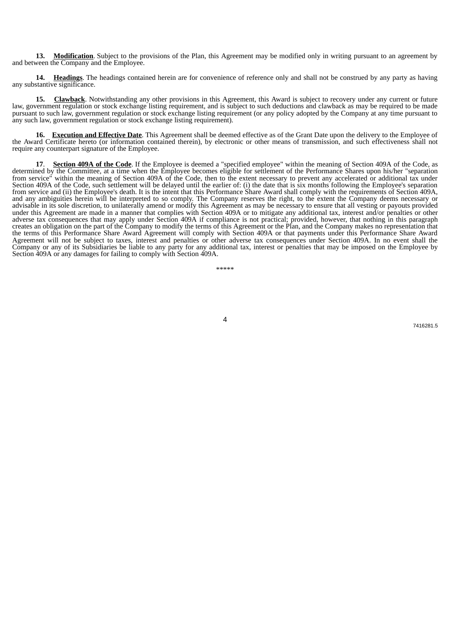**13. Modification**. Subject to the provisions of the Plan, this Agreement may be modified only in writing pursuant to an agreement by and between the Company and the Employee.

**14. Headings**. The headings contained herein are for convenience of reference only and shall not be construed by any party as having any substantive significance.

**15. Clawback**. Notwithstanding any other provisions in this Agreement, this Award is subject to recovery under any current or future law, government regulation or stock exchange listing requirement, and is subject to such deductions and clawback as may be required to be made pursuant to such law, government regulation or stock exchange listing requirement (or any policy adopted by the Company at any time pursuant to any such law, government regulation or stock exchange listing requirement).

**16. Execution and Effective Date**. This Agreement shall be deemed effective as of the Grant Date upon the delivery to the Employee of the Award Certificate hereto (or information contained therein), by electronic or other means of transmission, and such effectiveness shall not require any counterpart signature of the Employee.

**17**. **Section 409A of the Code**. If the Employee is deemed a "specified employee" within the meaning of Section 409A of the Code, as determined by the Committee, at a time when the Employee becomes eligible for settlement of the Performance Shares upon his/her "separation from service<sup>"</sup> within the meaning of Section 409A of the Code, then to the extent necessary to prevent any accelerated or additional tax under Section 409A of the Code, such settlement will be delayed until the earlier of: (i) the date that is six months following the Employee's separation from service and (ii) the Employee's death. It is the intent that this Performance Share Award shall comply with the requirements of Section 409A, and any ambiguities herein will be interpreted to so comply. The Company reserves the right, to the extent the Company deems necessary or advisable in its sole discretion, to unilaterally amend or modify this Agreement as may be necessary to ensure that all vesting or payouts provided under this Agreement are made in a manner that complies with Section 409A or to mitigate any additional tax, interest and/or penalties or other adverse tax consequences that may apply under Section 409A if compliance is not practical; provided, however, that nothing in this paragraph creates an obligation on the part of the Company to modify the terms of this Agreement or the Plan, and the Company makes no representation that the terms of this Performance Share Award Agreement will comply with Section 409A or that payments under this Performance Share Award Agreement will not be subject to taxes, interest and penalties or other adverse tax consequences under Section 409A. In no event shall the Company or any of its Subsidiaries be liable to any party for any additional tax, interest or penalties that may be imposed on the Employee by Section 409A or any damages for failing to comply with Section 409A.

\*\*\*\*\*

4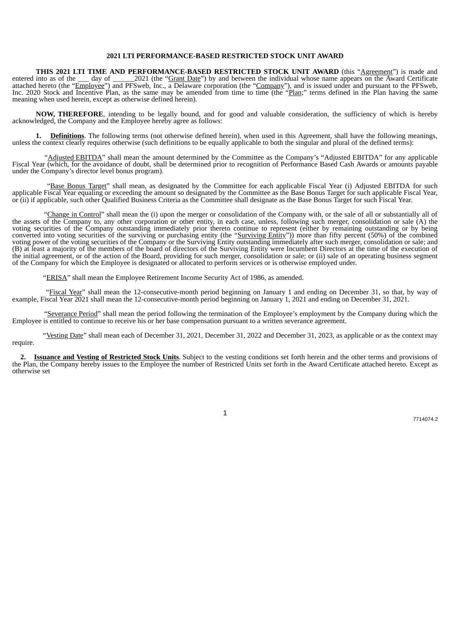# **2021 LTI PERFORMANCE-BASED RESTRICTED STOCK UNIT AWARD**

<span id="page-36-0"></span>**THIS 2021 LTI TIME AND PERFORMANCE-BASED RESTRICTED STOCK UNIT AWARD** (this "Agreement") is made and entered into as of the <sub>case</sub> day of <sub>2021</sub> (the "Grant Date") by and between the individual whose name appears on the Award Certificate attached hereto (the "Employee") and PFSweb, Inc., a Delaware corporation (the "Company"), and is issued under and pursuant to the PFSweb, Inc. 2020 Stock and Incentive Plan, as the same may be amended from time to time (the "Plan;" terms defined in the Plan having the same meaning when used herein, except as otherwise defined herein).

**NOW, THEREFORE**, intending to be legally bound, and for good and valuable consideration, the sufficiency of which is hereby acknowledged, the Company and the Employee hereby agree as follows:

**1. Definitions**. The following terms (not otherwise defined herein), when used in this Agreement, shall have the following meanings, unless the context clearly requires otherwise (such definitions to be equally applicable to both the singular and plural of the defined terms):

"Adjusted EBITDA" shall mean the amount determined by the Committee as the Company's "Adjusted EBITDA" for any applicable Fiscal Year (which, for the avoidance of doubt, shall be determined prior to recognition of Performance Based Cash Awards or amounts payable under the Company's director level bonus program).

Base Bonus Target" shall mean, as designated by the Committee for each applicable Fiscal Year (i) Adjusted EBITDA for such applicable Fiscal Year equaling or exceeding the amount so designated by the Committee as the Base Bonus Target for such applicable Fiscal Year, or (ii) if applicable, such other Qualified Business Criteria as the Committee shall designate as the Base Bonus Target for such Fiscal Year.

"Change in Control" shall mean the (i) upon the merger or consolidation of the Company with, or the sale of all or substantially all of the assets of the Company to, any other corporation or other entity, in each case, unless, following such merger, consolidation or sale (A) the voting securities of the Company outstanding immediately prior thereto continue to represent (either by remaining outstanding or by being converted into voting securities of the surviving or purchasing entity (the "Surviving Entity")) more than fifty percent (50%) of the combined voting power of the voting securities of the Company or the Surviving Entity outstanding immediately after such merger, consolidation or sale; and (B) at least a majority of the members of the board of directors of the Surviving Entity were Incumbent Directors at the time of the execution of the initial agreement, or of the action of the Board, providing for such merger, consolidation or sale; or (ii) sale of an operating business segment of the Company for which the Employee is designated or allocated to perform services or is otherwise employed under.

"ERISA" shall mean the Employee Retirement Income Security Act of 1986, as amended.

"Fiscal Year" shall mean the 12-consecutive-month period beginning on January 1 and ending on December 31, so that, by way of example, Fiscal Year 2021 shall mean the 12-consecutive-month period beginning on January 1, 2021 and ending on December 31, 2021.

"Severance Period" shall mean the period following the termination of the Employee's employment by the Company during which the Employee is entitled to continue to receive his or her base compensation pursuant to a written severance agreement.

"Vesting Date" shall mean each of December 31, 2021, December 31, 2022 and December 31, 2023, as applicable or as the context may require.

**2. Issuance and Vesting of Restricted Stock Units**. Subject to the vesting conditions set forth herein and the other terms and provisions of the Plan, the Company hereby issues to the Employee the number of Restricted Units set forth in the Award Certificate attached hereto. Except as otherwise set

1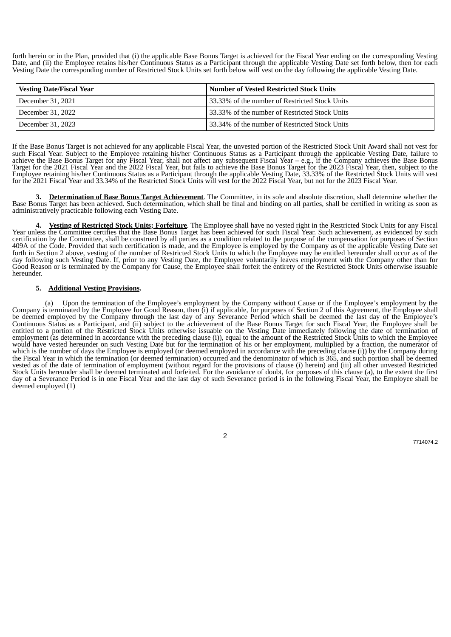forth herein or in the Plan, provided that (i) the applicable Base Bonus Target is achieved for the Fiscal Year ending on the corresponding Vesting Date, and (ii) the Employee retains his/her Continuous Status as a Participant through the applicable Vesting Date set forth below, then for each Vesting Date the corresponding number of Restricted Stock Units set forth below will vest on the day following the applicable Vesting Date.

| <b>Vesting Date/Fiscal Year</b> | Number of Vested Restricted Stock Units        |
|---------------------------------|------------------------------------------------|
| December 31, 2021               | 33.33% of the number of Restricted Stock Units |
| December 31, 2022               | 33.33% of the number of Restricted Stock Units |
| December 31, 2023               | 33.34% of the number of Restricted Stock Units |

If the Base Bonus Target is not achieved for any applicable Fiscal Year, the unvested portion of the Restricted Stock Unit Award shall not vest for such Fiscal Year. Subject to the Employee retaining his/her Continuous Status as a Participant through the applicable Vesting Date, failure to achieve the Base Bonus Target for any Fiscal Year, shall not affect any subsequent Fiscal Year – e.g., if the Company achieves the Base Bonus Target for the 2021 Fiscal Year and the 2022 Fiscal Year, but fails to achieve the Base Bonus Target for the 2023 Fiscal Year, then, subject to the Employee retaining his/her Continuous Status as a Participant through the applicable Vesting Date, 33.33% of the Restricted Stock Units will vest for the 2021 Fiscal Year and 33.34% of the Restricted Stock Units will vest for the 2022 Fiscal Year, but not for the 2023 Fiscal Year.

**3. Determination of Base Bonus Target Achievement**. The Committee, in its sole and absolute discretion, shall determine whether the Base Bonus Target has been achieved. Such determination, which shall be final and binding on all parties, shall be certified in writing as soon as administratively practicable following each Vesting Date.

**4. Vesting of Restricted Stock Units; Forfeiture**. The Employee shall have no vested right in the Restricted Stock Units for any Fiscal Year unless the Committee certifies that the Base Bonus Target has been achieved for such Fiscal Year. Such achievement, as evidenced by such certification by the Committee, shall be construed by all parties as a condition related to the purpose of the compensation for purposes of Section 409A of the Code. Provided that such certification is made, and the Employee is employed by the Company as of the applicable Vesting Date set forth in Section 2 above, vesting of the number of Restricted Stock Units to which the Employee may be entitled hereunder shall occur as of the day following such Vesting Date. If, prior to any Vesting Date, the Employee voluntarily leaves employment with the Company other than for Good Reason or is terminated by the Company for Cause, the Employee shall forfeit the entirety of the Restricted Stock Units otherwise issuable hereunder.

# **5. Additional Vesting Provisions.**

(a) Upon the termination of the Employee's employment by the Company without Cause or if the Employee's employment by the Company is terminated by the Employee for Good Reason, then (i) if applicable, for purposes of Section 2 of this Agreement, the Employee shall be deemed employed by the Company through the last day of any Severance Period which shall be deemed the last day of the Employee's Continuous Status as a Participant, and (ii) subject to the achievement of the Base Bonus Target for such Fiscal Year, the Employee shall be entitled to a portion of the Restricted Stock Units otherwise issuable on the Vesting Date immediately following the date of termination of employment (as determined in accordance with the preceding clause (i)), equal to the amount of the Restricted Stock Units to which the Employee would have vested hereunder on such Vesting Date but for the termination of his or her employment, multiplied by a fraction, the numerator of which is the number of days the Employee is employed (or deemed employed in accordance with the preceding clause (i)) by the Company during which is the number of days the Employee is employed (or deemed employed in accord the Fiscal Year in which the termination (or deemed termination) occurred and the denominator of which is 365, and such portion shall be deemed vested as of the date of termination of employment (without regard for the provisions of clause (i) herein) and (iii) all other unvested Restricted Stock Units hereunder shall be deemed terminated and forfeited. For the avoidance of doubt, for purposes of this clause (a), to the extent the first day of a Severance Period is in one Fiscal Year and the last day of such Severance period is in the following Fiscal Year, the Employee shall be deemed employed (1)

 $\overline{2}$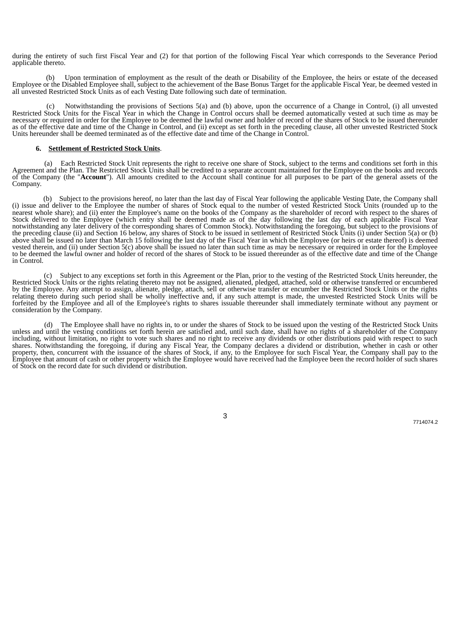during the entirety of such first Fiscal Year and (2) for that portion of the following Fiscal Year which corresponds to the Severance Period applicable thereto.

(b) Upon termination of employment as the result of the death or Disability of the Employee, the heirs or estate of the deceased Employee or the Disabled Employee shall, subject to the achievement of the Base Bonus Target for the applicable Fiscal Year, be deemed vested in all unvested Restricted Stock Units as of each Vesting Date following such date of termination.

(c) Notwithstanding the provisions of Sections 5(a) and (b) above, upon the occurrence of a Change in Control, (i) all unvested Restricted Stock Units for the Fiscal Year in which the Change in Control occurs shall be deemed automatically vested at such time as may be necessary or required in order for the Employee to be deemed the lawful owner and holder of record of the shares of Stock to be issued thereunder as of the effective date and time of the Change in Control, and (ii) except as set forth in the preceding clause, all other unvested Restricted Stock Units hereunder shall be deemed terminated as of the effective date and time of the Change in Control.

## **6. Settlement of Restricted Stock Units**.

(a) Each Restricted Stock Unit represents the right to receive one share of Stock, subject to the terms and conditions set forth in this Agreement and the Plan. The Restricted Stock Units shall be credited to a separate account maintained for the Employee on the books and records of the Company (the "**Account**"). All amounts credited to the Account shall continue for all purposes to be part of the general assets of the Company.

(b) Subject to the provisions hereof, no later than the last day of Fiscal Year following the applicable Vesting Date, the Company shall (i) issue and deliver to the Employee the number of shares of Stock equal to the number of vested Restricted Stock Units (rounded up to the nearest whole share); and (ii) enter the Employee's name on the books of the Company as the shareholder of record with respect to the shares of Stock delivered to the Employee (which entry shall be deemed made as of the day following the last day of each applicable Fiscal Year notwithstanding any later delivery of the corresponding shares of Common Stock). Notwithstanding the foregoing, but subject to the provisions of the preceding clause (ii) and Section 16 below, any shares of Stock to be issued in settlement of Restricted Stock Units (i) under Section 5(a) or (b) above shall be issued no later than March 15 following the last day of the Fiscal Year in which the Employee (or heirs or estate thereof) is deemed vested therein, and (ii) under Section 5(c) above shall be issued no later than such time as may be necessary or required in order for the Employee to be deemed the lawful owner and holder of record of the shares of Stock to be issued thereunder as of the effective date and time of the Change in Control.

(c) Subject to any exceptions set forth in this Agreement or the Plan, prior to the vesting of the Restricted Stock Units hereunder, the Restricted Stock Units or the rights relating thereto may not be assigned, alienated, pledged, attached, sold or otherwise transferred or encumbered by the Employee. Any attempt to assign, alienate, pledge, attach, sell or otherwise transfer or encumber the Restricted Stock Units or the rights relating thereto during such period shall be wholly ineffective and, if any such attempt is made, the unvested Restricted Stock Units will be forfeited by the Employee and all of the Employee's rights to shares issuable thereunder shall immediately terminate without any payment or consideration by the Company.

(d) The Employee shall have no rights in, to or under the shares of Stock to be issued upon the vesting of the Restricted Stock Units unless and until the vesting conditions set forth herein are satisfied and, until such date, shall have no rights of a shareholder of the Company including, without limitation, no right to vote such shares and no right to receive any dividends or other distributions paid with respect to such shares. Notwithstanding the foregoing, if during any Fiscal Year, the Company declares a dividend or distribution, whether in cash or other property, then, concurrent with the issuance of the shares of Stock, if any, to the Employee for such Fiscal Year, the Company shall pay to the Employee that amount of cash or other property which the Employee would have received had the Employee been the record holder of such shares of Stock on the record date for such dividend or distribution.

3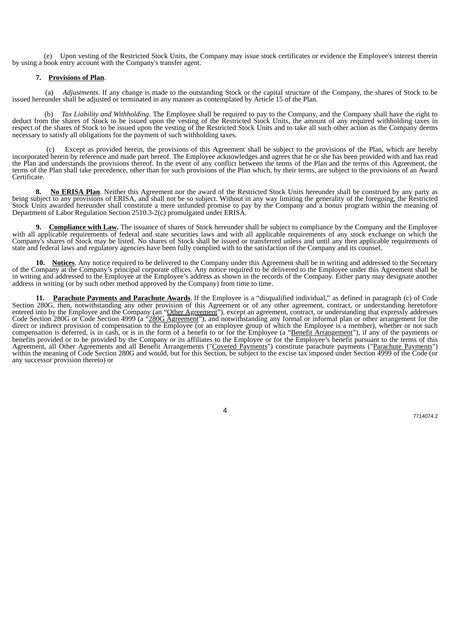(e) Upon vesting of the Restricted Stock Units, the Company may issue stock certificates or evidence the Employee's interest therein by using a book entry account with the Company's transfer agent.

## **7. Provisions of Plan**.

(a) *Adjustments*. If any change is made to the outstanding Stock or the capital structure of the Company, the shares of Stock to be issued hereunder shall be adjusted or terminated in any manner as contemplated by Article 15 of the Plan.

(b) *Tax Liability and Withholding*. The Employee shall be required to pay to the Company, and the Company shall have the right to deduct from the shares of Stock to be issued upon the vesting of the Restricted Stock Units, the amount of any required withholding taxes in respect of the shares of Stock to be issued upon the vesting of the Restricted Stock Units and to take all such other action as the Company deems necessary to satisfy all obligations for the payment of such withholding taxes.

Except as provided herein, the provisions of this Agreement shall be subject to the provisions of the Plan, which are hereby incorporated herein by reference and made part hereof. The Employee acknowledges and agrees that he or she has been provided with and has read the Plan and understands the provisions thereof. In the event of any conflict between the terms of the Plan and the terms of this Agreement, the terms of the Plan shall take precedence, other than for such provisions of the Plan which, by their terms, are subject to the provisions of an Award Certificate.

**8. No ERISA Plan**. Neither this Agreement nor the award of the Restricted Stock Units hereunder shall be construed by any party as being subject to any provisions of ERISA, and shall not be so subject. Without in any way limiting the generality of the foregoing, the Restricted Stock Units awarded hereunder shall constitute a mere unfunded promise to pay by the Company and a bonus program within the meaning of Department of Labor Regulation Section 2510.3-2(c) promulgated under ERISA.

**Compliance with Law.** The issuance of shares of Stock hereunder shall be subject to compliance by the Company and the Employee with all applicable requirements of federal and state securities laws and with all applicable requirements of any stock exchange on which the Company's shares of Stock may be listed. No shares of Stock shall be issued or transferred unless and until any then applicable requirements of state and federal laws and regulatory agencies have been fully complied with to the satisfaction of the Company and its counsel.

**10. Notices**. Any notice required to be delivered to the Company under this Agreement shall be in writing and addressed to the Secretary of the Company at the Company's principal corporate offices. Any notice required to be delivered to the Employee under this Agreement shall be in writing and addressed to the Employee at the Employee's address as shown in the records of the Company. Either party may designate another address in writing (or by such other method approved by the Company) from time to time.

**11. Parachute Payments and Parachute Awards**. If the Employee is a "disqualified individual," as defined in paragraph (c) of Code Section 280G, then, notwithstanding any other provision of this Agreement or of any other agreement, contract, or understanding heretofore entered into by the Employee and the Company (an "<u>Other Agreement</u>"), except an agreement, contract, or understanding that expressly addresses Code Section 280G or Code Section 4999 (a "280G Agreement"), and notwithstanding any formal or informal plan or other arrangement for the direct or indirect provision of compensation to the Employee (or an employee group of which the Employee is a member), whether or not such compensation is deferred, is in cash, or is in the form of a benefit to or for the Employee (a "Benefit Arrangement"), if any of the payments or benefits provided or to be provided by the Company or its affiliates to the Employee or for the Employee's benefit pursuant to the terms of this Agreement, all Other Agreements and all Benefit Arrangements ("<u>Covered Payments</u>") constitute parachute payments ("<u>Parachute Payments</u>") within the meaning of Code Section 280G and would, but for this Section, be subject to the excise tax imposed under Section 4999 of the Code (or any successor provision thereto) or

4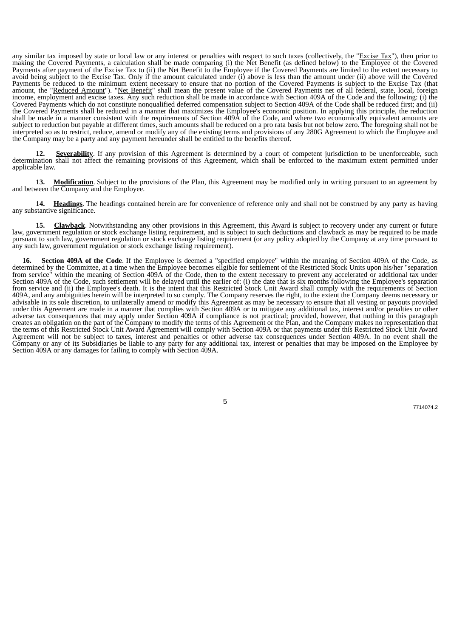any similar tax imposed by state or local law or any interest or penalties with respect to such taxes (collectively, the "Excise Tax"), then prior to making the Covered Payments, a calculation shall be made comparing (i) the Net Benefit (as defined below) to the Employee of the Covered Payments after payment of the Excise Tax to (ii) the Net Benefit to the Employee if the Covered Payments are limited to the extent necessary to avoid being subject to the Excise Tax. Only if the amount calculated under (i) above is less than the amount under (ii) above will the Covered Payments be reduced to the minimum extent necessary to ensure that no portion of the Covered Payments is subject to the Excise Tax (that amount, the "Reduced Amount"). "Net Benefit" shall mean the present value of the Covered Payments net of all federal, state, local, foreign income, employment and excise taxes. Any such reduction shall be made in accordance with Section 409A of the Code and the following: (i) the Covered Payments which do not constitute nonqualified deferred compensation subject to Section 409A of the Code shall be reduced first; and (ii) the Covered Payments shall be reduced in a manner that maximizes the Employee's economic position. In applying this principle, the reduction shall be made in a manner consistent with the requirements of Section 409A of the Code, and where two economically equivalent amounts are subject to reduction but payable at different times, such amounts shall be reduced on a pro rata basis but not below zero. The foregoing shall not be interpreted so as to restrict, reduce, amend or modify any of the existing terms and provisions of any 280G Agreement to which the Employee and the Company may be a party and any payment hereunder shall be entitled to the benefits thereof.

**12. Severability**. If any provision of this Agreement is determined by a court of competent jurisdiction to be unenforceable, such determination shall not affect the remaining provisions of this Agreement, which shall be enforced to the maximum extent permitted under applicable law.

**13. Modification**. Subject to the provisions of the Plan, this Agreement may be modified only in writing pursuant to an agreement by and between the Company and the Employee.

**14. Headings**. The headings contained herein are for convenience of reference only and shall not be construed by any party as having any substantive significance.

**15. Clawback**. Notwithstanding any other provisions in this Agreement, this Award is subject to recovery under any current or future law, government regulation or stock exchange listing requirement, and is subject to such deductions and clawback as may be required to be made pursuant to such law, government regulation or stock exchange listing requirement (or any policy adopted by the Company at any time pursuant to any such law, government regulation or stock exchange listing requirement).

**16. Section 409A of the Code**. If the Employee is deemed a "specified employee" within the meaning of Section 409A of the Code, as determined by the Committee, at a time when the Employee becomes eligible for settlement of the Restricted Stock Units upon his/her "separation<br>from service" within the meaning of Section 409A of the Code, then to the exte from service" within the meaning of Section 409A of the Code, then to the extent necessary to prevent any accelerated or additional tax under Section 409A of the Code, such settlement will be delayed until the earlier of: (i) the date that is six months following the Employee's separation from service and (ii) the Employee's death. It is the intent that this Restricted Stock Unit Award shall comply with the requirements of Section 409A, and any ambiguities herein will be interpreted to so comply. The Company reserves the right, to the extent the Company deems necessary or advisable in its sole discretion, to unilaterally amend or modify this Agreement as may be necessary to ensure that all vesting or payouts provided under this Agreement are made in a manner that complies with Section 409A or to mitigate any additional tax, interest and/or penalties or other adverse tax consequences that may apply under Section 409A if compliance is not practical; provided, however, that nothing in this paragraph creates an obligation on the part of the Company to modify the terms of this Agreement or the Plan, and the Company makes no representation that the terms of this Restricted Stock Unit Award Agreement will comply with Section 409A or that payments under this Restricted Stock Unit Award Agreement will not be subject to taxes, interest and penalties or other adverse tax consequences under Section 409A. In no event shall the Company or any of its Subsidiaries be liable to any party for any additional tax, interest or penalties that may be imposed on the Employee by Section 409A or any damages for failing to comply with Section 409A.

5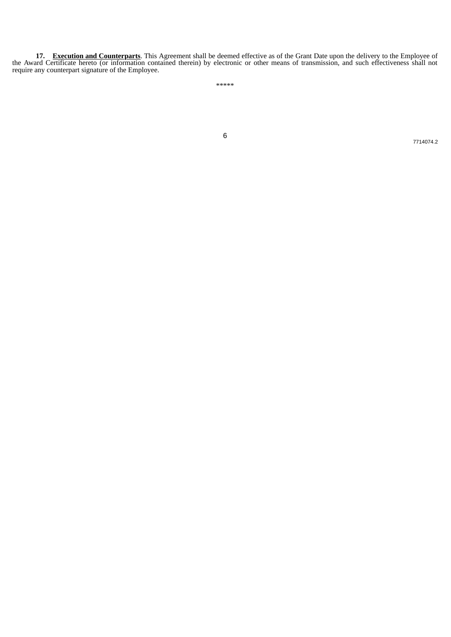**17. Execution and Counterparts**. This Agreement shall be deemed effective as of the Grant Date upon the delivery to the Employee of the Award Certificate hereto (or information contained therein) by electronic or other means of transmission, and such effectiveness shall not require any counterpart signature of the Employee.

\*\*\*\*\*

6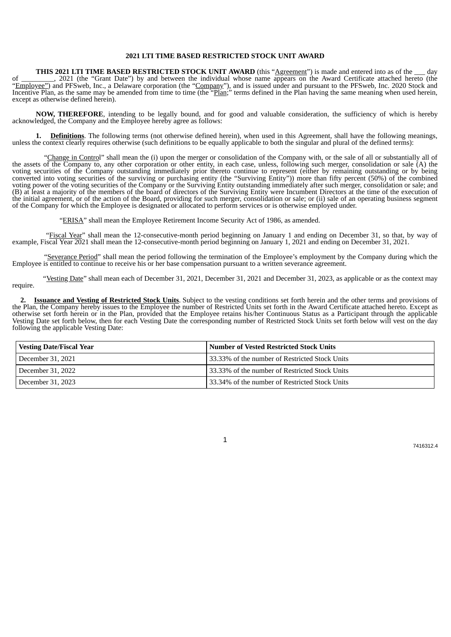# **2021 LTI TIME BASED RESTRICTED STOCK UNIT AWARD**

<span id="page-42-0"></span>**THIS 2021 LTI TIME BASED RESTRICTED STOCK UNIT AWARD** (this "Agreement") is made and entered into as of the \_\_\_ day of \_\_\_\_\_\_\_\_\_, 2021 (the "Grant Date") by and between the individual whose name appears on the Award Certificate attached hereto (the "Employee") and PFSweb, Inc., a Delaware corporation (the "Company"), and is issued under and pursuant to the PFSweb, Inc. 2020 Stock and Incentive Plan, as the same may be amended from time to time (the "Plan;" terms defined in the Plan having the same meaning when used herein, except as otherwise defined herein).

**NOW, THEREFORE**, intending to be legally bound, and for good and valuable consideration, the sufficiency of which is hereby acknowledged, the Company and the Employee hereby agree as follows:

**1. Definitions**. The following terms (not otherwise defined herein), when used in this Agreement, shall have the following meanings, unless the context clearly requires otherwise (such definitions to be equally applicable to both the singular and plural of the defined terms):

"Change in Control" shall mean the (i) upon the merger or consolidation of the Company with, or the sale of all or substantially all of the assets of the Company to, any other corporation or other entity, in each case, unless, following such merger, consolidation or sale (A) the voting securities of the Company outstanding immediately prior thereto continue to represent (either by remaining outstanding or by being converted into voting securities of the surviving or purchasing entity (the "Surviving Entity")) more than fifty percent (50%) of the combined voting power of the voting securities of the Company or the Surviving Entity outstanding immediately after such merger, consolidation or sale; and (B) at least a majority of the members of the board of directors of the Surviving Entity were Incumbent Directors at the time of the execution of the initial agreement, or of the action of the Board, providing for such merger, consolidation or sale; or (ii) sale of an operating business segment of the Company for which the Employee is designated or allocated to perform services or is otherwise employed under.

"ERISA" shall mean the Employee Retirement Income Security Act of 1986, as amended.

"Fiscal Year" shall mean the 12-consecutive-month period beginning on January 1 and ending on December 31, so that, by way of example, Fiscal Year 2021 shall mean the 12-consecutive-month period beginning on January 1, 2021 and ending on December 31, 2021.

"Severance Period" shall mean the period following the termination of the Employee's employment by the Company during which the Employee is entitled to continue to receive his or her base compensation pursuant to a written severance agreement.

"Vesting Date" shall mean each of December 31, 2021, December 31, 2021 and December 31, 2023, as applicable or as the context may require.

**2. Issuance and Vesting of Restricted Stock Units**. Subject to the vesting conditions set forth herein and the other terms and provisions of the Plan, the Company hereby issues to the Employee the number of Restricted Units set forth in the Award Certificate attached hereto. Except as otherwise set forth herein or in the Plan, provided that the Employee retains his/her Continuous Status as a Participant through the applicable Vesting Date set forth below, then for each Vesting Date the corresponding number of Restricted Stock Units set forth below will vest on the day following the applicable Vesting Date:

| <b>Vesting Date/Fiscal Year</b> | Number of Vested Restricted Stock Units        |
|---------------------------------|------------------------------------------------|
| December 31, 2021               | 33.33% of the number of Restricted Stock Units |
| December 31, 2022               | 33.33% of the number of Restricted Stock Units |
| December 31, 2023               | 33.34% of the number of Restricted Stock Units |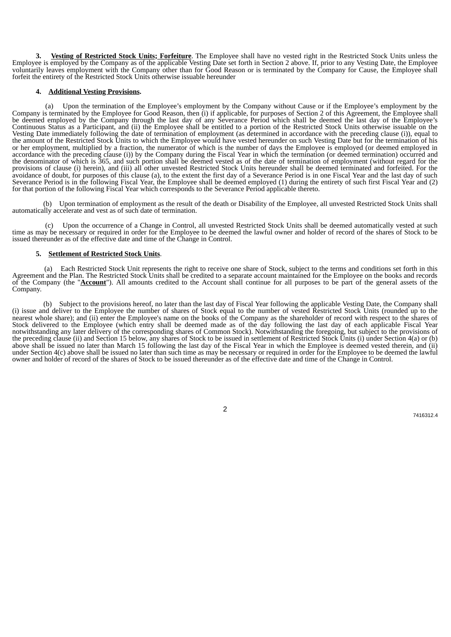**3. Vesting of Restricted Stock Units; Forfeiture**. The Employee shall have no vested right in the Restricted Stock Units unless the Employee is employed by the Company as of the applicable Vesting Date set forth in Section 2 above. If, prior to any Vesting Date, the Employee voluntarily leaves employment with the Company other than for Good Reason or is terminated by the Company for Cause, the Employee shall forfeit the entirety of the Restricted Stock Units otherwise issuable hereunder

## **4. Additional Vesting Provisions.**

(a) Upon the termination of the Employee's employment by the Company without Cause or if the Employee's employment by the Company is terminated by the Employee for Good Reason, then (i) if applicable, for purposes of Section 2 of this Agreement, the Employee shall be deemed employed by the Company through the last day of any Severance Period which shall be deemed the last day of the Employee's Continuous Status as a Participant, and (ii) the Employee shall be entitled to a portion of the Restricted Stock Units otherwise issuable on the Vesting Date immediately following the date of termination of employment (as determined in accordance with the preceding clause (i)), equal to the amount of the Restricted Stock Units to which the Employee would have vested hereunder on such Vesting Date but for the termination of his or her employment, multiplied by a fraction, the numerator of which is the number of days the Employee is employed (or deemed employed in accordance with the preceding clause (i)) by the Company during the Fiscal Year in which the termination (or deemed termination) occurred and the denominator of which is 365, and such portion shall be deemed vested as of the date of termination of employment (without regard for the provisions of clause (i) herein), and (iii) all other unvested Restricted Stock Units hereunder shall be deemed terminated and forfeited. For the avoidance of doubt, for purposes of this clause (a), to the extent the first day of a Severance Period is in one Fiscal Year and the last day of such Severance Period is in the following Fiscal Year, the Employee shall be deemed employed (1) during the entirety of such first Fiscal Year and (2) for that portion of the following Fiscal Year which corresponds to the Severance Period applicable thereto.

(b) Upon termination of employment as the result of the death or Disability of the Employee, all unvested Restricted Stock Units shall automatically accelerate and vest as of such date of termination.

(c) Upon the occurrence of a Change in Control, all unvested Restricted Stock Units shall be deemed automatically vested at such time as may be necessary or required in order for the Employee to be deemed the lawful owner and holder of record of the shares of Stock to be issued thereunder as of the effective date and time of the Change in Control.

#### **5. Settlement of Restricted Stock Units**.

(a) Each Restricted Stock Unit represents the right to receive one share of Stock, subject to the terms and conditions set forth in this Agreement and the Plan. The Restricted Stock Units shall be credited to a separate account maintained for the Employee on the books and records of the Company (the "**Account**"). All amounts credited to the Account shall continue for all purposes to be part of the general assets of the Company.

(b) Subject to the provisions hereof, no later than the last day of Fiscal Year following the applicable Vesting Date, the Company shall (i) issue and deliver to the Employee the number of shares of Stock equal to the number of vested Restricted Stock Units (rounded up to the nearest whole share); and (ii) enter the Employee's name on the books of the Company as the shareholder of record with respect to the shares of Stock delivered to the Employee (which entry shall be deemed made as of the day following the last day of each applicable Fiscal Year notwithstanding any later delivery of the corresponding shares of Common Stock). Notwithstanding the foregoing, but subject to the provisions of the preceding clause (ii) and Section 15 below, any shares of Stock to be issued in settlement of Restricted Stock Units (i) under Section 4(a) or (b) above shall be issued no later than March 15 following the last day of the Fiscal Year in which the Employee is deemed vested therein, and (ii) under Section 4(c) above shall be issued no later than such time as may be necessary or required in order for the Employee to be deemed the lawful owner and holder of record of the shares of Stock to be issued thereunder as of the effective date and time of the Change in Control.

2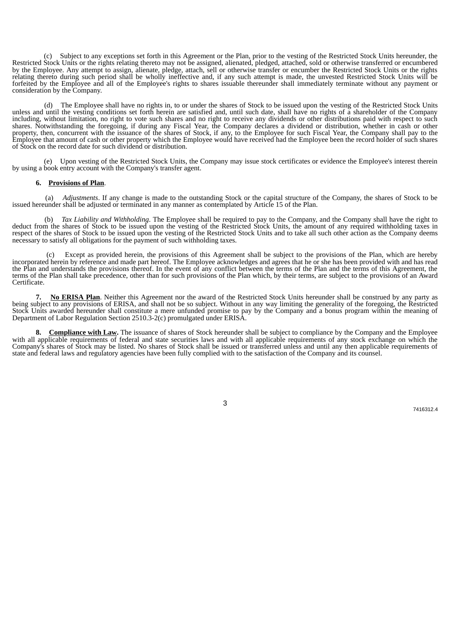(c) Subject to any exceptions set forth in this Agreement or the Plan, prior to the vesting of the Restricted Stock Units hereunder, the Restricted Stock Units or the rights relating thereto may not be assigned, alienated, pledged, attached, sold or otherwise transferred or encumbered by the Employee. Any attempt to assign, alienate, pledge, attach, sell or otherwise transfer or encumber the Restricted Stock Units or the rights relating thereto during such period shall be wholly ineffective and, if any such attempt is made, the unvested Restricted Stock Units will be forfeited by the Employee and all of the Employee's rights to shares issuable thereunder shall immediately terminate without any payment or consideration by the Company.

The Employee shall have no rights in, to or under the shares of Stock to be issued upon the vesting of the Restricted Stock Units unless and until the vesting conditions set forth herein are satisfied and, until such date, shall have no rights of a shareholder of the Company including, without limitation, no right to vote such shares and no right to receive any dividends or other distributions paid with respect to such shares. Notwithstanding the foregoing, if during any Fiscal Year, the Company declares a dividend or distribution, whether in cash or other property, then, concurrent with the issuance of the shares of Stock, if any, to the Employee for such Fiscal Year, the Company shall pay to the Employee that amount of cash or other property which the Employee would have received had the Employee been the record holder of such shares of Stock on the record date for such dividend or distribution.

(e) Upon vesting of the Restricted Stock Units, the Company may issue stock certificates or evidence the Employee's interest therein by using a book entry account with the Company's transfer agent.

# **6. Provisions of Plan**.

(a) *Adjustments*. If any change is made to the outstanding Stock or the capital structure of the Company, the shares of Stock to be issued hereunder shall be adjusted or terminated in any manner as contemplated by Article 15 of the Plan.

(b) *Tax Liability and Withholding*. The Employee shall be required to pay to the Company, and the Company shall have the right to deduct from the shares of Stock to be issued upon the vesting of the Restricted Stock Units, the amount of any required withholding taxes in respect of the shares of Stock to be issued upon the vesting of the Restricted Stock Units and to take all such other action as the Company deems necessary to satisfy all obligations for the payment of such withholding taxes.

(c) Except as provided herein, the provisions of this Agreement shall be subject to the provisions of the Plan, which are hereby incorporated herein by reference and made part hereof. The Employee acknowledges and agrees that he or she has been provided with and has read the Plan and understands the provisions thereof. In the event of any conflict between the terms of the Plan and the terms of this Agreement, the terms of the Plan shall take precedence, other than for such provisions of the Plan which, by their terms, are subject to the provisions of an Award Certificate.

**7. No ERISA Plan**. Neither this Agreement nor the award of the Restricted Stock Units hereunder shall be construed by any party as being subject to any provisions of ERISA, and shall not be so subject. Without in any way limiting the generality of the foregoing, the Restricted Stock Units awarded hereunder shall constitute a mere unfunded promise to pay by the Company and a bonus program within the meaning of Department of Labor Regulation Section 2510.3-2(c) promulgated under ERISA.

**8. Compliance with Law.** The issuance of shares of Stock hereunder shall be subject to compliance by the Company and the Employee with all applicable requirements of federal and state securities laws and with all applicable requirements of any stock exchange on which the Company's shares of Stock may be listed. No shares of Stock shall be issued or transferred unless and until any then applicable requirements of state and federal laws and regulatory agencies have been fully complied with to the satisfaction of the Company and its counsel.

3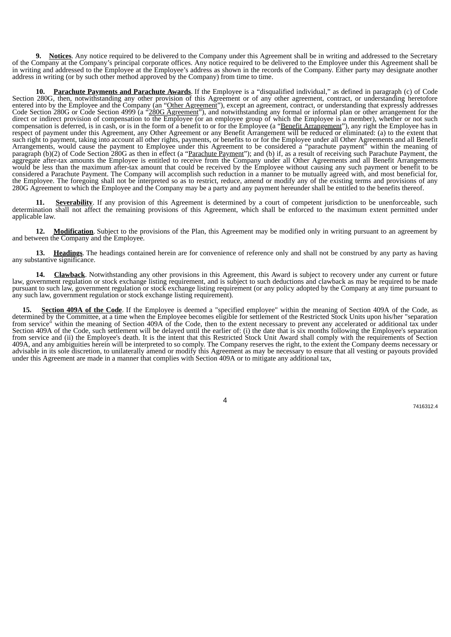**9. Notices**. Any notice required to be delivered to the Company under this Agreement shall be in writing and addressed to the Secretary of the Company at the Company's principal corporate offices. Any notice required to be delivered to the Employee under this Agreement shall be in writing and addressed to the Employee at the Employee's address as shown in the records of the Company. Either party may designate another address in writing (or by such other method approved by the Company) from time to time.

**10. Parachute Payments and Parachute Awards**. If the Employee is a "disqualified individual," as defined in paragraph (c) of Code Section 280G, then, notwithstanding any other provision of this Agreement or of any other agreement, contract, or understanding heretofore entered into by the Employee and the Company (an "Other Agreement"), except an agreement, contract, or understanding that expressly addresses Code Section 280G or Code Section 4999 (a "280G Agreement"), and notwithstanding any formal or informal plan or other arrangement for the direct or indirect provision of compensation to the Employee (or an employee group of which the Employee is a member), whether or not such compensation is deferred, is in cash, or is in the form of a benefit to or for the Employee (a "<u>Benefit Arrangement</u>"), any right the Employee has in respect of payment under this Agreement, any Other Agreement or any Benefit Arrangement will be reduced or eliminated: (a) to the extent that such right to payment, taking into account all other rights, payments, or benefits to or for the Employee under all Other Agreements and all Benefit Arrangements, would cause the payment to Employee under this Agreement to be considered a "parachute payment" within the meaning of paragraph (b)(2) of Code Section 280G as then in effect (a "Parachute Payment"); and (b) if, as a result of receiving such Parachute Payment, the aggregate after-tax amounts the Employee is entitled to receive from the Company under all Other Agreements and all Benefit Arrangements would be less than the maximum after-tax amount that could be received by the Employee without causing any such payment or benefit to be considered a Parachute Payment. The Company will accomplish such reduction in a manner to be mutually agreed with, and most beneficial for, the Employee. The foregoing shall not be interpreted so as to restrict, reduce, amend or modify any of the existing terms and provisions of any 280G Agreement to which the Employee and the Company may be a party and any payment hereunder shall be entitled to the benefits thereof.

**11. Severability**. If any provision of this Agreement is determined by a court of competent jurisdiction to be unenforceable, such determination shall not affect the remaining provisions of this Agreement, which shall be enforced to the maximum extent permitted under applicable law.

**12. Modification**. Subject to the provisions of the Plan, this Agreement may be modified only in writing pursuant to an agreement by and between the Company and the Employee.

**13. Headings**. The headings contained herein are for convenience of reference only and shall not be construed by any party as having any substantive significance.

**14. Clawback**. Notwithstanding any other provisions in this Agreement, this Award is subject to recovery under any current or future law, government regulation or stock exchange listing requirement, and is subject to such deductions and clawback as may be required to be made pursuant to such law, government regulation or stock exchange listing requirement (or any policy adopted by the Company at any time pursuant to any such law, government regulation or stock exchange listing requirement).

**15. Section 409A of the Code**. If the Employee is deemed a "specified employee" within the meaning of Section 409A of the Code, as determined by the Committee, at a time when the Employee becomes eligible for settlement of the Restricted Stock Units upon his/her "separation from service<sup>"</sup> within the meaning of Section 409A of the Code, then to the extent necessary to prevent any accelerated or additional tax under Section 409A of the Code, such settlement will be delayed until the earlier of: (i) the date that is six months following the Employee's separation from service and (ii) the Employee's death. It is the intent that this Restricted Stock Unit Award shall comply with the requirements of Section 409A, and any ambiguities herein will be interpreted to so comply. The Company reserves the right, to the extent the Company deems necessary or advisable in its sole discretion, to unilaterally amend or modify this Agreement as may be necessary to ensure that all vesting or payouts provided under this Agreement are made in a manner that complies with Section 409A or to mitigate any additional tax,

4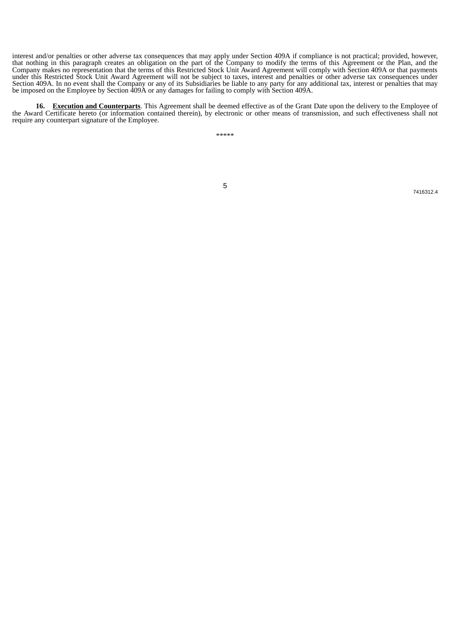interest and/or penalties or other adverse tax consequences that may apply under Section 409A if compliance is not practical; provided, however, that nothing in this paragraph creates an obligation on the part of the Company to modify the terms of this Agreement or the Plan, and the Company makes no representation that the terms of this Restricted Stock Unit Award Agreement will comply with Section 409A or that payments under this Restricted Stock Unit Award Agreement will not be subject to taxes, interest and penalties or other adverse tax consequences under Section 409A. In no event shall the Company or any of its Subsidiaries be liable to any party for any additional tax, interest or penalties that may be imposed on the Employee by Section 409A or any damages for failing to comply with Section 409A.

**16. Execution and Counterparts**. This Agreement shall be deemed effective as of the Grant Date upon the delivery to the Employee of the Award Certificate hereto (or information contained therein), by electronic or other means of transmission, and such effectiveness shall not require any counterpart signature of the Employee.

\*\*\*\*\*

5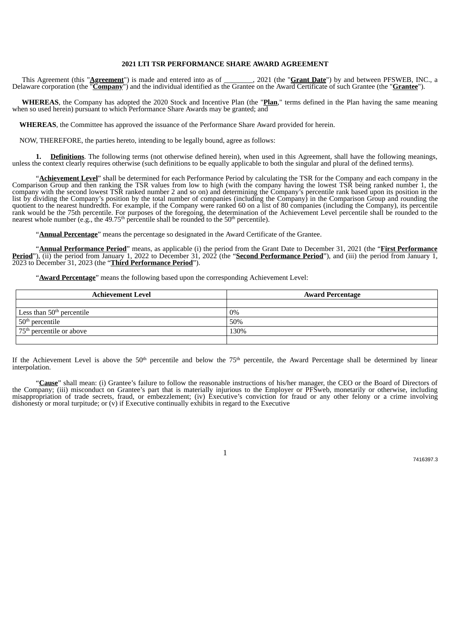# **2021 LTI TSR PERFORMANCE SHARE AWARD AGREEMENT**

<span id="page-47-0"></span>This Agreement (this "**Agreement**") is made and entered into as of \_\_\_\_\_\_\_\_, 2021 (the "**Grant Date**") by and between PFSWEB, INC., a Delaware corporation (the "**Company**") and the individual identified as the Grantee on the Award Certificate of such Grantee (the "**Grantee**").

**WHEREAS**, the Company has adopted the 2020 Stock and Incentive Plan (the "**Plan**," terms defined in the Plan having the same meaning when so used herein) pursuant to which Performance Share Awards may be granted; and

**WHEREAS**, the Committee has approved the issuance of the Performance Share Award provided for herein.

NOW, THEREFORE, the parties hereto, intending to be legally bound, agree as follows:

**1. Definitions**. The following terms (not otherwise defined herein), when used in this Agreement, shall have the following meanings, unless the context clearly requires otherwise (such definitions to be equally applicable to both the singular and plural of the defined terms).

"**Achievement Level**" shall be determined for each Performance Period by calculating the TSR for the Company and each company in the Comparison Group and then ranking the TSR values from low to high (with the company having the lowest TSR being ranked number 1, the company with the second lowest TSR ranked number 2 and so on) and determining the Company's percentile rank based upon its position in the list by dividing the Company's position by the total number of companies (including the Company) in the Comparison Group and rounding the quotient to the nearest hundredth. For example, if the Company were ranked 60 on a list of 80 companies (including the Company), its percentile rank would be the 75th percentile. For purposes of the foregoing, the determination of the Achievement Level percentile shall be rounded to the nearest whole number (e.g., the 49.75<sup>th</sup> percentile shall be rounded to the 50<sup>th</sup> percentile).

"**Annual Percentage**" means the percentage so designated in the Award Certificate of the Grantee.

"**Annual Performance Period**" means, as applicable (i) the period from the Grant Date to December 31, 2021 (the "**First Performance Period**"), (ii) the period from January 1, 2022 to December 31, 2022 (the "**Second Performance Period**"), and (iii) the period from January 1, 2023 to December 31, 2023 (the "**Third Performance Period**").

"**Award Percentage**" means the following based upon the corresponding Achievement Level:

| <b>Achievement Level</b>             | <b>Award Percentage</b> |
|--------------------------------------|-------------------------|
|                                      |                         |
| Less than $50th$ percentile          | $0\%$                   |
| $50th$ percentile                    | 50%                     |
| 75 <sup>th</sup> percentile or above | 130%                    |
|                                      |                         |

If the Achievement Level is above the  $50<sup>th</sup>$  percentile and below the  $75<sup>th</sup>$  percentile, the Award Percentage shall be determined by linear interpolation.

"**Cause**" shall mean: (i) Grantee's failure to follow the reasonable instructions of his/her manager, the CEO or the Board of Directors of the Company; (iii) misconduct on Grantee's part that is materially injurious to the Employer or PFSweb, monetarily or otherwise, including misappropriation of trade secrets, fraud, or embezzlement; (iv) Executive's conviction for fraud or any other felony or a crime involving dishonesty or moral turpitude; or (v) if Executive continually exhibits in regard to the Executive

1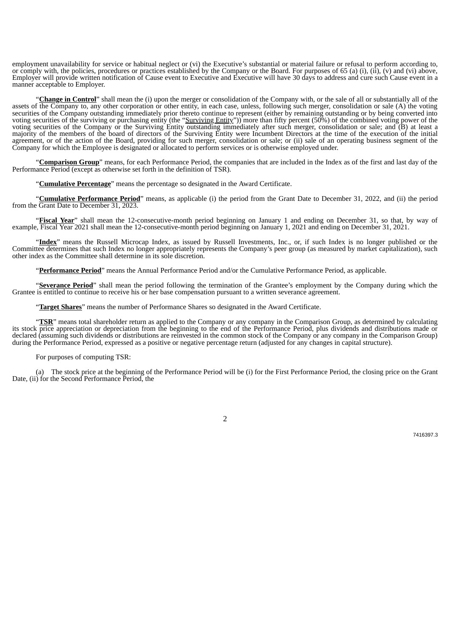employment unavailability for service or habitual neglect or (vi) the Executive's substantial or material failure or refusal to perform according to, or comply with, the policies, procedures or practices established by the Company or the Board. For purposes of 65 (a) (i), (ii), (v) and (vi) above, Employer will provide written notification of Cause event to Executive and Executive will have 30 days to address and cure such Cause event in a manner acceptable to Employer.

"**Change in Control**" shall mean the (i) upon the merger or consolidation of the Company with, or the sale of all or substantially all of the assets of the Company to, any other corporation or other entity, in each case, unless, following such merger, consolidation or sale (A) the voting securities of the Company outstanding immediately prior thereto continue to represent (either by remaining outstanding or by being converted into voting securities of the surviving or purchasing entity (the "Surviving Entity")) more than fifty percent (50%) of the combined voting power of the voting securities of the Company or the Surviving Entity outstanding immediately after such merger, consolidation or sale; and (B) at least a majority of the members of the board of directors of the Surviving Entity were Incumbent Directors at the time of the execution of the initial agreement, or of the action of the Board, providing for such merger, consolidation or sale; or (ii) sale of an operating business segment of the Company for which the Employee is designated or allocated to perform services or is otherwise employed under.

"**Comparison Group**" means, for each Performance Period, the companies that are included in the Index as of the first and last day of the Performance Period (except as otherwise set forth in the definition of TSR).

"**Cumulative Percentage**" means the percentage so designated in the Award Certificate.

"**Cumulative Performance Period**" means, as applicable (i) the period from the Grant Date to December 31, 2022, and (ii) the period from the Grant Date to December 31, 2023.

"**Fiscal Year**" shall mean the 12-consecutive-month period beginning on January 1 and ending on December 31, so that, by way of example, Fiscal Year 2021 shall mean the 12-consecutive-month period beginning on January 1, 2021 and ending on December 31, 2021.

"**Index**" means the Russell Microcap Index, as issued by Russell Investments, Inc., or, if such Index is no longer published or the Committee determines that such Index no longer appropriately represents the Company's peer group (as measured by market capitalization), such other index as the Committee shall determine in its sole discretion.

"**Performance Period**" means the Annual Performance Period and/or the Cumulative Performance Period, as applicable.

"**Severance Period**" shall mean the period following the termination of the Grantee's employment by the Company during which the Grantee is entitled to continue to receive his or her base compensation pursuant to a written severance agreement.

"**Target Shares**" means the number of Performance Shares so designated in the Award Certificate.

"**TSR**" means total shareholder return as applied to the Company or any company in the Comparison Group, as determined by calculating its stock price appreciation or depreciation from the beginning to the end of the Performance Period, plus dividends and distributions made or declared (assuming such dividends or distributions are reinvested in the common stock of the Company or any company in the Comparison Group) during the Performance Period, expressed as a positive or negative percentage return (adjusted for any changes in capital structure).

For purposes of computing TSR:

(a) The stock price at the beginning of the Performance Period will be (i) for the First Performance Period, the closing price on the Grant Date, (ii) for the Second Performance Period, the

2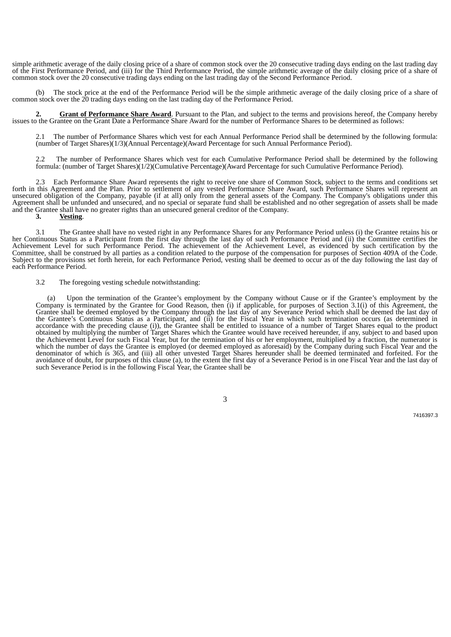simple arithmetic average of the daily closing price of a share of common stock over the 20 consecutive trading days ending on the last trading day of the First Performance Period, and (iii) for the Third Performance Period, the simple arithmetic average of the daily closing price of a share of common stock over the 20 consecutive trading days ending on the last trading day of the Second Performance Period.

(b) The stock price at the end of the Performance Period will be the simple arithmetic average of the daily closing price of a share of common stock over the 20 trading days ending on the last trading day of the Performance Period.

**2. Grant of Performance Share Award**. Pursuant to the Plan, and subject to the terms and provisions hereof, the Company hereby issues to the Grantee on the Grant Date a Performance Share Award for the number of Performance Shares to be determined as follows:

2.1 The number of Performance Shares which vest for each Annual Performance Period shall be determined by the following formula: (number of Target Shares)(1/3)(Annual Percentage)(Award Percentage for such Annual Performance Period).

2.2 The number of Performance Shares which vest for each Cumulative Performance Period shall be determined by the following formula: (number of Target Shares)(1/2)(Cumulative Percentage)(Award Percentage for such Cumulative Performance Period).

2.3 Each Performance Share Award represents the right to receive one share of Common Stock, subject to the terms and conditions set forth in this Agreement and the Plan. Prior to settlement of any vested Performance Share Award, such Performance Shares will represent an unsecured obligation of the Company, payable (if at all) only from the general assets of the Company. The Company's obligations under this Agreement shall be unfunded and unsecured, and no special or separate fund shall be established and no other segregation of assets shall be made and the Grantee shall have no greater rights than an unsecured general creditor of the Company.

**3. Vesting**.

3.1 The Grantee shall have no vested right in any Performance Shares for any Performance Period unless (i) the Grantee retains his or her Continuous Status as a Participant from the first day through the last day of such Performance Period and (ii) the Committee certifies the Achievement Level for such Performance Period. The achievement of the Achievement Level, as evidenced by such certification by the Committee, shall be construed by all parties as a condition related to the purpose of the compensation for purposes of Section 409A of the Code. Subject to the provisions set forth herein, for each Performance Period, vesting shall be deemed to occur as of the day following the last day of each Performance Period.

3.2 The foregoing vesting schedule notwithstanding:

(a) Upon the termination of the Grantee's employment by the Company without Cause or if the Grantee's employment by the Company is terminated by the Grantee for Good Reason, then (i) if applicable, for purposes of Section 3.1(i) of this Agreement, the Grantee shall be deemed employed by the Company through the last day of any Severance Period which shall be deemed the last day of the Grantee's Continuous Status as a Participant, and (ii) for the Fiscal Year in which such termination occurs (as determined in accordance with the preceding clause (i)), the Grantee shall be entitled to issuance of a number of Target Shares equal to the product obtained by multiplying the number of Target Shares which the Grantee would have received hereunder, if any, subject to and based upon the Achievement Level for such Fiscal Year, but for the termination of his or her employment, multiplied by a fraction, the numerator is which the number of days the Grantee is employed (or deemed employed as aforesaid) by the Company during such Fiscal Year and the denominator of which is 365, and (iii) all other unvested Target Shares hereunder shall be deemed terminated and forfeited. For the avoidance of doubt, for purposes of this clause (a), to the extent the first day of a Severance Period is in one Fiscal Year and the last day of such Severance Period is in the following Fiscal Year, the Grantee shall be

3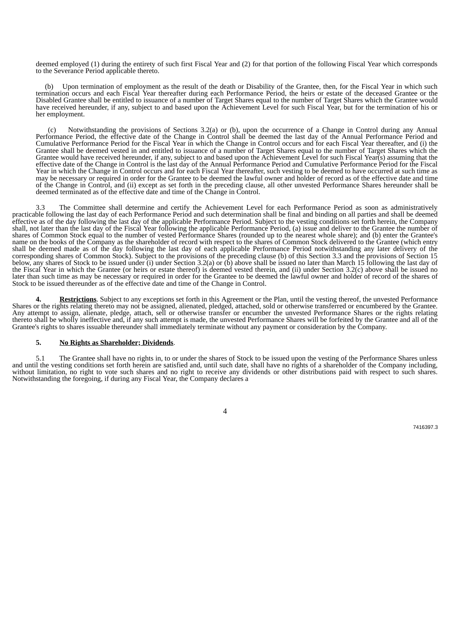deemed employed (1) during the entirety of such first Fiscal Year and (2) for that portion of the following Fiscal Year which corresponds to the Severance Period applicable thereto.

(b) Upon termination of employment as the result of the death or Disability of the Grantee, then, for the Fiscal Year in which such termination occurs and each Fiscal Year thereafter during each Performance Period, the heirs or estate of the deceased Grantee or the Disabled Grantee shall be entitled to issuance of a number of Target Shares equal to the number of Target Shares which the Grantee would have received hereunder, if any, subject to and based upon the Achievement Level for such Fiscal Year, but for the termination of his or her employment.

(c) Notwithstanding the provisions of Sections 3.2(a) or (b), upon the occurrence of a Change in Control during any Annual Performance Period, the effective date of the Change in Control shall be deemed the last day of the Annual Performance Period and Cumulative Performance Period for the Fiscal Year in which the Change in Control occurs and for each Fiscal Year thereafter, and (i) the Grantee shall be deemed vested in and entitled to issuance of a number of Target Shares equal to the number of Target Shares which the Grantee would have received hereunder, if any, subject to and based upon the Achievement Level for such Fiscal Year(s) assuming that the effective date of the Change in Control is the last day of the Annual Performance Period and Cumulative Performance Period for the Fiscal Year in which the Change in Control occurs and for each Fiscal Year thereafter, such vesting to be deemed to have occurred at such time as may be necessary or required in order for the Grantee to be deemed the lawful owner and holder of record as of the effective date and time of the Change in Control, and (ii) except as set forth in the preceding clause, all other unvested Performance Shares hereunder shall be deemed terminated as of the effective date and time of the Change in Control.

3.3 The Committee shall determine and certify the Achievement Level for each Performance Period as soon as administratively practicable following the last day of each Performance Period and such determination shall be final and binding on all parties and shall be deemed effective as of the day following the last day of the applicable Performance Period. Subject to the vesting conditions set forth herein, the Company shall, not later than the last day of the Fiscal Year following the applicable Performance Period, (a) issue and deliver to the Grantee the number of shares of Common Stock equal to the number of vested Performance Shares (rounded up to the nearest whole share); and (b) enter the Grantee's name on the books of the Company as the shareholder of record with respect to the shares of Common Stock delivered to the Grantee (which entry shall be deemed made as of the day following the last day of each applicable Performance Period notwithstanding any later delivery of the corresponding shares of Common Stock). Subject to the provisions of the preceding clause (b) of this Section 3.3 and the provisions of Section 15 below, any shares of Stock to be issued under (i) under Section 3.2(a) or (b) above shall be issued no later than March 15 following the last day of the Fiscal Year in which the Grantee (or heirs or estate thereof) is deemed vested therein, and (ii) under Section 3.2(c) above shall be issued no later than such time as may be necessary or required in order for the Grantee to be deemed the lawful owner and holder of record of the shares of Stock to be issued thereunder as of the effective date and time of the Change in Control.

**4. Restrictions**. Subject to any exceptions set forth in this Agreement or the Plan, until the vesting thereof, the unvested Performance Shares or the rights relating thereto may not be assigned, alienated, pledged, attached, sold or otherwise transferred or encumbered by the Grantee. Any attempt to assign, alienate, pledge, attach, sell or otherwise transfer or encumber the unvested Performance Shares or the rights relating thereto shall be wholly ineffective and, if any such attempt is made, the unvested Performance Shares will be forfeited by the Grantee and all of the Grantee's rights to shares issuable thereunder shall immediately terminate without any payment or consideration by the Company.

# **5. No Rights as Shareholder; Dividends**.

5.1 The Grantee shall have no rights in, to or under the shares of Stock to be issued upon the vesting of the Performance Shares unless and until the vesting conditions set forth herein are satisfied and, until such date, shall have no rights of a shareholder of the Company including, without limitation, no right to vote such shares and no right to receive any dividends or other distributions paid with respect to such shares. Notwithstanding the foregoing, if during any Fiscal Year, the Company declares a

4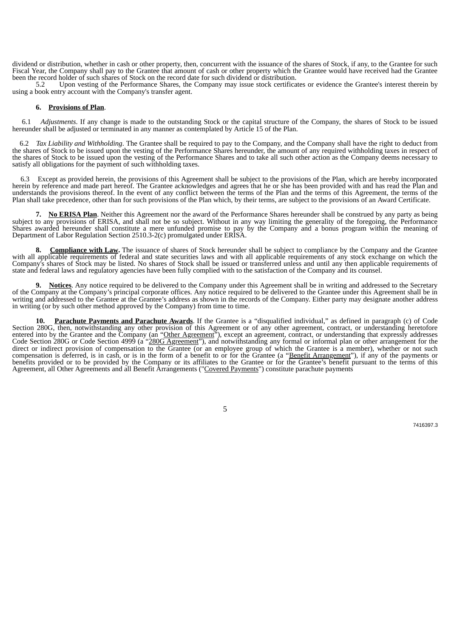dividend or distribution, whether in cash or other property, then, concurrent with the issuance of the shares of Stock, if any, to the Grantee for such Fiscal Year, the Company shall pay to the Grantee that amount of cash or other property which the Grantee would have received had the Grantee been the record holder of such shares of Stock on the record date for such dividend or distribution.

5.2 Upon vesting of the Performance Shares, the Company may issue stock certificates or evidence the Grantee's interest therein by using a book entry account with the Company's transfer agent.

## **6. Provisions of Plan**.

6.1 *Adjustments*. If any change is made to the outstanding Stock or the capital structure of the Company, the shares of Stock to be issued hereunder shall be adjusted or terminated in any manner as contemplated by Article 15 of the Plan.

6.2 *Tax Liability and Withholding*. The Grantee shall be required to pay to the Company, and the Company shall have the right to deduct from the shares of Stock to be issued upon the vesting of the Performance Shares hereunder, the amount of any required withholding taxes in respect of the shares of Stock to be issued upon the vesting of the Performance Shares and to take all such other action as the Company deems necessary to satisfy all obligations for the payment of such withholding taxes.

6.3 Except as provided herein, the provisions of this Agreement shall be subject to the provisions of the Plan, which are hereby incorporated herein by reference and made part hereof. The Grantee acknowledges and agrees that he or she has been provided with and has read the Plan and understands the provisions thereof. In the event of any conflict between the terms of the Plan and the terms of this Agreement, the terms of the Plan shall take precedence, other than for such provisions of the Plan which, by their terms, are subject to the provisions of an Award Certificate.

**7. No ERISA Plan**. Neither this Agreement nor the award of the Performance Shares hereunder shall be construed by any party as being subject to any provisions of ERISA, and shall not be so subject. Without in any way limiting the generality of the foregoing, the Performance Shares awarded hereunder shall constitute a mere unfunded promise to pay by the Company and a bonus program within the meaning of Department of Labor Regulation Section 2510.3-2(c) promulgated under ERISA.

**8. Compliance with Law.** The issuance of shares of Stock hereunder shall be subject to compliance by the Company and the Grantee with all applicable requirements of federal and state securities laws and with all applicable requirements of any stock exchange on which the Company's shares of Stock may be listed. No shares of Stock shall be issued or transferred unless and until any then applicable requirements of state and federal laws and regulatory agencies have been fully complied with to the satisfaction of the Company and its counsel.

**9. Notices**. Any notice required to be delivered to the Company under this Agreement shall be in writing and addressed to the Secretary of the Company at the Company's principal corporate offices. Any notice required to be delivered to the Grantee under this Agreement shall be in writing and addressed to the Grantee at the Grantee's address as shown in the records of the Company. Either party may designate another address in writing (or by such other method approved by the Company) from time to time.

**10. Parachute Payments and Parachute Awards**. If the Grantee is a "disqualified individual," as defined in paragraph (c) of Code Section 280G, then, notwithstanding any other provision of this Agreement or of any other agreement, contract, or understanding heretofore entered into by the Grantee and the Company (an "<u>Other Agreement</u>"), except an agreement, contract, or understanding that expressly addresses Code Section 280G or Code Section 4999 (a "280G Agreement"), and notwithstanding any formal or informal plan or other arrangement for the direct or indirect provision of compensation to the Grantee (or an employee group of which the Grantee is a member), whether or not such compensation is deferred, is in cash, or is in the form of a benefit to or for the Grantee (a "<u>Benefit Arrangement</u>"), if any of the payments or benefits provided or to be provided by the Company or its affiliates to the Grantee or for the Grantee's benefit pursuant to the terms of this Agreement, all Other Agreements and all Benefit Arrangements ("Covered Payments") constitute parachute payments

5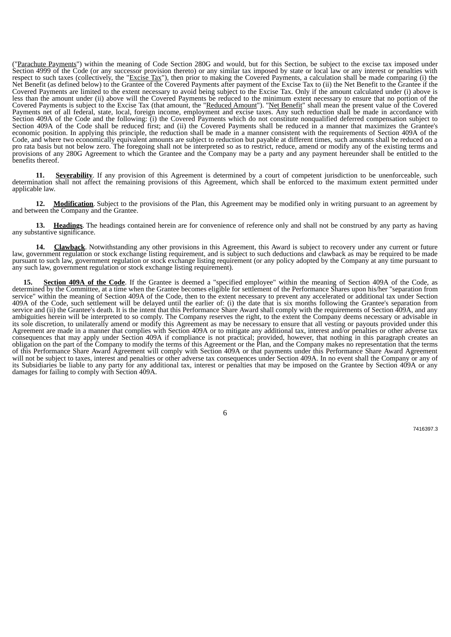("Parachute Payments") within the meaning of Code Section 280G and would, but for this Section, be subject to the excise tax imposed under Section 4999 of the Code (or any successor provision thereto) or any similar tax imposed by state or local law or any interest or penalties with respect to such taxes (collectively, the "Excise Tax"), then prior to making the Covered Payments, a calculation shall be made comparing (i) the Net Benefit (as defined below) to the Grantee of the Covered Payments after payment of the Excise Tax to (ii) the Net Benefit to the Grantee if the Covered Payments are limited to the extent necessary to avoid being subject to the Excise Tax. Only if the amount calculated under (i) above is less than the amount under (ii) above will the Covered Payments be reduced to the minimum extent necessary to ensure that no portion of the Covered Payments is subject to the Excise Tax (that amount, the "Reduced Amount"). "Net Benefit" shall mean the present value of the Covered Payments net of all federal, state, local, foreign income, employment and excise taxes. Any such reduction shall be made in accordance with Section 409A of the Code and the following: (i) the Covered Payments which do not constitute nonqualified deferred compensation subject to Section 409A of the Code shall be reduced first; and (ii) the Covered Payments shall be reduced in a manner that maximizes the Grantee's economic position. In applying this principle, the reduction shall be made in a manner consistent with the requirements of Section 409A of the Code, and where two economically equivalent amounts are subject to reduction but payable at different times, such amounts shall be reduced on a pro rata basis but not below zero. The foregoing shall not be interpreted so as to restrict, reduce, amend or modify any of the existing terms and provisions of any 280G Agreement to which the Grantee and the Company may be a party and any payment hereunder shall be entitled to the benefits thereof.

**11. Severability**. If any provision of this Agreement is determined by a court of competent jurisdiction to be unenforceable, such determination shall not affect the remaining provisions of this Agreement, which shall be enforced to the maximum extent permitted under applicable law.

**12. Modification**. Subject to the provisions of the Plan, this Agreement may be modified only in writing pursuant to an agreement by and between the Company and the Grantee.

**13. Headings**. The headings contained herein are for convenience of reference only and shall not be construed by any party as having any substantive significance.

**14. Clawback**. Notwithstanding any other provisions in this Agreement, this Award is subject to recovery under any current or future law, government regulation or stock exchange listing requirement, and is subject to such deductions and clawback as may be required to be made pursuant to such law, government regulation or stock exchange listing requirement (or any policy adopted by the Company at any time pursuant to any such law, government regulation or stock exchange listing requirement).

**15. Section 409A of the Code**. If the Grantee is deemed a "specified employee" within the meaning of Section 409A of the Code, as determined by the Committee, at a time when the Grantee becomes eligible for settlement of the Performance Shares upon his/her "separation from service" within the meaning of Section 409A of the Code, then to the extent necessary to prevent any accelerated or additional tax under Section 409A of the Code, such settlement will be delayed until the earlier of: (i) the date that is six months following the Grantee's separation from service and (ii) the Grantee's death. It is the intent that this Performance Share Award shall comply with the requirements of Section 409A, and any ambiguities herein will be interpreted to so comply. The Company reserves the right, to the extent the Company deems necessary or advisable in its sole discretion, to unilaterally amend or modify this Agreement as may be necessary to ensure that all vesting or payouts provided under this Agreement are made in a manner that complies with Section 409A or to mitigate any additional tax, interest and/or penalties or other adverse tax consequences that may apply under Section 409A if compliance is not practical; provided, however, that nothing in this paragraph creates an obligation on the part of the Company to modify the terms of this Agreement or the Plan, and the Company makes no representation that the terms of this Performance Share Award Agreement will comply with Section 409A or that payments under this Performance Share Award Agreement will not be subject to taxes, interest and penalties or other adverse tax consequences under Section 409A. In no event shall the Company or any of its Subsidiaries be liable to any party for any additional tax, interest or penalties that may be imposed on the Grantee by Section 409A or any damages for failing to comply with Section 409A.

6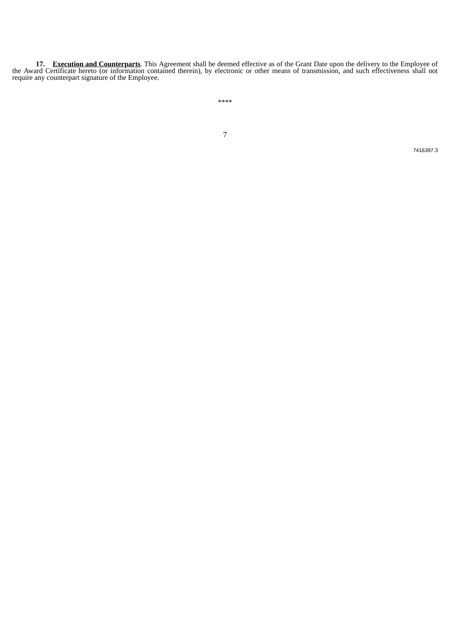**17. Execution and Counterparts**. This Agreement shall be deemed effective as of the Grant Date upon the delivery to the Employee of the Award Certificate hereto (or information contained therein), by electronic or other means of transmission, and such effectiveness shall not require any counterpart signature of the Employee.

7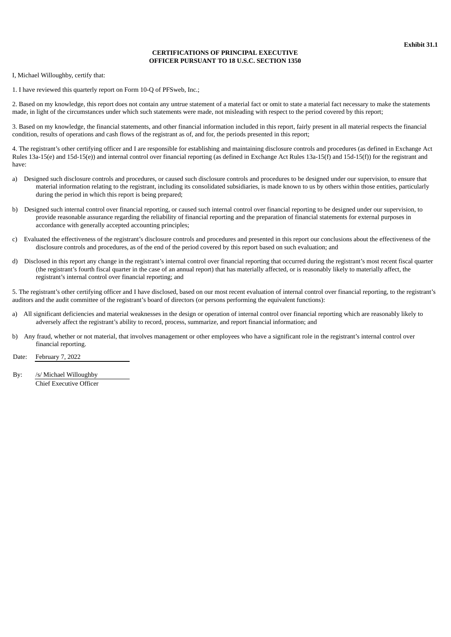# **CERTIFICATIONS OF PRINCIPAL EXECUTIVE OFFICER PURSUANT TO 18 U.S.C. SECTION 1350**

<span id="page-54-0"></span>I, Michael Willoughby, certify that:

1. I have reviewed this quarterly report on Form 10-Q of PFSweb, Inc.;

2. Based on my knowledge, this report does not contain any untrue statement of a material fact or omit to state a material fact necessary to make the statements made, in light of the circumstances under which such statements were made, not misleading with respect to the period covered by this report;

3. Based on my knowledge, the financial statements, and other financial information included in this report, fairly present in all material respects the financial condition, results of operations and cash flows of the registrant as of, and for, the periods presented in this report;

4. The registrant's other certifying officer and I are responsible for establishing and maintaining disclosure controls and procedures (as defined in Exchange Act Rules 13a-15(e) and 15d-15(e)) and internal control over financial reporting (as defined in Exchange Act Rules 13a-15(f) and 15d-15(f)) for the registrant and have:

- a) Designed such disclosure controls and procedures, or caused such disclosure controls and procedures to be designed under our supervision, to ensure that material information relating to the registrant, including its consolidated subsidiaries, is made known to us by others within those entities, particularly during the period in which this report is being prepared;
- b) Designed such internal control over financial reporting, or caused such internal control over financial reporting to be designed under our supervision, to provide reasonable assurance regarding the reliability of financial reporting and the preparation of financial statements for external purposes in accordance with generally accepted accounting principles;
- c) Evaluated the effectiveness of the registrant's disclosure controls and procedures and presented in this report our conclusions about the effectiveness of the disclosure controls and procedures, as of the end of the period covered by this report based on such evaluation; and
- d) Disclosed in this report any change in the registrant's internal control over financial reporting that occurred during the registrant's most recent fiscal quarter (the registrant's fourth fiscal quarter in the case of an annual report) that has materially affected, or is reasonably likely to materially affect, the registrant's internal control over financial reporting; and

5. The registrant's other certifying officer and I have disclosed, based on our most recent evaluation of internal control over financial reporting, to the registrant's auditors and the audit committee of the registrant's board of directors (or persons performing the equivalent functions):

- a) All significant deficiencies and material weaknesses in the design or operation of internal control over financial reporting which are reasonably likely to adversely affect the registrant's ability to record, process, summarize, and report financial information; and
- b) Any fraud, whether or not material, that involves management or other employees who have a significant role in the registrant's internal control over financial reporting.

Date: February 7, 2022

By: /s/ Michael Willoughby Chief Executive Officer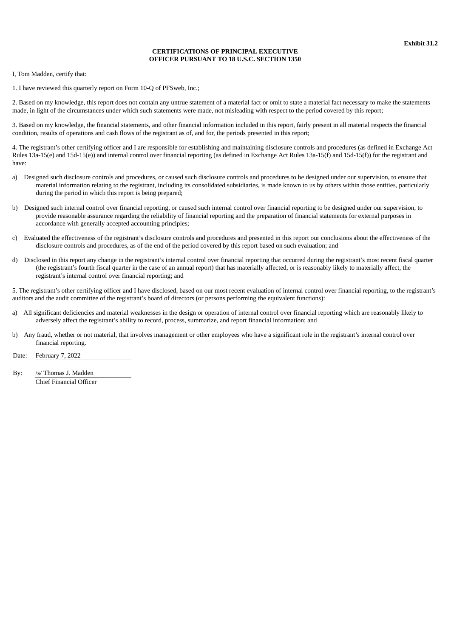# **CERTIFICATIONS OF PRINCIPAL EXECUTIVE OFFICER PURSUANT TO 18 U.S.C. SECTION 1350**

<span id="page-55-0"></span>I, Tom Madden, certify that:

1. I have reviewed this quarterly report on Form 10-Q of PFSweb, Inc.;

2. Based on my knowledge, this report does not contain any untrue statement of a material fact or omit to state a material fact necessary to make the statements made, in light of the circumstances under which such statements were made, not misleading with respect to the period covered by this report;

3. Based on my knowledge, the financial statements, and other financial information included in this report, fairly present in all material respects the financial condition, results of operations and cash flows of the registrant as of, and for, the periods presented in this report;

4. The registrant's other certifying officer and I are responsible for establishing and maintaining disclosure controls and procedures (as defined in Exchange Act Rules 13a-15(e) and 15d-15(e)) and internal control over financial reporting (as defined in Exchange Act Rules 13a-15(f) and 15d-15(f)) for the registrant and have:

- a) Designed such disclosure controls and procedures, or caused such disclosure controls and procedures to be designed under our supervision, to ensure that material information relating to the registrant, including its consolidated subsidiaries, is made known to us by others within those entities, particularly during the period in which this report is being prepared;
- b) Designed such internal control over financial reporting, or caused such internal control over financial reporting to be designed under our supervision, to provide reasonable assurance regarding the reliability of financial reporting and the preparation of financial statements for external purposes in accordance with generally accepted accounting principles;
- c) Evaluated the effectiveness of the registrant's disclosure controls and procedures and presented in this report our conclusions about the effectiveness of the disclosure controls and procedures, as of the end of the period covered by this report based on such evaluation; and
- d) Disclosed in this report any change in the registrant's internal control over financial reporting that occurred during the registrant's most recent fiscal quarter (the registrant's fourth fiscal quarter in the case of an annual report) that has materially affected, or is reasonably likely to materially affect, the registrant's internal control over financial reporting; and

5. The registrant's other certifying officer and I have disclosed, based on our most recent evaluation of internal control over financial reporting, to the registrant's auditors and the audit committee of the registrant's board of directors (or persons performing the equivalent functions):

- a) All significant deficiencies and material weaknesses in the design or operation of internal control over financial reporting which are reasonably likely to adversely affect the registrant's ability to record, process, summarize, and report financial information; and
- b) Any fraud, whether or not material, that involves management or other employees who have a significant role in the registrant's internal control over financial reporting.

Date: February 7, 2022

By: /s/ Thomas J. Madden Chief Financial Officer